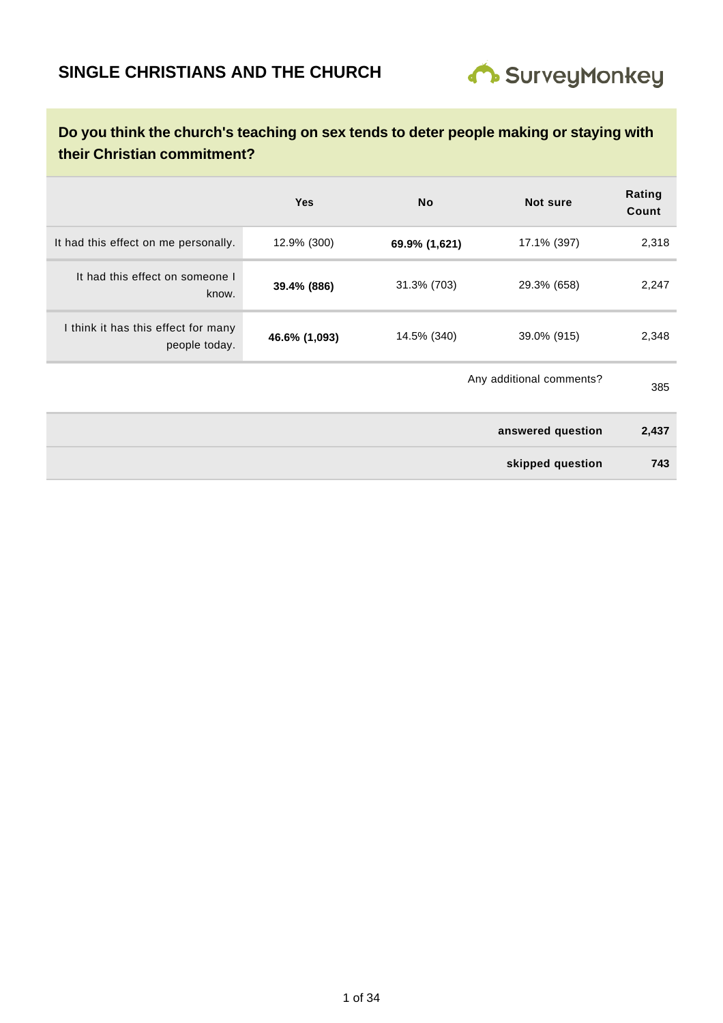

|                                                      | <b>Yes</b>    | <b>No</b>                | <b>Not sure</b>   | Rating<br>Count |
|------------------------------------------------------|---------------|--------------------------|-------------------|-----------------|
| It had this effect on me personally.                 | 12.9% (300)   | 69.9% (1,621)            | 17.1% (397)       | 2,318           |
| It had this effect on someone I<br>know.             | 39.4% (886)   | 31.3% (703)              | 29.3% (658)       | 2,247           |
| I think it has this effect for many<br>people today. | 46.6% (1,093) | 14.5% (340)              | 39.0% (915)       | 2,348           |
|                                                      |               | Any additional comments? |                   | 385             |
|                                                      |               |                          | answered question | 2,437           |
|                                                      |               |                          | skipped question  | 743             |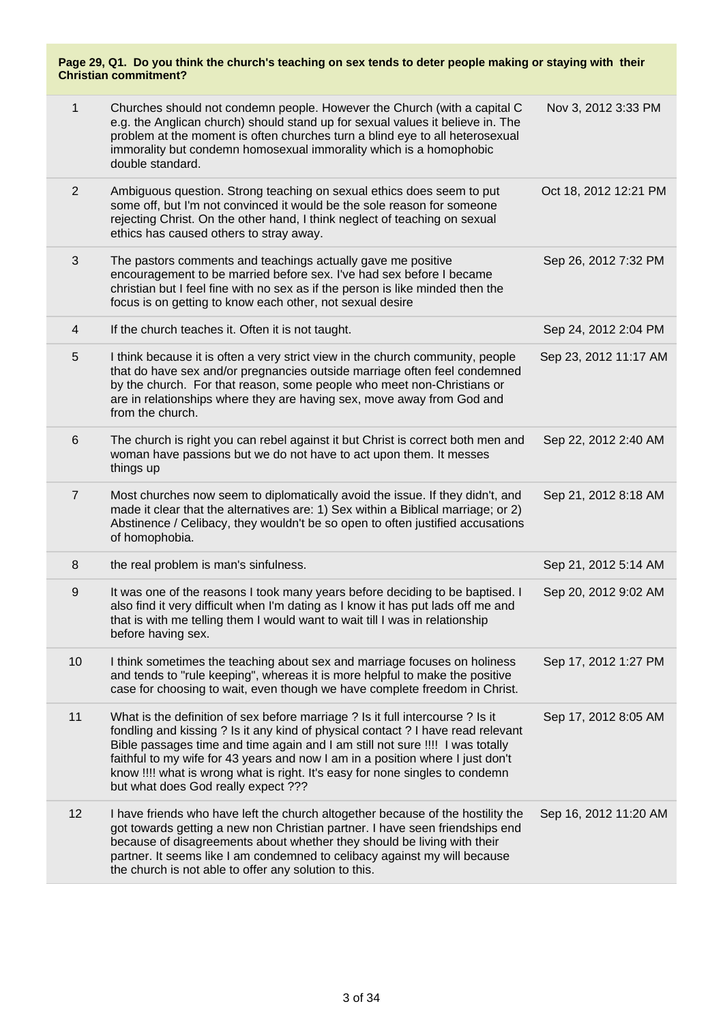| Page 29, Q1. Do you think the church's teaching on sex tends to deter people making or staying with their<br><b>Christian commitment?</b> |                                                                                                                                                                                                                                                                                                                                                                                                                                                              |                       |  |
|-------------------------------------------------------------------------------------------------------------------------------------------|--------------------------------------------------------------------------------------------------------------------------------------------------------------------------------------------------------------------------------------------------------------------------------------------------------------------------------------------------------------------------------------------------------------------------------------------------------------|-----------------------|--|
| $\mathbf{1}$                                                                                                                              | Churches should not condemn people. However the Church (with a capital C<br>e.g. the Anglican church) should stand up for sexual values it believe in. The<br>problem at the moment is often churches turn a blind eye to all heterosexual<br>immorality but condemn homosexual immorality which is a homophobic<br>double standard.                                                                                                                         | Nov 3, 2012 3:33 PM   |  |
| 2                                                                                                                                         | Ambiguous question. Strong teaching on sexual ethics does seem to put<br>some off, but I'm not convinced it would be the sole reason for someone<br>rejecting Christ. On the other hand, I think neglect of teaching on sexual<br>ethics has caused others to stray away.                                                                                                                                                                                    | Oct 18, 2012 12:21 PM |  |
| 3                                                                                                                                         | The pastors comments and teachings actually gave me positive<br>encouragement to be married before sex. I've had sex before I became<br>christian but I feel fine with no sex as if the person is like minded then the<br>focus is on getting to know each other, not sexual desire                                                                                                                                                                          | Sep 26, 2012 7:32 PM  |  |
| 4                                                                                                                                         | If the church teaches it. Often it is not taught.                                                                                                                                                                                                                                                                                                                                                                                                            | Sep 24, 2012 2:04 PM  |  |
| 5                                                                                                                                         | I think because it is often a very strict view in the church community, people<br>that do have sex and/or pregnancies outside marriage often feel condemned<br>by the church. For that reason, some people who meet non-Christians or<br>are in relationships where they are having sex, move away from God and<br>from the church.                                                                                                                          | Sep 23, 2012 11:17 AM |  |
| 6                                                                                                                                         | The church is right you can rebel against it but Christ is correct both men and<br>woman have passions but we do not have to act upon them. It messes<br>things up                                                                                                                                                                                                                                                                                           | Sep 22, 2012 2:40 AM  |  |
| $\overline{7}$                                                                                                                            | Most churches now seem to diplomatically avoid the issue. If they didn't, and<br>made it clear that the alternatives are: 1) Sex within a Biblical marriage; or 2)<br>Abstinence / Celibacy, they wouldn't be so open to often justified accusations<br>of homophobia.                                                                                                                                                                                       | Sep 21, 2012 8:18 AM  |  |
| 8                                                                                                                                         | the real problem is man's sinfulness.                                                                                                                                                                                                                                                                                                                                                                                                                        | Sep 21, 2012 5:14 AM  |  |
| 9                                                                                                                                         | It was one of the reasons I took many years before deciding to be baptised. I<br>also find it very difficult when I'm dating as I know it has put lads off me and<br>that is with me telling them I would want to wait till I was in relationship<br>before having sex.                                                                                                                                                                                      | Sep 20, 2012 9:02 AM  |  |
| 10                                                                                                                                        | I think sometimes the teaching about sex and marriage focuses on holiness<br>and tends to "rule keeping", whereas it is more helpful to make the positive<br>case for choosing to wait, even though we have complete freedom in Christ.                                                                                                                                                                                                                      | Sep 17, 2012 1:27 PM  |  |
| 11                                                                                                                                        | What is the definition of sex before marriage ? Is it full intercourse ? Is it<br>fondling and kissing ? Is it any kind of physical contact ? I have read relevant<br>Bible passages time and time again and I am still not sure !!!! I was totally<br>faithful to my wife for 43 years and now I am in a position where I just don't<br>know !!!! what is wrong what is right. It's easy for none singles to condemn<br>but what does God really expect ??? | Sep 17, 2012 8:05 AM  |  |
| 12                                                                                                                                        | I have friends who have left the church altogether because of the hostility the<br>got towards getting a new non Christian partner. I have seen friendships end<br>because of disagreements about whether they should be living with their<br>partner. It seems like I am condemned to celibacy against my will because<br>the church is not able to offer any solution to this.                                                                             | Sep 16, 2012 11:20 AM |  |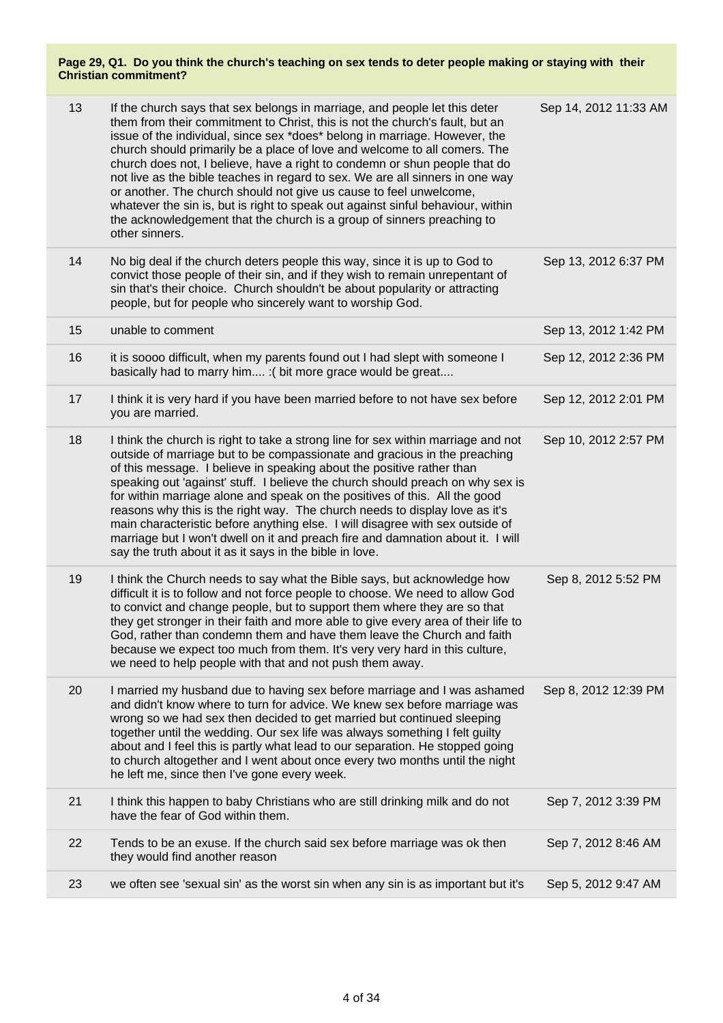| 13 | If the church says that sex belongs in marriage, and people let this deter<br>them from their commitment to Christ, this is not the church's fault, but an<br>issue of the individual, since sex *does* belong in marriage. However, the<br>church should primarily be a place of love and welcome to all comers. The<br>church does not, I believe, have a right to condemn or shun people that do<br>not live as the bible teaches in regard to sex. We are all sinners in one way<br>or another. The church should not give us cause to feel unwelcome,<br>whatever the sin is, but is right to speak out against sinful behaviour, within<br>the acknowledgement that the church is a group of sinners preaching to<br>other sinners. | Sep 14, 2012 11:33 AM |
|----|-------------------------------------------------------------------------------------------------------------------------------------------------------------------------------------------------------------------------------------------------------------------------------------------------------------------------------------------------------------------------------------------------------------------------------------------------------------------------------------------------------------------------------------------------------------------------------------------------------------------------------------------------------------------------------------------------------------------------------------------|-----------------------|
| 14 | No big deal if the church deters people this way, since it is up to God to<br>convict those people of their sin, and if they wish to remain unrepentant of<br>sin that's their choice. Church shouldn't be about popularity or attracting<br>people, but for people who sincerely want to worship God.                                                                                                                                                                                                                                                                                                                                                                                                                                    | Sep 13, 2012 6:37 PM  |
| 15 | unable to comment                                                                                                                                                                                                                                                                                                                                                                                                                                                                                                                                                                                                                                                                                                                         | Sep 13, 2012 1:42 PM  |
| 16 | it is soooo difficult, when my parents found out I had slept with someone I<br>basically had to marry him : (bit more grace would be great                                                                                                                                                                                                                                                                                                                                                                                                                                                                                                                                                                                                | Sep 12, 2012 2:36 PM  |
| 17 | I think it is very hard if you have been married before to not have sex before<br>you are married.                                                                                                                                                                                                                                                                                                                                                                                                                                                                                                                                                                                                                                        | Sep 12, 2012 2:01 PM  |
| 18 | I think the church is right to take a strong line for sex within marriage and not<br>outside of marriage but to be compassionate and gracious in the preaching<br>of this message. I believe in speaking about the positive rather than<br>speaking out 'against' stuff. I believe the church should preach on why sex is<br>for within marriage alone and speak on the positives of this. All the good<br>reasons why this is the right way. The church needs to display love as it's<br>main characteristic before anything else. I will disagree with sex outside of<br>marriage but I won't dwell on it and preach fire and damnation about it. I will<br>say the truth about it as it says in the bible in love.                     | Sep 10, 2012 2:57 PM  |
| 19 | I think the Church needs to say what the Bible says, but acknowledge how<br>difficult it is to follow and not force people to choose. We need to allow God<br>to convict and change people, but to support them where they are so that<br>they get stronger in their faith and more able to give every area of their life to<br>God, rather than condemn them and have them leave the Church and faith<br>because we expect too much from them. It's very very hard in this culture,<br>we need to help people with that and not push them away.                                                                                                                                                                                          | Sep 8, 2012 5:52 PM   |
| 20 | I married my husband due to having sex before marriage and I was ashamed<br>and didn't know where to turn for advice. We knew sex before marriage was<br>wrong so we had sex then decided to get married but continued sleeping<br>together until the wedding. Our sex life was always something I felt guilty<br>about and I feel this is partly what lead to our separation. He stopped going<br>to church altogether and I went about once every two months until the night<br>he left me, since then I've gone every week.                                                                                                                                                                                                            | Sep 8, 2012 12:39 PM  |
| 21 | I think this happen to baby Christians who are still drinking milk and do not<br>have the fear of God within them.                                                                                                                                                                                                                                                                                                                                                                                                                                                                                                                                                                                                                        | Sep 7, 2012 3:39 PM   |
| 22 | Tends to be an exuse. If the church said sex before marriage was ok then<br>they would find another reason                                                                                                                                                                                                                                                                                                                                                                                                                                                                                                                                                                                                                                | Sep 7, 2012 8:46 AM   |
| 23 | we often see 'sexual sin' as the worst sin when any sin is as important but it's                                                                                                                                                                                                                                                                                                                                                                                                                                                                                                                                                                                                                                                          | Sep 5, 2012 9:47 AM   |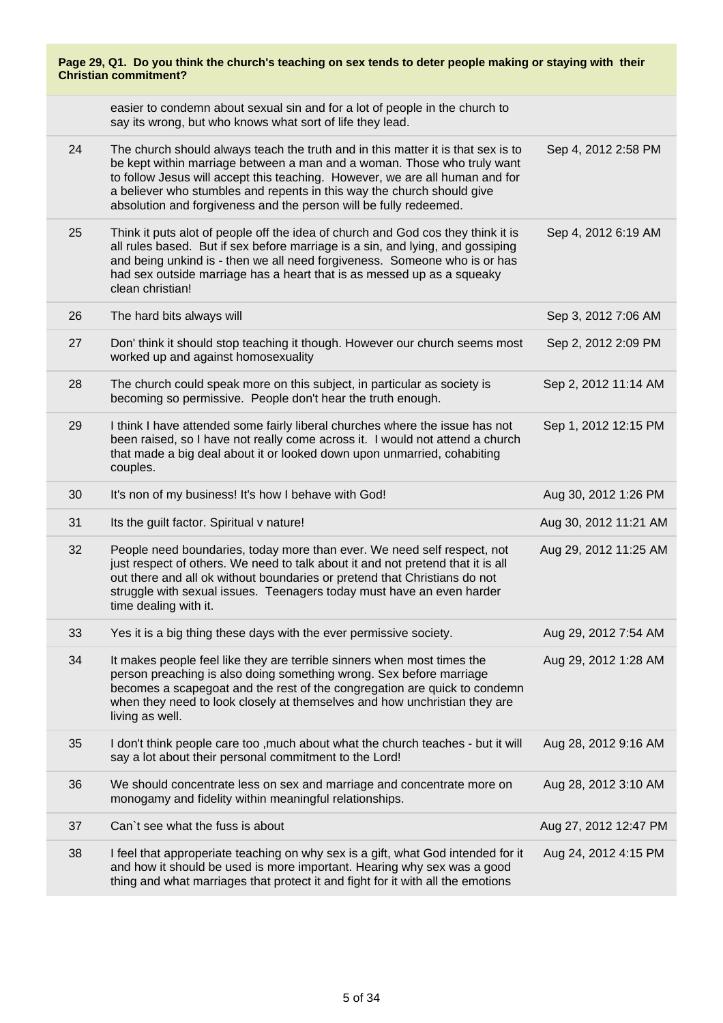| Page 29, Q1. Do you think the church's teaching on sex tends to deter people making or staying with their<br><b>Christian commitment?</b> |                                                                                                                                                                                                                                                                                                                                                                                            |                       |
|-------------------------------------------------------------------------------------------------------------------------------------------|--------------------------------------------------------------------------------------------------------------------------------------------------------------------------------------------------------------------------------------------------------------------------------------------------------------------------------------------------------------------------------------------|-----------------------|
|                                                                                                                                           | easier to condemn about sexual sin and for a lot of people in the church to<br>say its wrong, but who knows what sort of life they lead.                                                                                                                                                                                                                                                   |                       |
| 24                                                                                                                                        | The church should always teach the truth and in this matter it is that sex is to<br>be kept within marriage between a man and a woman. Those who truly want<br>to follow Jesus will accept this teaching. However, we are all human and for<br>a believer who stumbles and repents in this way the church should give<br>absolution and forgiveness and the person will be fully redeemed. | Sep 4, 2012 2:58 PM   |
| 25                                                                                                                                        | Think it puts alot of people off the idea of church and God cos they think it is<br>all rules based. But if sex before marriage is a sin, and lying, and gossiping<br>and being unkind is - then we all need forgiveness. Someone who is or has<br>had sex outside marriage has a heart that is as messed up as a squeaky<br>clean christian!                                              | Sep 4, 2012 6:19 AM   |
| 26                                                                                                                                        | The hard bits always will                                                                                                                                                                                                                                                                                                                                                                  | Sep 3, 2012 7:06 AM   |
| 27                                                                                                                                        | Don' think it should stop teaching it though. However our church seems most<br>worked up and against homosexuality                                                                                                                                                                                                                                                                         | Sep 2, 2012 2:09 PM   |
| 28                                                                                                                                        | The church could speak more on this subject, in particular as society is<br>becoming so permissive. People don't hear the truth enough.                                                                                                                                                                                                                                                    | Sep 2, 2012 11:14 AM  |
| 29                                                                                                                                        | I think I have attended some fairly liberal churches where the issue has not<br>been raised, so I have not really come across it. I would not attend a church<br>that made a big deal about it or looked down upon unmarried, cohabiting<br>couples.                                                                                                                                       | Sep 1, 2012 12:15 PM  |
| 30                                                                                                                                        | It's non of my business! It's how I behave with God!                                                                                                                                                                                                                                                                                                                                       | Aug 30, 2012 1:26 PM  |
| 31                                                                                                                                        | Its the guilt factor. Spiritual v nature!                                                                                                                                                                                                                                                                                                                                                  | Aug 30, 2012 11:21 AM |
| 32                                                                                                                                        | People need boundaries, today more than ever. We need self respect, not<br>just respect of others. We need to talk about it and not pretend that it is all<br>out there and all ok without boundaries or pretend that Christians do not<br>struggle with sexual issues. Teenagers today must have an even harder<br>time dealing with it.                                                  | Aug 29, 2012 11:25 AM |
| 33                                                                                                                                        | Yes it is a big thing these days with the ever permissive society.                                                                                                                                                                                                                                                                                                                         | Aug 29, 2012 7:54 AM  |
| 34                                                                                                                                        | It makes people feel like they are terrible sinners when most times the<br>person preaching is also doing something wrong. Sex before marriage<br>becomes a scapegoat and the rest of the congregation are quick to condemn<br>when they need to look closely at themselves and how unchristian they are<br>living as well.                                                                | Aug 29, 2012 1:28 AM  |
| 35                                                                                                                                        | I don't think people care too , much about what the church teaches - but it will<br>say a lot about their personal commitment to the Lord!                                                                                                                                                                                                                                                 | Aug 28, 2012 9:16 AM  |
| 36                                                                                                                                        | We should concentrate less on sex and marriage and concentrate more on<br>monogamy and fidelity within meaningful relationships.                                                                                                                                                                                                                                                           | Aug 28, 2012 3:10 AM  |
| 37                                                                                                                                        | Can't see what the fuss is about                                                                                                                                                                                                                                                                                                                                                           | Aug 27, 2012 12:47 PM |
| 38                                                                                                                                        | I feel that approperiate teaching on why sex is a gift, what God intended for it<br>and how it should be used is more important. Hearing why sex was a good<br>thing and what marriages that protect it and fight for it with all the emotions                                                                                                                                             | Aug 24, 2012 4:15 PM  |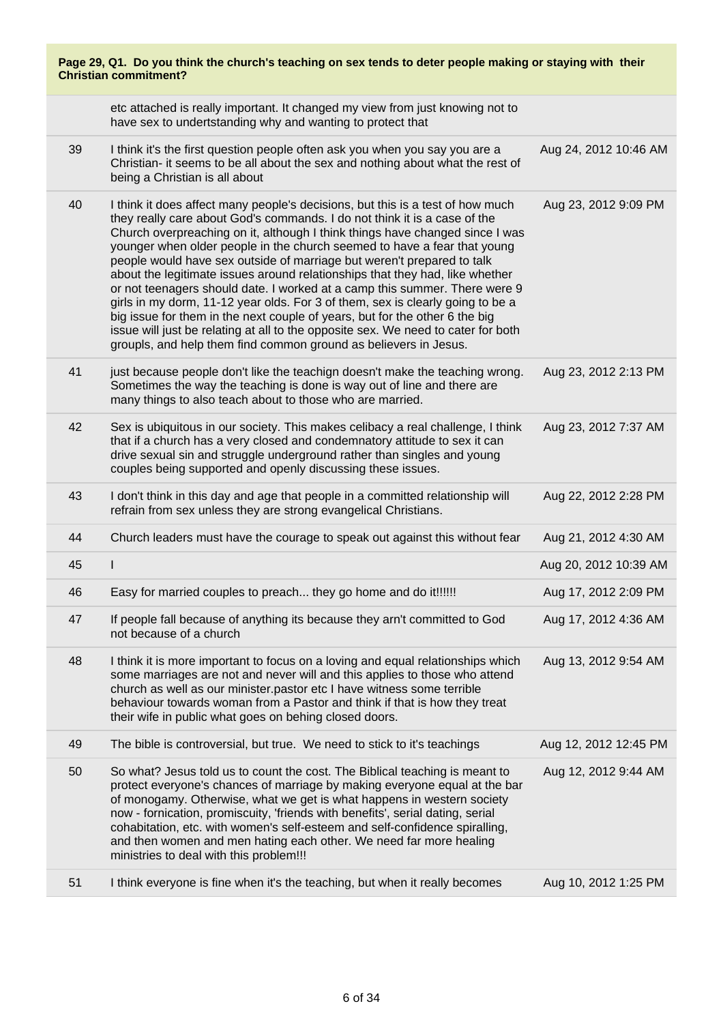| Page 29, Q1. Do you think the church's teaching on sex tends to deter people making or staying with their<br><b>Christian commitment?</b> |                                                                                                                                                                                                                                                                                                                                                                                                                                                                                                                                                                                                                                                                                                                                                                                                                                                                                           |                       |
|-------------------------------------------------------------------------------------------------------------------------------------------|-------------------------------------------------------------------------------------------------------------------------------------------------------------------------------------------------------------------------------------------------------------------------------------------------------------------------------------------------------------------------------------------------------------------------------------------------------------------------------------------------------------------------------------------------------------------------------------------------------------------------------------------------------------------------------------------------------------------------------------------------------------------------------------------------------------------------------------------------------------------------------------------|-----------------------|
|                                                                                                                                           | etc attached is really important. It changed my view from just knowing not to<br>have sex to undertstanding why and wanting to protect that                                                                                                                                                                                                                                                                                                                                                                                                                                                                                                                                                                                                                                                                                                                                               |                       |
| 39                                                                                                                                        | I think it's the first question people often ask you when you say you are a<br>Christian- it seems to be all about the sex and nothing about what the rest of<br>being a Christian is all about                                                                                                                                                                                                                                                                                                                                                                                                                                                                                                                                                                                                                                                                                           | Aug 24, 2012 10:46 AM |
| 40                                                                                                                                        | I think it does affect many people's decisions, but this is a test of how much<br>they really care about God's commands. I do not think it is a case of the<br>Church overpreaching on it, although I think things have changed since I was<br>younger when older people in the church seemed to have a fear that young<br>people would have sex outside of marriage but weren't prepared to talk<br>about the legitimate issues around relationships that they had, like whether<br>or not teenagers should date. I worked at a camp this summer. There were 9<br>girls in my dorm, 11-12 year olds. For 3 of them, sex is clearly going to be a<br>big issue for them in the next couple of years, but for the other 6 the big<br>issue will just be relating at all to the opposite sex. We need to cater for both<br>groupls, and help them find common ground as believers in Jesus. | Aug 23, 2012 9:09 PM  |
| 41                                                                                                                                        | just because people don't like the teachign doesn't make the teaching wrong.<br>Sometimes the way the teaching is done is way out of line and there are<br>many things to also teach about to those who are married.                                                                                                                                                                                                                                                                                                                                                                                                                                                                                                                                                                                                                                                                      | Aug 23, 2012 2:13 PM  |
| 42                                                                                                                                        | Sex is ubiquitous in our society. This makes celibacy a real challenge, I think<br>that if a church has a very closed and condemnatory attitude to sex it can<br>drive sexual sin and struggle underground rather than singles and young<br>couples being supported and openly discussing these issues.                                                                                                                                                                                                                                                                                                                                                                                                                                                                                                                                                                                   | Aug 23, 2012 7:37 AM  |
| 43                                                                                                                                        | I don't think in this day and age that people in a committed relationship will<br>refrain from sex unless they are strong evangelical Christians.                                                                                                                                                                                                                                                                                                                                                                                                                                                                                                                                                                                                                                                                                                                                         | Aug 22, 2012 2:28 PM  |
| 44                                                                                                                                        | Church leaders must have the courage to speak out against this without fear                                                                                                                                                                                                                                                                                                                                                                                                                                                                                                                                                                                                                                                                                                                                                                                                               | Aug 21, 2012 4:30 AM  |
| 45                                                                                                                                        | ı                                                                                                                                                                                                                                                                                                                                                                                                                                                                                                                                                                                                                                                                                                                                                                                                                                                                                         | Aug 20, 2012 10:39 AM |
| 46                                                                                                                                        | Easy for married couples to preach they go home and do it!!!!!!                                                                                                                                                                                                                                                                                                                                                                                                                                                                                                                                                                                                                                                                                                                                                                                                                           | Aug 17, 2012 2:09 PM  |
| 47                                                                                                                                        | If people fall because of anything its because they arn't committed to God<br>not because of a church                                                                                                                                                                                                                                                                                                                                                                                                                                                                                                                                                                                                                                                                                                                                                                                     | Aug 17, 2012 4:36 AM  |
| 48                                                                                                                                        | I think it is more important to focus on a loving and equal relationships which<br>some marriages are not and never will and this applies to those who attend<br>church as well as our minister.pastor etc I have witness some terrible<br>behaviour towards woman from a Pastor and think if that is how they treat<br>their wife in public what goes on behing closed doors.                                                                                                                                                                                                                                                                                                                                                                                                                                                                                                            | Aug 13, 2012 9:54 AM  |
| 49                                                                                                                                        | The bible is controversial, but true. We need to stick to it's teachings                                                                                                                                                                                                                                                                                                                                                                                                                                                                                                                                                                                                                                                                                                                                                                                                                  | Aug 12, 2012 12:45 PM |
| 50                                                                                                                                        | So what? Jesus told us to count the cost. The Biblical teaching is meant to<br>protect everyone's chances of marriage by making everyone equal at the bar<br>of monogamy. Otherwise, what we get is what happens in western society<br>now - fornication, promiscuity, 'friends with benefits', serial dating, serial<br>cohabitation, etc. with women's self-esteem and self-confidence spiralling,<br>and then women and men hating each other. We need far more healing<br>ministries to deal with this problem!!!                                                                                                                                                                                                                                                                                                                                                                     | Aug 12, 2012 9:44 AM  |
| 51                                                                                                                                        | I think everyone is fine when it's the teaching, but when it really becomes                                                                                                                                                                                                                                                                                                                                                                                                                                                                                                                                                                                                                                                                                                                                                                                                               | Aug 10, 2012 1:25 PM  |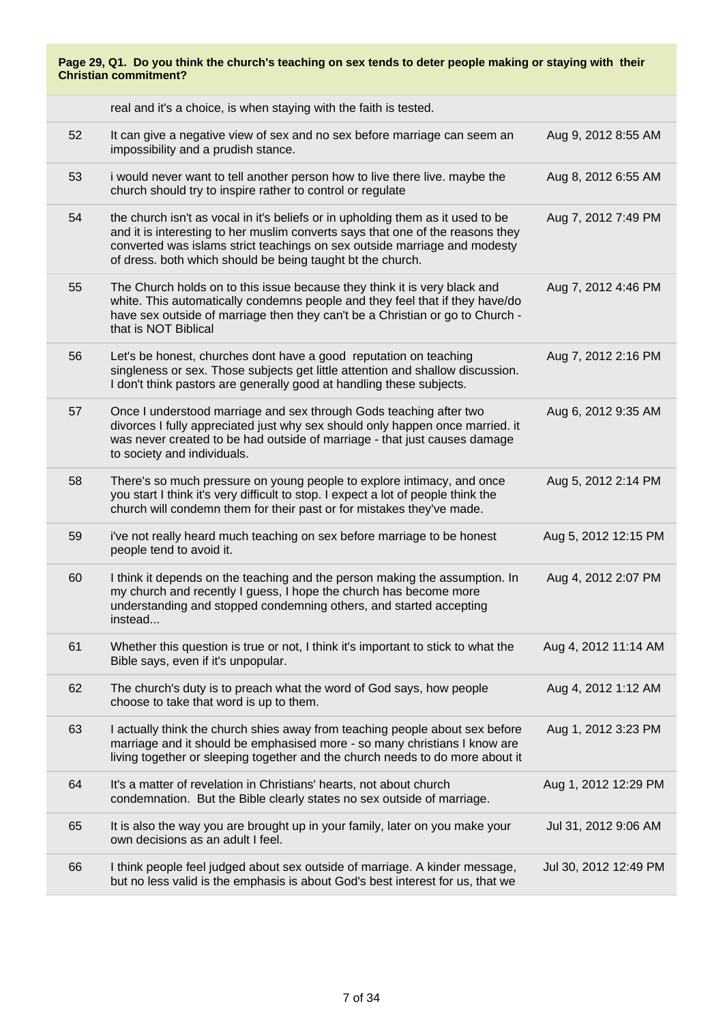| Page 29, Q1. Do you think the church's teaching on sex tends to deter people making or staying with their<br><b>Christian commitment?</b> |                                                                                                                                                                                                                                                                                                              |                       |
|-------------------------------------------------------------------------------------------------------------------------------------------|--------------------------------------------------------------------------------------------------------------------------------------------------------------------------------------------------------------------------------------------------------------------------------------------------------------|-----------------------|
|                                                                                                                                           | real and it's a choice, is when staying with the faith is tested.                                                                                                                                                                                                                                            |                       |
| 52                                                                                                                                        | It can give a negative view of sex and no sex before marriage can seem an<br>impossibility and a prudish stance.                                                                                                                                                                                             | Aug 9, 2012 8:55 AM   |
| 53                                                                                                                                        | i would never want to tell another person how to live there live. maybe the<br>church should try to inspire rather to control or regulate                                                                                                                                                                    | Aug 8, 2012 6:55 AM   |
| 54                                                                                                                                        | the church isn't as vocal in it's beliefs or in upholding them as it used to be<br>and it is interesting to her muslim converts says that one of the reasons they<br>converted was islams strict teachings on sex outside marriage and modesty<br>of dress. both which should be being taught bt the church. | Aug 7, 2012 7:49 PM   |
| 55                                                                                                                                        | The Church holds on to this issue because they think it is very black and<br>white. This automatically condemns people and they feel that if they have/do<br>have sex outside of marriage then they can't be a Christian or go to Church -<br>that is NOT Biblical                                           | Aug 7, 2012 4:46 PM   |
| 56                                                                                                                                        | Let's be honest, churches dont have a good reputation on teaching<br>singleness or sex. Those subjects get little attention and shallow discussion.<br>I don't think pastors are generally good at handling these subjects.                                                                                  | Aug 7, 2012 2:16 PM   |
| 57                                                                                                                                        | Once I understood marriage and sex through Gods teaching after two<br>divorces I fully appreciated just why sex should only happen once married. it<br>was never created to be had outside of marriage - that just causes damage<br>to society and individuals.                                              | Aug 6, 2012 9:35 AM   |
| 58                                                                                                                                        | There's so much pressure on young people to explore intimacy, and once<br>you start I think it's very difficult to stop. I expect a lot of people think the<br>church will condemn them for their past or for mistakes they've made.                                                                         | Aug 5, 2012 2:14 PM   |
| 59                                                                                                                                        | i've not really heard much teaching on sex before marriage to be honest<br>people tend to avoid it.                                                                                                                                                                                                          | Aug 5, 2012 12:15 PM  |
| 60                                                                                                                                        | I think it depends on the teaching and the person making the assumption. In<br>my church and recently I guess, I hope the church has become more<br>understanding and stopped condemning others, and started accepting<br>instead                                                                            | Aug 4, 2012 2:07 PM   |
| 61                                                                                                                                        | Whether this question is true or not, I think it's important to stick to what the<br>Bible says, even if it's unpopular.                                                                                                                                                                                     | Aug 4, 2012 11:14 AM  |
| 62                                                                                                                                        | The church's duty is to preach what the word of God says, how people<br>choose to take that word is up to them.                                                                                                                                                                                              | Aug 4, 2012 1:12 AM   |
| 63                                                                                                                                        | I actually think the church shies away from teaching people about sex before<br>marriage and it should be emphasised more - so many christians I know are<br>living together or sleeping together and the church needs to do more about it                                                                   | Aug 1, 2012 3:23 PM   |
| 64                                                                                                                                        | It's a matter of revelation in Christians' hearts, not about church<br>condemnation. But the Bible clearly states no sex outside of marriage.                                                                                                                                                                | Aug 1, 2012 12:29 PM  |
| 65                                                                                                                                        | It is also the way you are brought up in your family, later on you make your<br>own decisions as an adult I feel.                                                                                                                                                                                            | Jul 31, 2012 9:06 AM  |
| 66                                                                                                                                        | I think people feel judged about sex outside of marriage. A kinder message,<br>but no less valid is the emphasis is about God's best interest for us, that we                                                                                                                                                | Jul 30, 2012 12:49 PM |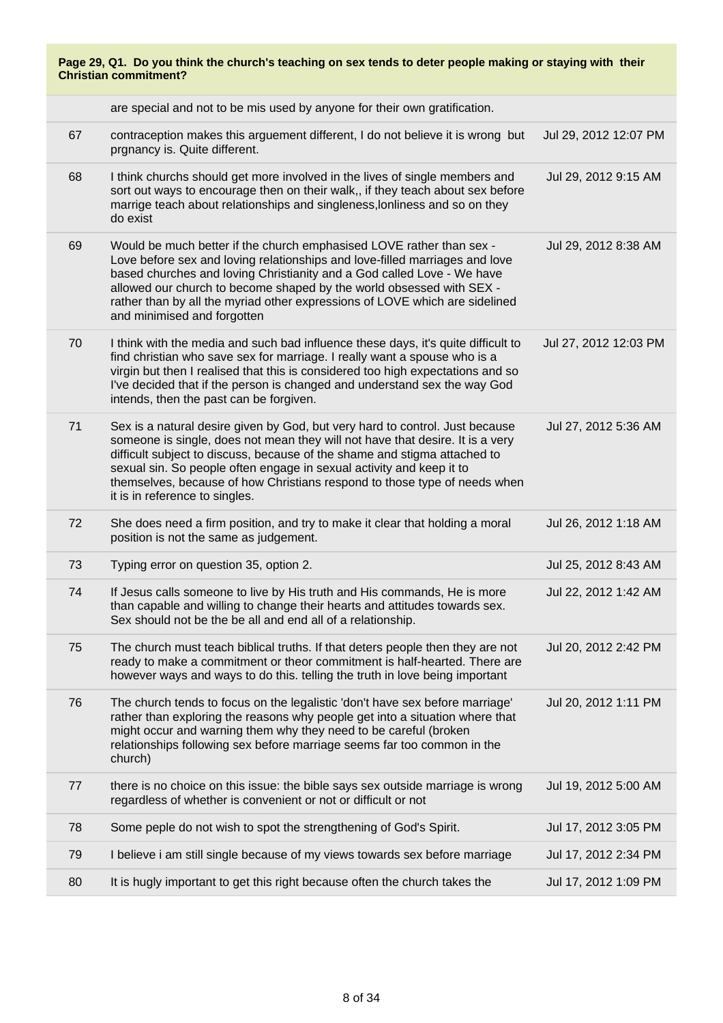| Page 29, Q1. Do you think the church's teaching on sex tends to deter people making or staying with their<br><b>Christian commitment?</b> |                                                                                                                                                                                                                                                                                                                                                                                                                                   |                       |
|-------------------------------------------------------------------------------------------------------------------------------------------|-----------------------------------------------------------------------------------------------------------------------------------------------------------------------------------------------------------------------------------------------------------------------------------------------------------------------------------------------------------------------------------------------------------------------------------|-----------------------|
|                                                                                                                                           | are special and not to be mis used by anyone for their own gratification.                                                                                                                                                                                                                                                                                                                                                         |                       |
| 67                                                                                                                                        | contraception makes this arguement different, I do not believe it is wrong but<br>prgnancy is. Quite different.                                                                                                                                                                                                                                                                                                                   | Jul 29, 2012 12:07 PM |
| 68                                                                                                                                        | I think churchs should get more involved in the lives of single members and<br>sort out ways to encourage then on their walk,, if they teach about sex before<br>marrige teach about relationships and singleness, lonliness and so on they<br>do exist                                                                                                                                                                           | Jul 29, 2012 9:15 AM  |
| 69                                                                                                                                        | Would be much better if the church emphasised LOVE rather than sex -<br>Love before sex and loving relationships and love-filled marriages and love<br>based churches and loving Christianity and a God called Love - We have<br>allowed our church to become shaped by the world obsessed with SEX -<br>rather than by all the myriad other expressions of LOVE which are sidelined<br>and minimised and forgotten               | Jul 29, 2012 8:38 AM  |
| 70                                                                                                                                        | I think with the media and such bad influence these days, it's quite difficult to<br>find christian who save sex for marriage. I really want a spouse who is a<br>virgin but then I realised that this is considered too high expectations and so<br>I've decided that if the person is changed and understand sex the way God<br>intends, then the past can be forgiven.                                                         | Jul 27, 2012 12:03 PM |
| 71                                                                                                                                        | Sex is a natural desire given by God, but very hard to control. Just because<br>someone is single, does not mean they will not have that desire. It is a very<br>difficult subject to discuss, because of the shame and stigma attached to<br>sexual sin. So people often engage in sexual activity and keep it to<br>themselves, because of how Christians respond to those type of needs when<br>it is in reference to singles. | Jul 27, 2012 5:36 AM  |
| 72                                                                                                                                        | She does need a firm position, and try to make it clear that holding a moral<br>position is not the same as judgement.                                                                                                                                                                                                                                                                                                            | Jul 26, 2012 1:18 AM  |
| 73                                                                                                                                        | Typing error on question 35, option 2.                                                                                                                                                                                                                                                                                                                                                                                            | Jul 25, 2012 8:43 AM  |
| 74                                                                                                                                        | If Jesus calls someone to live by His truth and His commands, He is more<br>than capable and willing to change their hearts and attitudes towards sex.<br>Sex should not be the be all and end all of a relationship.                                                                                                                                                                                                             | Jul 22, 2012 1:42 AM  |
| 75                                                                                                                                        | The church must teach biblical truths. If that deters people then they are not<br>ready to make a commitment or theor commitment is half-hearted. There are<br>however ways and ways to do this. telling the truth in love being important                                                                                                                                                                                        | Jul 20, 2012 2:42 PM  |
| 76                                                                                                                                        | The church tends to focus on the legalistic 'don't have sex before marriage'<br>rather than exploring the reasons why people get into a situation where that<br>might occur and warning them why they need to be careful (broken<br>relationships following sex before marriage seems far too common in the<br>church)                                                                                                            | Jul 20, 2012 1:11 PM  |
| 77                                                                                                                                        | there is no choice on this issue: the bible says sex outside marriage is wrong<br>regardless of whether is convenient or not or difficult or not                                                                                                                                                                                                                                                                                  | Jul 19, 2012 5:00 AM  |
| 78                                                                                                                                        | Some peple do not wish to spot the strengthening of God's Spirit.                                                                                                                                                                                                                                                                                                                                                                 | Jul 17, 2012 3:05 PM  |
| 79                                                                                                                                        | I believe i am still single because of my views towards sex before marriage                                                                                                                                                                                                                                                                                                                                                       | Jul 17, 2012 2:34 PM  |
| 80                                                                                                                                        | It is hugly important to get this right because often the church takes the                                                                                                                                                                                                                                                                                                                                                        | Jul 17, 2012 1:09 PM  |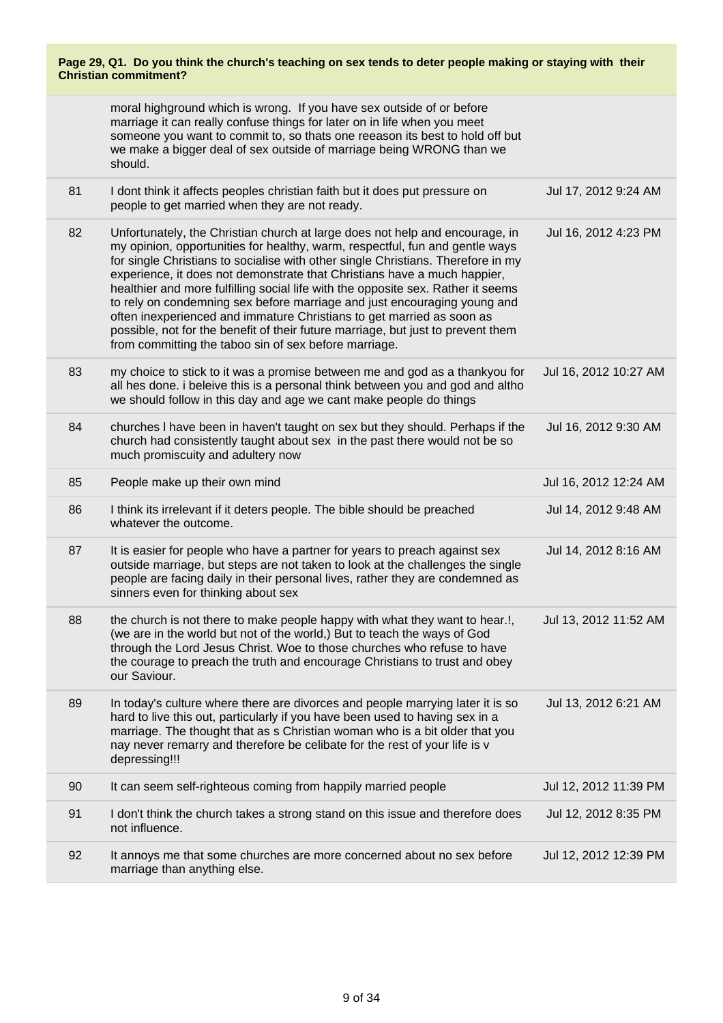moral highground which is wrong. If you have sex outside of or before marriage it can really confuse things for later on in life when you meet someone you want to commit to, so thats one reeason its best to hold off but we make a bigger deal of sex outside of marriage being WRONG than we should.

| 81 | I dont think it affects peoples christian faith but it does put pressure on<br>people to get married when they are not ready.                                                                                                                                                                                                                                                                                                                                                                                                                                                                                                                                                                                      | Jul 17, 2012 9:24 AM  |
|----|--------------------------------------------------------------------------------------------------------------------------------------------------------------------------------------------------------------------------------------------------------------------------------------------------------------------------------------------------------------------------------------------------------------------------------------------------------------------------------------------------------------------------------------------------------------------------------------------------------------------------------------------------------------------------------------------------------------------|-----------------------|
| 82 | Unfortunately, the Christian church at large does not help and encourage, in<br>my opinion, opportunities for healthy, warm, respectful, fun and gentle ways<br>for single Christians to socialise with other single Christians. Therefore in my<br>experience, it does not demonstrate that Christians have a much happier,<br>healthier and more fulfilling social life with the opposite sex. Rather it seems<br>to rely on condemning sex before marriage and just encouraging young and<br>often inexperienced and immature Christians to get married as soon as<br>possible, not for the benefit of their future marriage, but just to prevent them<br>from committing the taboo sin of sex before marriage. | Jul 16, 2012 4:23 PM  |
| 83 | my choice to stick to it was a promise between me and god as a thankyou for<br>all hes done. i beleive this is a personal think between you and god and altho<br>we should follow in this day and age we cant make people do things                                                                                                                                                                                                                                                                                                                                                                                                                                                                                | Jul 16, 2012 10:27 AM |
| 84 | churches I have been in haven't taught on sex but they should. Perhaps if the<br>church had consistently taught about sex in the past there would not be so<br>much promiscuity and adultery now                                                                                                                                                                                                                                                                                                                                                                                                                                                                                                                   | Jul 16, 2012 9:30 AM  |
| 85 | People make up their own mind                                                                                                                                                                                                                                                                                                                                                                                                                                                                                                                                                                                                                                                                                      | Jul 16, 2012 12:24 AM |
| 86 | I think its irrelevant if it deters people. The bible should be preached<br>whatever the outcome.                                                                                                                                                                                                                                                                                                                                                                                                                                                                                                                                                                                                                  | Jul 14, 2012 9:48 AM  |
| 87 | It is easier for people who have a partner for years to preach against sex<br>outside marriage, but steps are not taken to look at the challenges the single<br>people are facing daily in their personal lives, rather they are condemned as<br>sinners even for thinking about sex                                                                                                                                                                                                                                                                                                                                                                                                                               | Jul 14, 2012 8:16 AM  |
| 88 | the church is not there to make people happy with what they want to hear.!,<br>(we are in the world but not of the world,) But to teach the ways of God<br>through the Lord Jesus Christ. Woe to those churches who refuse to have<br>the courage to preach the truth and encourage Christians to trust and obey<br>our Saviour.                                                                                                                                                                                                                                                                                                                                                                                   | Jul 13, 2012 11:52 AM |
| 89 | In today's culture where there are divorces and people marrying later it is so<br>hard to live this out, particularly if you have been used to having sex in a<br>marriage. The thought that as s Christian woman who is a bit older that you<br>nay never remarry and therefore be celibate for the rest of your life is v<br>depressing!!!                                                                                                                                                                                                                                                                                                                                                                       | Jul 13, 2012 6:21 AM  |
| 90 | It can seem self-righteous coming from happily married people                                                                                                                                                                                                                                                                                                                                                                                                                                                                                                                                                                                                                                                      | Jul 12, 2012 11:39 PM |
| 91 | I don't think the church takes a strong stand on this issue and therefore does<br>not influence.                                                                                                                                                                                                                                                                                                                                                                                                                                                                                                                                                                                                                   | Jul 12, 2012 8:35 PM  |
| 92 | It annoys me that some churches are more concerned about no sex before<br>marriage than anything else.                                                                                                                                                                                                                                                                                                                                                                                                                                                                                                                                                                                                             | Jul 12, 2012 12:39 PM |
|    |                                                                                                                                                                                                                                                                                                                                                                                                                                                                                                                                                                                                                                                                                                                    |                       |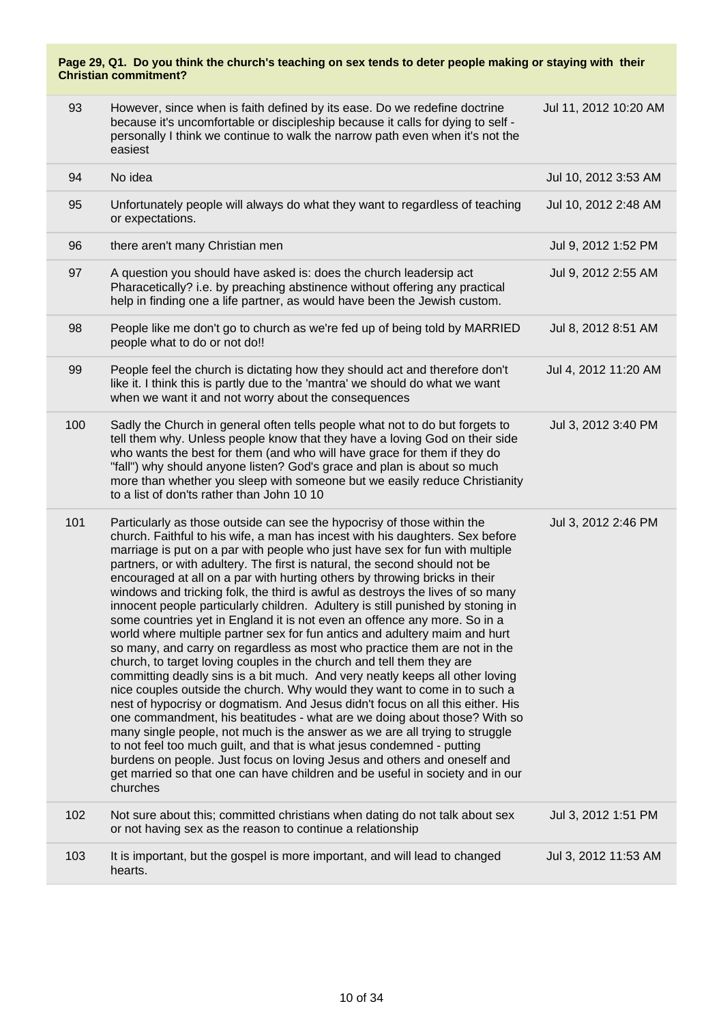| 93  | However, since when is faith defined by its ease. Do we redefine doctrine<br>because it's uncomfortable or discipleship because it calls for dying to self -<br>personally I think we continue to walk the narrow path even when it's not the<br>easiest                                                                                                                                                                                                                                                                                                                                                                                                                                                                                                                                                                                                                                                                                                                                                                                                                                                                                                                                                                                                                                                                                                                                                                                                                                                                                                | Jul 11, 2012 10:20 AM |
|-----|---------------------------------------------------------------------------------------------------------------------------------------------------------------------------------------------------------------------------------------------------------------------------------------------------------------------------------------------------------------------------------------------------------------------------------------------------------------------------------------------------------------------------------------------------------------------------------------------------------------------------------------------------------------------------------------------------------------------------------------------------------------------------------------------------------------------------------------------------------------------------------------------------------------------------------------------------------------------------------------------------------------------------------------------------------------------------------------------------------------------------------------------------------------------------------------------------------------------------------------------------------------------------------------------------------------------------------------------------------------------------------------------------------------------------------------------------------------------------------------------------------------------------------------------------------|-----------------------|
| 94  | No idea                                                                                                                                                                                                                                                                                                                                                                                                                                                                                                                                                                                                                                                                                                                                                                                                                                                                                                                                                                                                                                                                                                                                                                                                                                                                                                                                                                                                                                                                                                                                                 | Jul 10, 2012 3:53 AM  |
| 95  | Unfortunately people will always do what they want to regardless of teaching<br>or expectations.                                                                                                                                                                                                                                                                                                                                                                                                                                                                                                                                                                                                                                                                                                                                                                                                                                                                                                                                                                                                                                                                                                                                                                                                                                                                                                                                                                                                                                                        | Jul 10, 2012 2:48 AM  |
| 96  | there aren't many Christian men                                                                                                                                                                                                                                                                                                                                                                                                                                                                                                                                                                                                                                                                                                                                                                                                                                                                                                                                                                                                                                                                                                                                                                                                                                                                                                                                                                                                                                                                                                                         | Jul 9, 2012 1:52 PM   |
| 97  | A question you should have asked is: does the church leadersip act<br>Pharacetically? i.e. by preaching abstinence without offering any practical<br>help in finding one a life partner, as would have been the Jewish custom.                                                                                                                                                                                                                                                                                                                                                                                                                                                                                                                                                                                                                                                                                                                                                                                                                                                                                                                                                                                                                                                                                                                                                                                                                                                                                                                          | Jul 9, 2012 2:55 AM   |
| 98  | People like me don't go to church as we're fed up of being told by MARRIED<br>people what to do or not do!!                                                                                                                                                                                                                                                                                                                                                                                                                                                                                                                                                                                                                                                                                                                                                                                                                                                                                                                                                                                                                                                                                                                                                                                                                                                                                                                                                                                                                                             | Jul 8, 2012 8:51 AM   |
| 99  | People feel the church is dictating how they should act and therefore don't<br>like it. I think this is partly due to the 'mantra' we should do what we want<br>when we want it and not worry about the consequences                                                                                                                                                                                                                                                                                                                                                                                                                                                                                                                                                                                                                                                                                                                                                                                                                                                                                                                                                                                                                                                                                                                                                                                                                                                                                                                                    | Jul 4, 2012 11:20 AM  |
| 100 | Sadly the Church in general often tells people what not to do but forgets to<br>tell them why. Unless people know that they have a loving God on their side<br>who wants the best for them (and who will have grace for them if they do<br>"fall") why should anyone listen? God's grace and plan is about so much<br>more than whether you sleep with someone but we easily reduce Christianity<br>to a list of don'ts rather than John 10 10                                                                                                                                                                                                                                                                                                                                                                                                                                                                                                                                                                                                                                                                                                                                                                                                                                                                                                                                                                                                                                                                                                          | Jul 3, 2012 3:40 PM   |
| 101 | Particularly as those outside can see the hypocrisy of those within the<br>church. Faithful to his wife, a man has incest with his daughters. Sex before<br>marriage is put on a par with people who just have sex for fun with multiple<br>partners, or with adultery. The first is natural, the second should not be<br>encouraged at all on a par with hurting others by throwing bricks in their<br>windows and tricking folk, the third is awful as destroys the lives of so many<br>innocent people particularly children. Adultery is still punished by stoning in<br>some countries yet in England it is not even an offence any more. So in a<br>world where multiple partner sex for fun antics and adultery maim and hurt<br>so many, and carry on regardless as most who practice them are not in the<br>church, to target loving couples in the church and tell them they are<br>committing deadly sins is a bit much. And very neatly keeps all other loving<br>nice couples outside the church. Why would they want to come in to such a<br>nest of hypocrisy or dogmatism. And Jesus didn't focus on all this either. His<br>one commandment, his beatitudes - what are we doing about those? With so<br>many single people, not much is the answer as we are all trying to struggle<br>to not feel too much guilt, and that is what jesus condemned - putting<br>burdens on people. Just focus on loving Jesus and others and oneself and<br>get married so that one can have children and be useful in society and in our<br>churches | Jul 3, 2012 2:46 PM   |
| 102 | Not sure about this; committed christians when dating do not talk about sex<br>or not having sex as the reason to continue a relationship                                                                                                                                                                                                                                                                                                                                                                                                                                                                                                                                                                                                                                                                                                                                                                                                                                                                                                                                                                                                                                                                                                                                                                                                                                                                                                                                                                                                               | Jul 3, 2012 1:51 PM   |
| 103 | It is important, but the gospel is more important, and will lead to changed<br>hearts.                                                                                                                                                                                                                                                                                                                                                                                                                                                                                                                                                                                                                                                                                                                                                                                                                                                                                                                                                                                                                                                                                                                                                                                                                                                                                                                                                                                                                                                                  | Jul 3, 2012 11:53 AM  |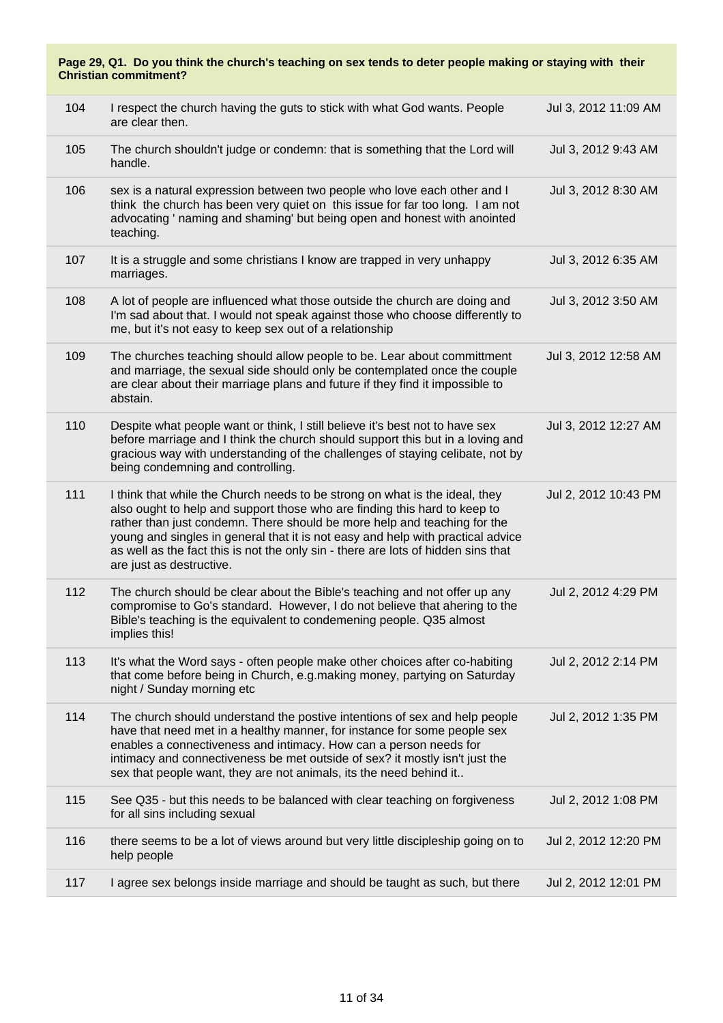| Page 29, Q1. Do you think the church's teaching on sex tends to deter people making or staying with their<br><b>Christian commitment?</b> |                                                                                                                                                                                                                                                                                                                                                                                                                                          |                      |
|-------------------------------------------------------------------------------------------------------------------------------------------|------------------------------------------------------------------------------------------------------------------------------------------------------------------------------------------------------------------------------------------------------------------------------------------------------------------------------------------------------------------------------------------------------------------------------------------|----------------------|
| 104                                                                                                                                       | I respect the church having the guts to stick with what God wants. People<br>are clear then.                                                                                                                                                                                                                                                                                                                                             | Jul 3, 2012 11:09 AM |
| 105                                                                                                                                       | The church shouldn't judge or condemn: that is something that the Lord will<br>handle.                                                                                                                                                                                                                                                                                                                                                   | Jul 3, 2012 9:43 AM  |
| 106                                                                                                                                       | sex is a natural expression between two people who love each other and I<br>think the church has been very quiet on this issue for far too long. I am not<br>advocating ' naming and shaming' but being open and honest with anointed<br>teaching.                                                                                                                                                                                       | Jul 3, 2012 8:30 AM  |
| 107                                                                                                                                       | It is a struggle and some christians I know are trapped in very unhappy<br>marriages.                                                                                                                                                                                                                                                                                                                                                    | Jul 3, 2012 6:35 AM  |
| 108                                                                                                                                       | A lot of people are influenced what those outside the church are doing and<br>I'm sad about that. I would not speak against those who choose differently to<br>me, but it's not easy to keep sex out of a relationship                                                                                                                                                                                                                   | Jul 3, 2012 3:50 AM  |
| 109                                                                                                                                       | The churches teaching should allow people to be. Lear about committment<br>and marriage, the sexual side should only be contemplated once the couple<br>are clear about their marriage plans and future if they find it impossible to<br>abstain.                                                                                                                                                                                        | Jul 3, 2012 12:58 AM |
| 110                                                                                                                                       | Despite what people want or think, I still believe it's best not to have sex<br>before marriage and I think the church should support this but in a loving and<br>gracious way with understanding of the challenges of staying celibate, not by<br>being condemning and controlling.                                                                                                                                                     | Jul 3, 2012 12:27 AM |
| 111                                                                                                                                       | I think that while the Church needs to be strong on what is the ideal, they<br>also ought to help and support those who are finding this hard to keep to<br>rather than just condemn. There should be more help and teaching for the<br>young and singles in general that it is not easy and help with practical advice<br>as well as the fact this is not the only sin - there are lots of hidden sins that<br>are just as destructive. | Jul 2, 2012 10:43 PM |
| 112                                                                                                                                       | The church should be clear about the Bible's teaching and not offer up any<br>compromise to Go's standard. However, I do not believe that ahering to the<br>Bible's teaching is the equivalent to condemening people. Q35 almost<br>implies this!                                                                                                                                                                                        | Jul 2, 2012 4:29 PM  |
| 113                                                                                                                                       | It's what the Word says - often people make other choices after co-habiting<br>that come before being in Church, e.g.making money, partying on Saturday<br>night / Sunday morning etc                                                                                                                                                                                                                                                    | Jul 2, 2012 2:14 PM  |
| 114                                                                                                                                       | The church should understand the postive intentions of sex and help people<br>have that need met in a healthy manner, for instance for some people sex<br>enables a connectiveness and intimacy. How can a person needs for<br>intimacy and connectiveness be met outside of sex? it mostly isn't just the<br>sex that people want, they are not animals, its the need behind it                                                         | Jul 2, 2012 1:35 PM  |
| 115                                                                                                                                       | See Q35 - but this needs to be balanced with clear teaching on forgiveness<br>for all sins including sexual                                                                                                                                                                                                                                                                                                                              | Jul 2, 2012 1:08 PM  |
| 116                                                                                                                                       | there seems to be a lot of views around but very little discipleship going on to<br>help people                                                                                                                                                                                                                                                                                                                                          | Jul 2, 2012 12:20 PM |
| 117                                                                                                                                       | I agree sex belongs inside marriage and should be taught as such, but there                                                                                                                                                                                                                                                                                                                                                              | Jul 2, 2012 12:01 PM |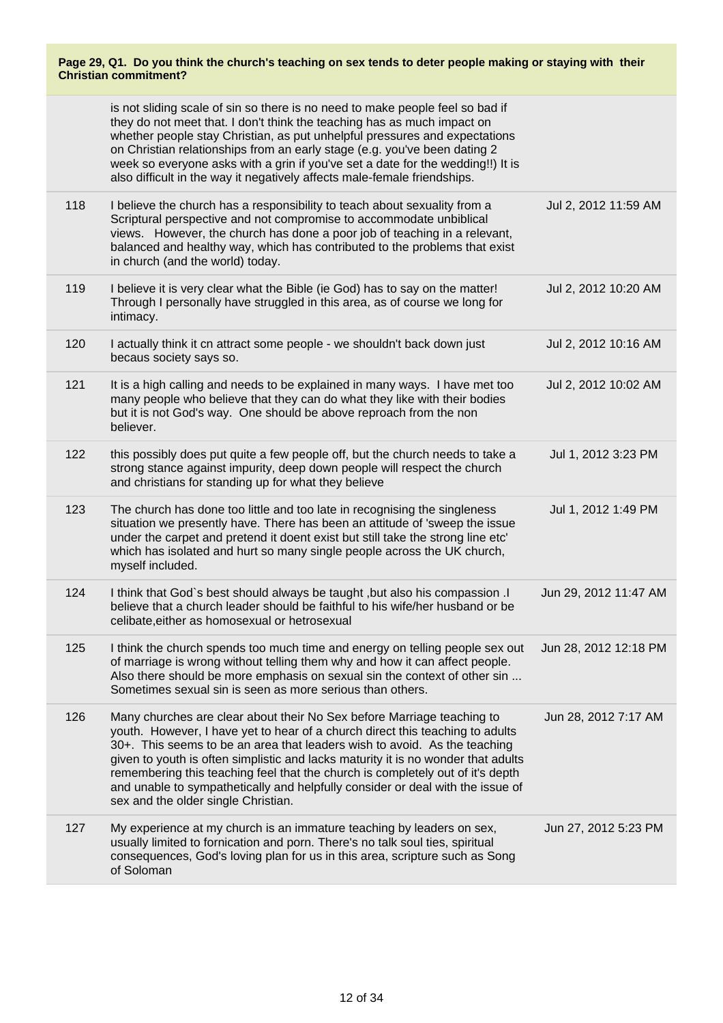| Page 29, Q1. Do you think the church's teaching on sex tends to deter people making or staying with their<br><b>Christian commitment?</b> |                                                                                                                                                                                                                                                                                                                                                                                                                                                                                                                                      |                       |
|-------------------------------------------------------------------------------------------------------------------------------------------|--------------------------------------------------------------------------------------------------------------------------------------------------------------------------------------------------------------------------------------------------------------------------------------------------------------------------------------------------------------------------------------------------------------------------------------------------------------------------------------------------------------------------------------|-----------------------|
|                                                                                                                                           | is not sliding scale of sin so there is no need to make people feel so bad if<br>they do not meet that. I don't think the teaching has as much impact on<br>whether people stay Christian, as put unhelpful pressures and expectations<br>on Christian relationships from an early stage (e.g. you've been dating 2<br>week so everyone asks with a grin if you've set a date for the wedding!!) It is<br>also difficult in the way it negatively affects male-female friendships.                                                   |                       |
| 118                                                                                                                                       | I believe the church has a responsibility to teach about sexuality from a<br>Scriptural perspective and not compromise to accommodate unbiblical<br>views. However, the church has done a poor job of teaching in a relevant,<br>balanced and healthy way, which has contributed to the problems that exist<br>in church (and the world) today.                                                                                                                                                                                      | Jul 2, 2012 11:59 AM  |
| 119                                                                                                                                       | I believe it is very clear what the Bible (ie God) has to say on the matter!<br>Through I personally have struggled in this area, as of course we long for<br>intimacy.                                                                                                                                                                                                                                                                                                                                                              | Jul 2, 2012 10:20 AM  |
| 120                                                                                                                                       | I actually think it cn attract some people - we shouldn't back down just<br>becaus society says so.                                                                                                                                                                                                                                                                                                                                                                                                                                  | Jul 2, 2012 10:16 AM  |
| 121                                                                                                                                       | It is a high calling and needs to be explained in many ways. I have met too<br>many people who believe that they can do what they like with their bodies<br>but it is not God's way. One should be above reproach from the non<br>believer.                                                                                                                                                                                                                                                                                          | Jul 2, 2012 10:02 AM  |
| 122                                                                                                                                       | this possibly does put quite a few people off, but the church needs to take a<br>strong stance against impurity, deep down people will respect the church<br>and christians for standing up for what they believe                                                                                                                                                                                                                                                                                                                    | Jul 1, 2012 3:23 PM   |
| 123                                                                                                                                       | The church has done too little and too late in recognising the singleness<br>situation we presently have. There has been an attitude of 'sweep the issue<br>under the carpet and pretend it doent exist but still take the strong line etc'<br>which has isolated and hurt so many single people across the UK church,<br>myself included.                                                                                                                                                                                           | Jul 1, 2012 1:49 PM   |
| 124                                                                                                                                       | I think that God's best should always be taught, but also his compassion .I<br>believe that a church leader should be faithful to his wife/her husband or be<br>celibate, either as homosexual or hetrosexual                                                                                                                                                                                                                                                                                                                        | Jun 29, 2012 11:47 AM |
| 125                                                                                                                                       | I think the church spends too much time and energy on telling people sex out<br>of marriage is wrong without telling them why and how it can affect people.<br>Also there should be more emphasis on sexual sin the context of other sin<br>Sometimes sexual sin is seen as more serious than others.                                                                                                                                                                                                                                | Jun 28, 2012 12:18 PM |
| 126                                                                                                                                       | Many churches are clear about their No Sex before Marriage teaching to<br>youth. However, I have yet to hear of a church direct this teaching to adults<br>30+. This seems to be an area that leaders wish to avoid. As the teaching<br>given to youth is often simplistic and lacks maturity it is no wonder that adults<br>remembering this teaching feel that the church is completely out of it's depth<br>and unable to sympathetically and helpfully consider or deal with the issue of<br>sex and the older single Christian. | Jun 28, 2012 7:17 AM  |
| 127                                                                                                                                       | My experience at my church is an immature teaching by leaders on sex,<br>usually limited to fornication and porn. There's no talk soul ties, spiritual<br>consequences, God's loving plan for us in this area, scripture such as Song<br>of Soloman                                                                                                                                                                                                                                                                                  | Jun 27, 2012 5:23 PM  |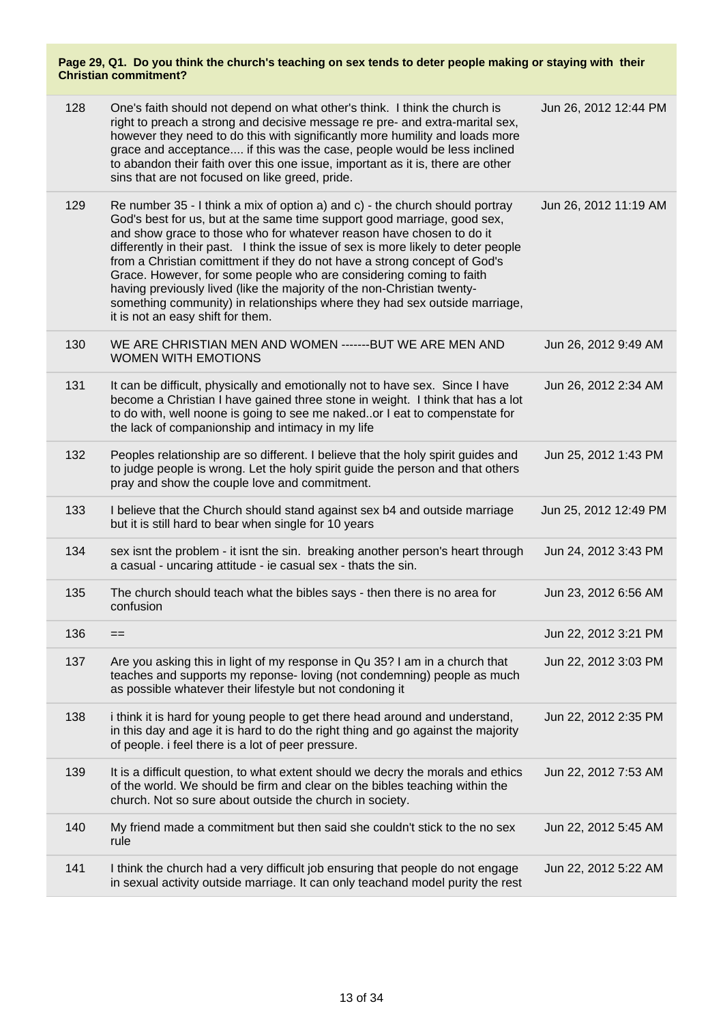| 128 | One's faith should not depend on what other's think. I think the church is<br>right to preach a strong and decisive message re pre- and extra-marital sex,<br>however they need to do this with significantly more humility and loads more<br>grace and acceptance if this was the case, people would be less inclined<br>to abandon their faith over this one issue, important as it is, there are other<br>sins that are not focused on like greed, pride.                                                                                                                                                                                                             | Jun 26, 2012 12:44 PM |
|-----|--------------------------------------------------------------------------------------------------------------------------------------------------------------------------------------------------------------------------------------------------------------------------------------------------------------------------------------------------------------------------------------------------------------------------------------------------------------------------------------------------------------------------------------------------------------------------------------------------------------------------------------------------------------------------|-----------------------|
| 129 | Re number 35 - I think a mix of option a) and c) - the church should portray<br>God's best for us, but at the same time support good marriage, good sex,<br>and show grace to those who for whatever reason have chosen to do it<br>differently in their past. I think the issue of sex is more likely to deter people<br>from a Christian comittment if they do not have a strong concept of God's<br>Grace. However, for some people who are considering coming to faith<br>having previously lived (like the majority of the non-Christian twenty-<br>something community) in relationships where they had sex outside marriage,<br>it is not an easy shift for them. | Jun 26, 2012 11:19 AM |
| 130 | WE ARE CHRISTIAN MEN AND WOMEN ------- BUT WE ARE MEN AND<br><b>WOMEN WITH EMOTIONS</b>                                                                                                                                                                                                                                                                                                                                                                                                                                                                                                                                                                                  | Jun 26, 2012 9:49 AM  |
| 131 | It can be difficult, physically and emotionally not to have sex. Since I have<br>become a Christian I have gained three stone in weight. I think that has a lot<br>to do with, well noone is going to see me nakedor I eat to compenstate for<br>the lack of companionship and intimacy in my life                                                                                                                                                                                                                                                                                                                                                                       | Jun 26, 2012 2:34 AM  |
| 132 | Peoples relationship are so different. I believe that the holy spirit guides and<br>to judge people is wrong. Let the holy spirit guide the person and that others<br>pray and show the couple love and commitment.                                                                                                                                                                                                                                                                                                                                                                                                                                                      | Jun 25, 2012 1:43 PM  |
| 133 | I believe that the Church should stand against sex b4 and outside marriage<br>but it is still hard to bear when single for 10 years                                                                                                                                                                                                                                                                                                                                                                                                                                                                                                                                      | Jun 25, 2012 12:49 PM |
| 134 | sex isnt the problem - it isnt the sin. breaking another person's heart through<br>a casual - uncaring attitude - ie casual sex - thats the sin.                                                                                                                                                                                                                                                                                                                                                                                                                                                                                                                         | Jun 24, 2012 3:43 PM  |
| 135 | The church should teach what the bibles says - then there is no area for<br>confusion                                                                                                                                                                                                                                                                                                                                                                                                                                                                                                                                                                                    | Jun 23, 2012 6:56 AM  |
| 136 | $==$                                                                                                                                                                                                                                                                                                                                                                                                                                                                                                                                                                                                                                                                     | Jun 22, 2012 3:21 PM  |
| 137 | Are you asking this in light of my response in Qu 35? I am in a church that<br>teaches and supports my reponse-loving (not condemning) people as much<br>as possible whatever their lifestyle but not condoning it                                                                                                                                                                                                                                                                                                                                                                                                                                                       | Jun 22, 2012 3:03 PM  |
| 138 | i think it is hard for young people to get there head around and understand,<br>in this day and age it is hard to do the right thing and go against the majority<br>of people. i feel there is a lot of peer pressure.                                                                                                                                                                                                                                                                                                                                                                                                                                                   | Jun 22, 2012 2:35 PM  |
| 139 | It is a difficult question, to what extent should we decry the morals and ethics<br>of the world. We should be firm and clear on the bibles teaching within the<br>church. Not so sure about outside the church in society.                                                                                                                                                                                                                                                                                                                                                                                                                                              | Jun 22, 2012 7:53 AM  |
| 140 | My friend made a commitment but then said she couldn't stick to the no sex<br>rule                                                                                                                                                                                                                                                                                                                                                                                                                                                                                                                                                                                       | Jun 22, 2012 5:45 AM  |
| 141 | I think the church had a very difficult job ensuring that people do not engage<br>in sexual activity outside marriage. It can only teachand model purity the rest                                                                                                                                                                                                                                                                                                                                                                                                                                                                                                        | Jun 22, 2012 5:22 AM  |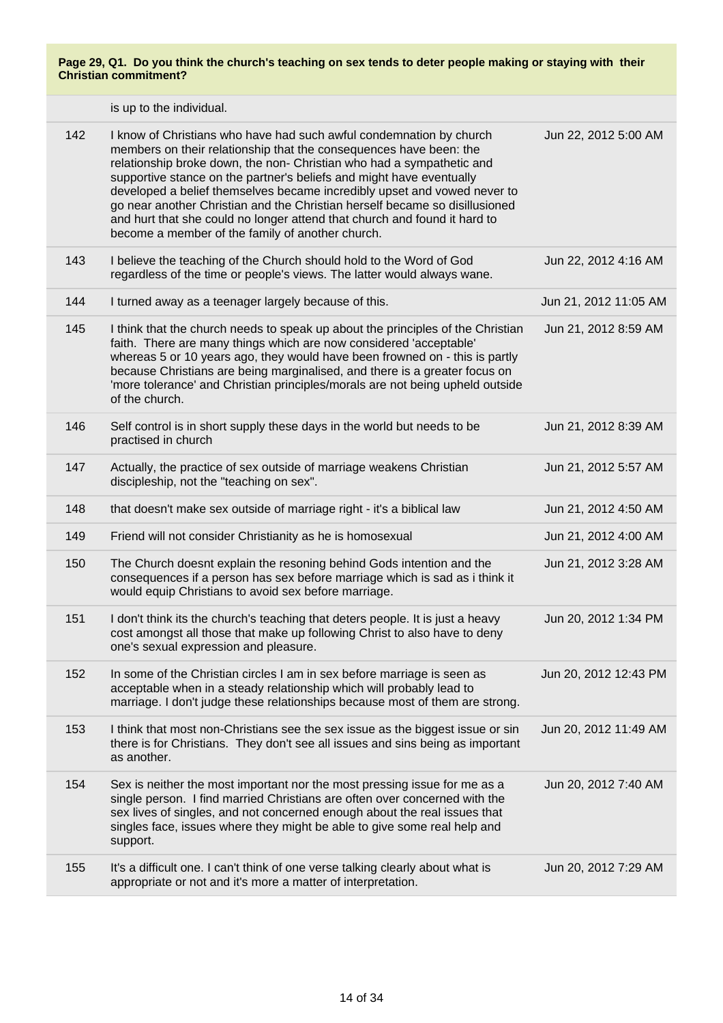| 142 | I know of Christians who have had such awful condemnation by church<br>members on their relationship that the consequences have been: the<br>relationship broke down, the non- Christian who had a sympathetic and<br>supportive stance on the partner's beliefs and might have eventually<br>developed a belief themselves became incredibly upset and vowed never to<br>go near another Christian and the Christian herself became so disillusioned<br>and hurt that she could no longer attend that church and found it hard to<br>become a member of the family of another church. | Jun 22, 2012 5:00 AM  |
|-----|----------------------------------------------------------------------------------------------------------------------------------------------------------------------------------------------------------------------------------------------------------------------------------------------------------------------------------------------------------------------------------------------------------------------------------------------------------------------------------------------------------------------------------------------------------------------------------------|-----------------------|
| 143 | I believe the teaching of the Church should hold to the Word of God<br>regardless of the time or people's views. The latter would always wane.                                                                                                                                                                                                                                                                                                                                                                                                                                         | Jun 22, 2012 4:16 AM  |
| 144 | I turned away as a teenager largely because of this.                                                                                                                                                                                                                                                                                                                                                                                                                                                                                                                                   | Jun 21, 2012 11:05 AM |
| 145 | I think that the church needs to speak up about the principles of the Christian<br>faith. There are many things which are now considered 'acceptable'<br>whereas 5 or 10 years ago, they would have been frowned on - this is partly<br>because Christians are being marginalised, and there is a greater focus on<br>'more tolerance' and Christian principles/morals are not being upheld outside<br>of the church.                                                                                                                                                                  | Jun 21, 2012 8:59 AM  |
| 146 | Self control is in short supply these days in the world but needs to be<br>practised in church                                                                                                                                                                                                                                                                                                                                                                                                                                                                                         | Jun 21, 2012 8:39 AM  |
| 147 | Actually, the practice of sex outside of marriage weakens Christian<br>discipleship, not the "teaching on sex".                                                                                                                                                                                                                                                                                                                                                                                                                                                                        | Jun 21, 2012 5:57 AM  |
| 148 | that doesn't make sex outside of marriage right - it's a biblical law                                                                                                                                                                                                                                                                                                                                                                                                                                                                                                                  | Jun 21, 2012 4:50 AM  |
| 149 | Friend will not consider Christianity as he is homosexual                                                                                                                                                                                                                                                                                                                                                                                                                                                                                                                              | Jun 21, 2012 4:00 AM  |
| 150 | The Church doesnt explain the resoning behind Gods intention and the<br>consequences if a person has sex before marriage which is sad as i think it<br>would equip Christians to avoid sex before marriage.                                                                                                                                                                                                                                                                                                                                                                            | Jun 21, 2012 3:28 AM  |
| 151 | I don't think its the church's teaching that deters people. It is just a heavy<br>cost amongst all those that make up following Christ to also have to deny<br>one's sexual expression and pleasure.                                                                                                                                                                                                                                                                                                                                                                                   | Jun 20, 2012 1:34 PM  |
| 152 | In some of the Christian circles I am in sex before marriage is seen as<br>acceptable when in a steady relationship which will probably lead to<br>marriage. I don't judge these relationships because most of them are strong.                                                                                                                                                                                                                                                                                                                                                        | Jun 20, 2012 12:43 PM |
| 153 | I think that most non-Christians see the sex issue as the biggest issue or sin<br>there is for Christians. They don't see all issues and sins being as important<br>as another.                                                                                                                                                                                                                                                                                                                                                                                                        | Jun 20, 2012 11:49 AM |
| 154 | Sex is neither the most important nor the most pressing issue for me as a<br>single person. I find married Christians are often over concerned with the<br>sex lives of singles, and not concerned enough about the real issues that<br>singles face, issues where they might be able to give some real help and<br>support.                                                                                                                                                                                                                                                           | Jun 20, 2012 7:40 AM  |
| 155 | It's a difficult one. I can't think of one verse talking clearly about what is<br>appropriate or not and it's more a matter of interpretation.                                                                                                                                                                                                                                                                                                                                                                                                                                         | Jun 20, 2012 7:29 AM  |
|     |                                                                                                                                                                                                                                                                                                                                                                                                                                                                                                                                                                                        |                       |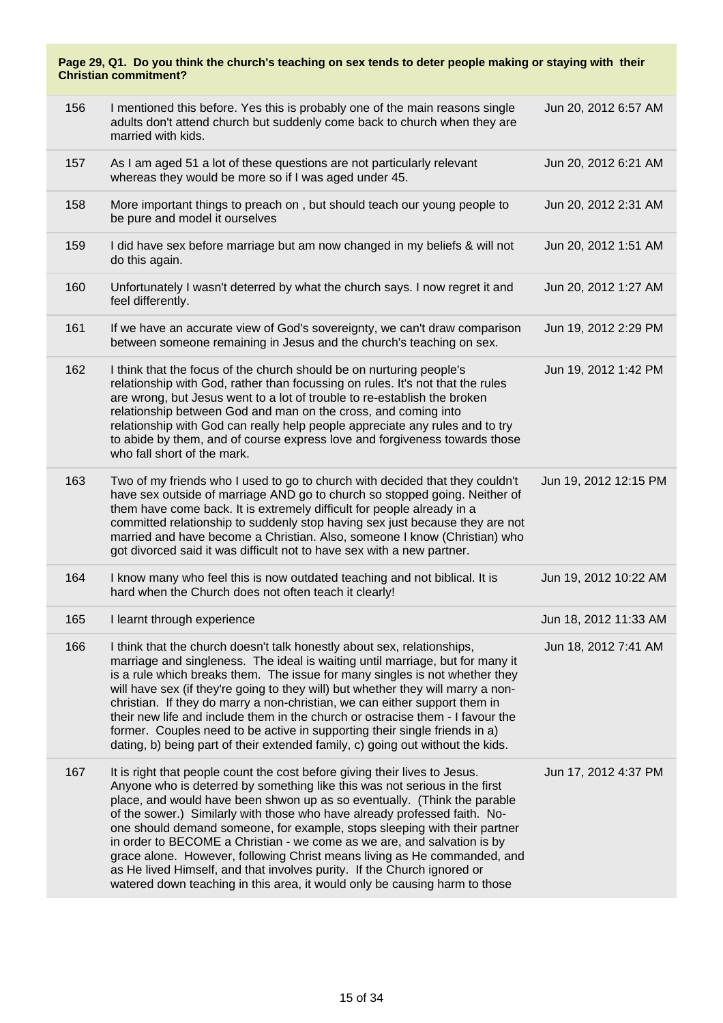| Page 29, Q1. Do you think the church's teaching on sex tends to deter people making or staying with their<br><b>Christian commitment?</b> |                                                                                                                                                                                                                                                                                                                                                                                                                                                                                                                                                                                                                                                                                                                |                       |  |  |
|-------------------------------------------------------------------------------------------------------------------------------------------|----------------------------------------------------------------------------------------------------------------------------------------------------------------------------------------------------------------------------------------------------------------------------------------------------------------------------------------------------------------------------------------------------------------------------------------------------------------------------------------------------------------------------------------------------------------------------------------------------------------------------------------------------------------------------------------------------------------|-----------------------|--|--|
| 156                                                                                                                                       | I mentioned this before. Yes this is probably one of the main reasons single<br>adults don't attend church but suddenly come back to church when they are<br>married with kids.                                                                                                                                                                                                                                                                                                                                                                                                                                                                                                                                | Jun 20, 2012 6:57 AM  |  |  |
| 157                                                                                                                                       | As I am aged 51 a lot of these questions are not particularly relevant<br>whereas they would be more so if I was aged under 45.                                                                                                                                                                                                                                                                                                                                                                                                                                                                                                                                                                                | Jun 20, 2012 6:21 AM  |  |  |
| 158                                                                                                                                       | More important things to preach on, but should teach our young people to<br>be pure and model it ourselves                                                                                                                                                                                                                                                                                                                                                                                                                                                                                                                                                                                                     | Jun 20, 2012 2:31 AM  |  |  |
| 159                                                                                                                                       | I did have sex before marriage but am now changed in my beliefs & will not<br>do this again.                                                                                                                                                                                                                                                                                                                                                                                                                                                                                                                                                                                                                   | Jun 20, 2012 1:51 AM  |  |  |
| 160                                                                                                                                       | Unfortunately I wasn't deterred by what the church says. I now regret it and<br>feel differently.                                                                                                                                                                                                                                                                                                                                                                                                                                                                                                                                                                                                              | Jun 20, 2012 1:27 AM  |  |  |
| 161                                                                                                                                       | If we have an accurate view of God's sovereignty, we can't draw comparison<br>between someone remaining in Jesus and the church's teaching on sex.                                                                                                                                                                                                                                                                                                                                                                                                                                                                                                                                                             | Jun 19, 2012 2:29 PM  |  |  |
| 162                                                                                                                                       | I think that the focus of the church should be on nurturing people's<br>relationship with God, rather than focussing on rules. It's not that the rules<br>are wrong, but Jesus went to a lot of trouble to re-establish the broken<br>relationship between God and man on the cross, and coming into<br>relationship with God can really help people appreciate any rules and to try<br>to abide by them, and of course express love and forgiveness towards those<br>who fall short of the mark.                                                                                                                                                                                                              | Jun 19, 2012 1:42 PM  |  |  |
| 163                                                                                                                                       | Two of my friends who I used to go to church with decided that they couldn't<br>have sex outside of marriage AND go to church so stopped going. Neither of<br>them have come back. It is extremely difficult for people already in a<br>committed relationship to suddenly stop having sex just because they are not<br>married and have become a Christian. Also, someone I know (Christian) who<br>got divorced said it was difficult not to have sex with a new partner.                                                                                                                                                                                                                                    | Jun 19, 2012 12:15 PM |  |  |
| 164                                                                                                                                       | I know many who feel this is now outdated teaching and not biblical. It is<br>hard when the Church does not often teach it clearly!                                                                                                                                                                                                                                                                                                                                                                                                                                                                                                                                                                            | Jun 19, 2012 10:22 AM |  |  |
| 165                                                                                                                                       | I learnt through experience                                                                                                                                                                                                                                                                                                                                                                                                                                                                                                                                                                                                                                                                                    | Jun 18, 2012 11:33 AM |  |  |
| 166                                                                                                                                       | I think that the church doesn't talk honestly about sex, relationships,<br>marriage and singleness. The ideal is waiting until marriage, but for many it<br>is a rule which breaks them. The issue for many singles is not whether they<br>will have sex (if they're going to they will) but whether they will marry a non-<br>christian. If they do marry a non-christian, we can either support them in<br>their new life and include them in the church or ostracise them - I favour the<br>former. Couples need to be active in supporting their single friends in a)<br>dating, b) being part of their extended family, c) going out without the kids.                                                    | Jun 18, 2012 7:41 AM  |  |  |
| 167                                                                                                                                       | It is right that people count the cost before giving their lives to Jesus.<br>Anyone who is deterred by something like this was not serious in the first<br>place, and would have been shwon up as so eventually. (Think the parable<br>of the sower.) Similarly with those who have already professed faith. No-<br>one should demand someone, for example, stops sleeping with their partner<br>in order to BECOME a Christian - we come as we are, and salvation is by<br>grace alone. However, following Christ means living as He commanded, and<br>as He lived Himself, and that involves purity. If the Church ignored or<br>watered down teaching in this area, it would only be causing harm to those | Jun 17, 2012 4:37 PM  |  |  |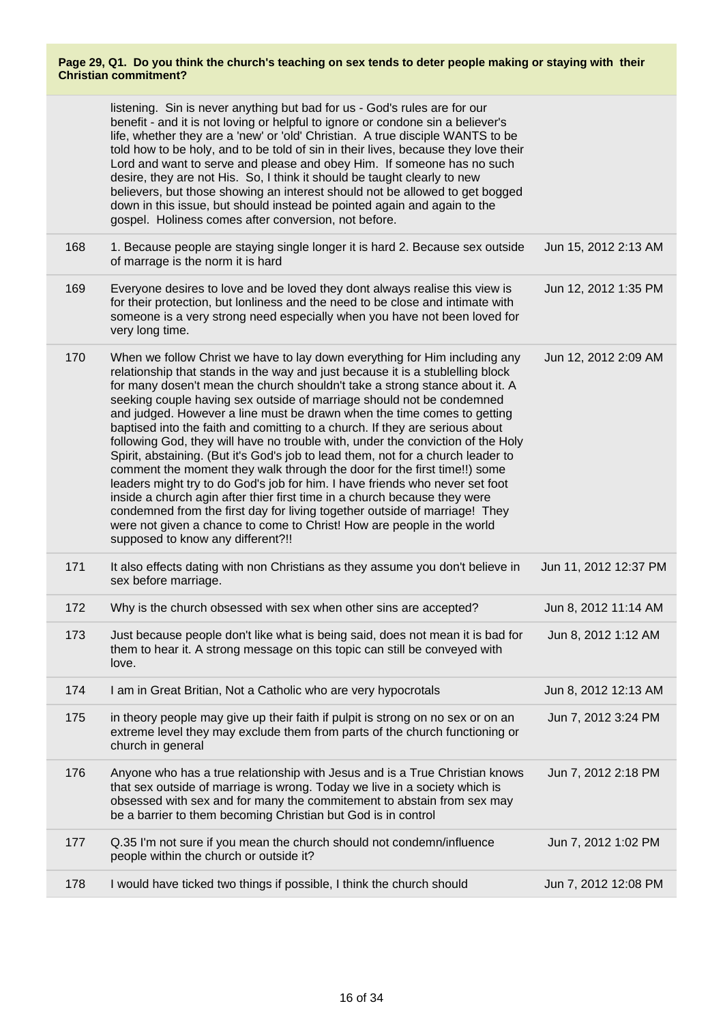|     | listening. Sin is never anything but bad for us - God's rules are for our<br>benefit - and it is not loving or helpful to ignore or condone sin a believer's<br>life, whether they are a 'new' or 'old' Christian. A true disciple WANTS to be<br>told how to be holy, and to be told of sin in their lives, because they love their<br>Lord and want to serve and please and obey Him. If someone has no such<br>desire, they are not His. So, I think it should be taught clearly to new<br>believers, but those showing an interest should not be allowed to get bogged<br>down in this issue, but should instead be pointed again and again to the<br>gospel. Holiness comes after conversion, not before.                                                                                                                                                                                                                                                                                                                                                                               |                       |
|-----|----------------------------------------------------------------------------------------------------------------------------------------------------------------------------------------------------------------------------------------------------------------------------------------------------------------------------------------------------------------------------------------------------------------------------------------------------------------------------------------------------------------------------------------------------------------------------------------------------------------------------------------------------------------------------------------------------------------------------------------------------------------------------------------------------------------------------------------------------------------------------------------------------------------------------------------------------------------------------------------------------------------------------------------------------------------------------------------------|-----------------------|
| 168 | 1. Because people are staying single longer it is hard 2. Because sex outside<br>of marrage is the norm it is hard                                                                                                                                                                                                                                                                                                                                                                                                                                                                                                                                                                                                                                                                                                                                                                                                                                                                                                                                                                           | Jun 15, 2012 2:13 AM  |
| 169 | Everyone desires to love and be loved they dont always realise this view is<br>for their protection, but lonliness and the need to be close and intimate with<br>someone is a very strong need especially when you have not been loved for<br>very long time.                                                                                                                                                                                                                                                                                                                                                                                                                                                                                                                                                                                                                                                                                                                                                                                                                                | Jun 12, 2012 1:35 PM  |
| 170 | When we follow Christ we have to lay down everything for Him including any<br>relationship that stands in the way and just because it is a stublelling block<br>for many dosen't mean the church shouldn't take a strong stance about it. A<br>seeking couple having sex outside of marriage should not be condemned<br>and judged. However a line must be drawn when the time comes to getting<br>baptised into the faith and comitting to a church. If they are serious about<br>following God, they will have no trouble with, under the conviction of the Holy<br>Spirit, abstaining. (But it's God's job to lead them, not for a church leader to<br>comment the moment they walk through the door for the first time!!) some<br>leaders might try to do God's job for him. I have friends who never set foot<br>inside a church agin after thier first time in a church because they were<br>condemned from the first day for living together outside of marriage! They<br>were not given a chance to come to Christ! How are people in the world<br>supposed to know any different?!! | Jun 12, 2012 2:09 AM  |
| 171 | It also effects dating with non Christians as they assume you don't believe in<br>sex before marriage.                                                                                                                                                                                                                                                                                                                                                                                                                                                                                                                                                                                                                                                                                                                                                                                                                                                                                                                                                                                       | Jun 11, 2012 12:37 PM |
| 172 | Why is the church obsessed with sex when other sins are accepted?                                                                                                                                                                                                                                                                                                                                                                                                                                                                                                                                                                                                                                                                                                                                                                                                                                                                                                                                                                                                                            | Jun 8, 2012 11:14 AM  |
| 173 | Just because people don't like what is being said, does not mean it is bad for<br>them to hear it. A strong message on this topic can still be conveyed with<br>love.                                                                                                                                                                                                                                                                                                                                                                                                                                                                                                                                                                                                                                                                                                                                                                                                                                                                                                                        | Jun 8, 2012 1:12 AM   |
| 174 | I am in Great Britian, Not a Catholic who are very hypocrotals                                                                                                                                                                                                                                                                                                                                                                                                                                                                                                                                                                                                                                                                                                                                                                                                                                                                                                                                                                                                                               | Jun 8, 2012 12:13 AM  |
| 175 | in theory people may give up their faith if pulpit is strong on no sex or on an<br>extreme level they may exclude them from parts of the church functioning or<br>church in general                                                                                                                                                                                                                                                                                                                                                                                                                                                                                                                                                                                                                                                                                                                                                                                                                                                                                                          | Jun 7, 2012 3:24 PM   |
| 176 | Anyone who has a true relationship with Jesus and is a True Christian knows<br>that sex outside of marriage is wrong. Today we live in a society which is<br>obsessed with sex and for many the commitement to abstain from sex may<br>be a barrier to them becoming Christian but God is in control                                                                                                                                                                                                                                                                                                                                                                                                                                                                                                                                                                                                                                                                                                                                                                                         | Jun 7, 2012 2:18 PM   |
| 177 | Q.35 I'm not sure if you mean the church should not condemn/influence<br>people within the church or outside it?                                                                                                                                                                                                                                                                                                                                                                                                                                                                                                                                                                                                                                                                                                                                                                                                                                                                                                                                                                             | Jun 7, 2012 1:02 PM   |
| 178 | I would have ticked two things if possible, I think the church should                                                                                                                                                                                                                                                                                                                                                                                                                                                                                                                                                                                                                                                                                                                                                                                                                                                                                                                                                                                                                        | Jun 7, 2012 12:08 PM  |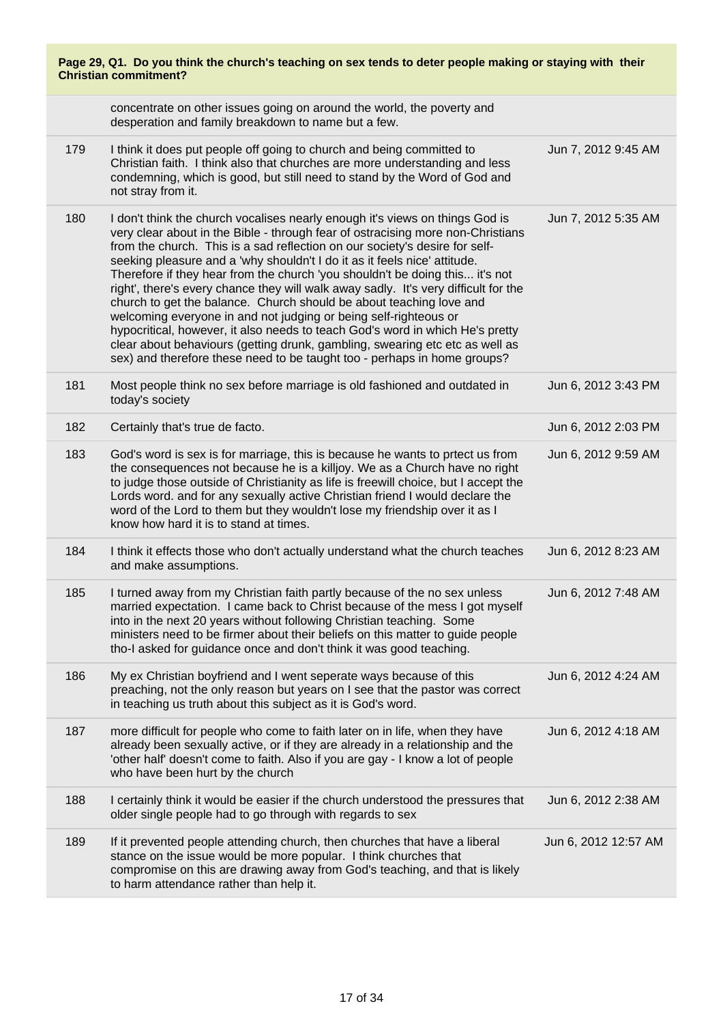| Page 29, Q1. Do you think the church's teaching on sex tends to deter people making or staying with their<br><b>Christian commitment?</b> |                                                                                                                                                                                                                                                                                                                                                                                                                                                                                                                                                                                                                                                                                                                                                                                                                                                                                            |                      |  |  |
|-------------------------------------------------------------------------------------------------------------------------------------------|--------------------------------------------------------------------------------------------------------------------------------------------------------------------------------------------------------------------------------------------------------------------------------------------------------------------------------------------------------------------------------------------------------------------------------------------------------------------------------------------------------------------------------------------------------------------------------------------------------------------------------------------------------------------------------------------------------------------------------------------------------------------------------------------------------------------------------------------------------------------------------------------|----------------------|--|--|
|                                                                                                                                           | concentrate on other issues going on around the world, the poverty and<br>desperation and family breakdown to name but a few.                                                                                                                                                                                                                                                                                                                                                                                                                                                                                                                                                                                                                                                                                                                                                              |                      |  |  |
| 179                                                                                                                                       | I think it does put people off going to church and being committed to<br>Christian faith. I think also that churches are more understanding and less<br>condemning, which is good, but still need to stand by the Word of God and<br>not stray from it.                                                                                                                                                                                                                                                                                                                                                                                                                                                                                                                                                                                                                                    | Jun 7, 2012 9:45 AM  |  |  |
| 180                                                                                                                                       | I don't think the church vocalises nearly enough it's views on things God is<br>very clear about in the Bible - through fear of ostracising more non-Christians<br>from the church. This is a sad reflection on our society's desire for self-<br>seeking pleasure and a 'why shouldn't I do it as it feels nice' attitude.<br>Therefore if they hear from the church 'you shouldn't be doing this it's not<br>right', there's every chance they will walk away sadly. It's very difficult for the<br>church to get the balance. Church should be about teaching love and<br>welcoming everyone in and not judging or being self-righteous or<br>hypocritical, however, it also needs to teach God's word in which He's pretty<br>clear about behaviours (getting drunk, gambling, swearing etc etc as well as<br>sex) and therefore these need to be taught too - perhaps in home groups? | Jun 7, 2012 5:35 AM  |  |  |
| 181                                                                                                                                       | Most people think no sex before marriage is old fashioned and outdated in<br>today's society                                                                                                                                                                                                                                                                                                                                                                                                                                                                                                                                                                                                                                                                                                                                                                                               | Jun 6, 2012 3:43 PM  |  |  |
| 182                                                                                                                                       | Certainly that's true de facto.                                                                                                                                                                                                                                                                                                                                                                                                                                                                                                                                                                                                                                                                                                                                                                                                                                                            | Jun 6, 2012 2:03 PM  |  |  |
| 183                                                                                                                                       | God's word is sex is for marriage, this is because he wants to prtect us from<br>the consequences not because he is a killjoy. We as a Church have no right<br>to judge those outside of Christianity as life is freewill choice, but I accept the<br>Lords word. and for any sexually active Christian friend I would declare the<br>word of the Lord to them but they wouldn't lose my friendship over it as I<br>know how hard it is to stand at times.                                                                                                                                                                                                                                                                                                                                                                                                                                 | Jun 6, 2012 9:59 AM  |  |  |
| 184                                                                                                                                       | I think it effects those who don't actually understand what the church teaches<br>and make assumptions.                                                                                                                                                                                                                                                                                                                                                                                                                                                                                                                                                                                                                                                                                                                                                                                    | Jun 6, 2012 8:23 AM  |  |  |
| 185                                                                                                                                       | I turned away from my Christian faith partly because of the no sex unless<br>married expectation. I came back to Christ because of the mess I got myself<br>into in the next 20 years without following Christian teaching. Some<br>ministers need to be firmer about their beliefs on this matter to guide people<br>tho-I asked for guidance once and don't think it was good teaching.                                                                                                                                                                                                                                                                                                                                                                                                                                                                                                  | Jun 6, 2012 7:48 AM  |  |  |
| 186                                                                                                                                       | My ex Christian boyfriend and I went seperate ways because of this<br>preaching, not the only reason but years on I see that the pastor was correct<br>in teaching us truth about this subject as it is God's word.                                                                                                                                                                                                                                                                                                                                                                                                                                                                                                                                                                                                                                                                        | Jun 6, 2012 4:24 AM  |  |  |
| 187                                                                                                                                       | more difficult for people who come to faith later on in life, when they have<br>already been sexually active, or if they are already in a relationship and the<br>'other half' doesn't come to faith. Also if you are gay - I know a lot of people<br>who have been hurt by the church                                                                                                                                                                                                                                                                                                                                                                                                                                                                                                                                                                                                     | Jun 6, 2012 4:18 AM  |  |  |
| 188                                                                                                                                       | I certainly think it would be easier if the church understood the pressures that<br>older single people had to go through with regards to sex                                                                                                                                                                                                                                                                                                                                                                                                                                                                                                                                                                                                                                                                                                                                              | Jun 6, 2012 2:38 AM  |  |  |
| 189                                                                                                                                       | If it prevented people attending church, then churches that have a liberal<br>stance on the issue would be more popular. I think churches that<br>compromise on this are drawing away from God's teaching, and that is likely<br>to harm attendance rather than help it.                                                                                                                                                                                                                                                                                                                                                                                                                                                                                                                                                                                                                   | Jun 6, 2012 12:57 AM |  |  |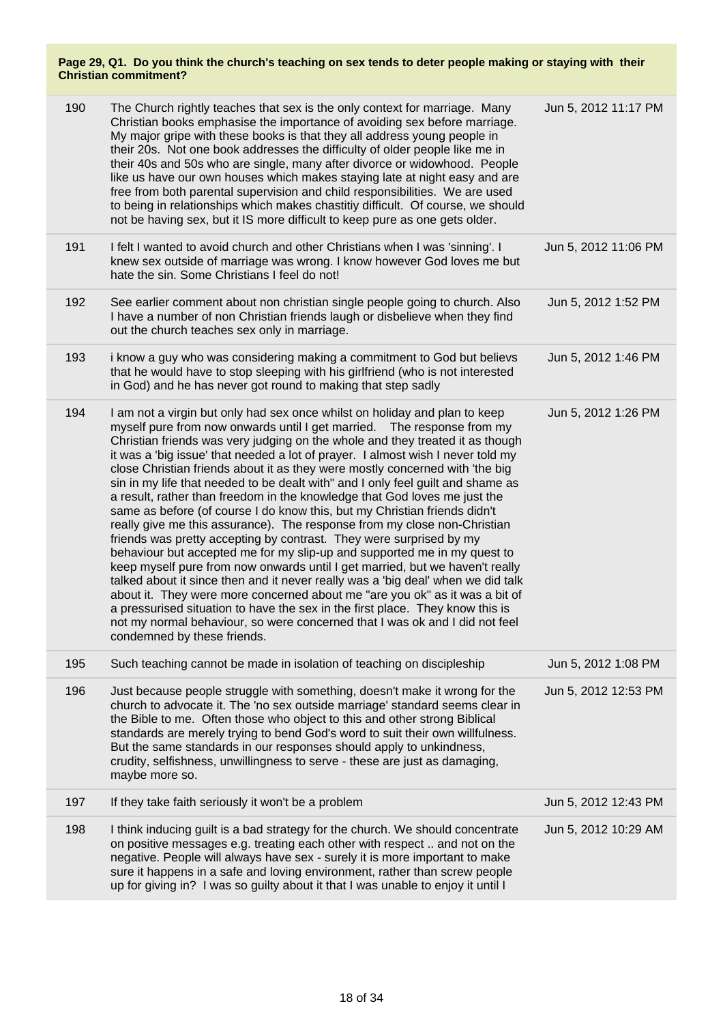| 190 | The Church rightly teaches that sex is the only context for marriage. Many<br>Christian books emphasise the importance of avoiding sex before marriage.<br>My major gripe with these books is that they all address young people in<br>their 20s. Not one book addresses the difficulty of older people like me in<br>their 40s and 50s who are single, many after divorce or widowhood. People<br>like us have our own houses which makes staying late at night easy and are<br>free from both parental supervision and child responsibilities. We are used<br>to being in relationships which makes chastitiy difficult. Of course, we should<br>not be having sex, but it IS more difficult to keep pure as one gets older.                                                                                                                                                                                                                                                                                                                                                                                                                                                                                                                                                                                                         | Jun 5, 2012 11:17 PM |
|-----|----------------------------------------------------------------------------------------------------------------------------------------------------------------------------------------------------------------------------------------------------------------------------------------------------------------------------------------------------------------------------------------------------------------------------------------------------------------------------------------------------------------------------------------------------------------------------------------------------------------------------------------------------------------------------------------------------------------------------------------------------------------------------------------------------------------------------------------------------------------------------------------------------------------------------------------------------------------------------------------------------------------------------------------------------------------------------------------------------------------------------------------------------------------------------------------------------------------------------------------------------------------------------------------------------------------------------------------|----------------------|
| 191 | I felt I wanted to avoid church and other Christians when I was 'sinning'. I<br>knew sex outside of marriage was wrong. I know however God loves me but<br>hate the sin. Some Christians I feel do not!                                                                                                                                                                                                                                                                                                                                                                                                                                                                                                                                                                                                                                                                                                                                                                                                                                                                                                                                                                                                                                                                                                                                | Jun 5, 2012 11:06 PM |
| 192 | See earlier comment about non christian single people going to church. Also<br>I have a number of non Christian friends laugh or disbelieve when they find<br>out the church teaches sex only in marriage.                                                                                                                                                                                                                                                                                                                                                                                                                                                                                                                                                                                                                                                                                                                                                                                                                                                                                                                                                                                                                                                                                                                             | Jun 5, 2012 1:52 PM  |
| 193 | i know a guy who was considering making a commitment to God but believs<br>that he would have to stop sleeping with his girlfriend (who is not interested<br>in God) and he has never got round to making that step sadly                                                                                                                                                                                                                                                                                                                                                                                                                                                                                                                                                                                                                                                                                                                                                                                                                                                                                                                                                                                                                                                                                                              | Jun 5, 2012 1:46 PM  |
| 194 | I am not a virgin but only had sex once whilst on holiday and plan to keep<br>myself pure from now onwards until I get married. The response from my<br>Christian friends was very judging on the whole and they treated it as though<br>it was a 'big issue' that needed a lot of prayer. I almost wish I never told my<br>close Christian friends about it as they were mostly concerned with 'the big<br>sin in my life that needed to be dealt with" and I only feel guilt and shame as<br>a result, rather than freedom in the knowledge that God loves me just the<br>same as before (of course I do know this, but my Christian friends didn't<br>really give me this assurance). The response from my close non-Christian<br>friends was pretty accepting by contrast. They were surprised by my<br>behaviour but accepted me for my slip-up and supported me in my quest to<br>keep myself pure from now onwards until I get married, but we haven't really<br>talked about it since then and it never really was a 'big deal' when we did talk<br>about it. They were more concerned about me "are you ok" as it was a bit of<br>a pressurised situation to have the sex in the first place. They know this is<br>not my normal behaviour, so were concerned that I was ok and I did not feel<br>condemned by these friends. | Jun 5, 2012 1:26 PM  |
| 195 | Such teaching cannot be made in isolation of teaching on discipleship                                                                                                                                                                                                                                                                                                                                                                                                                                                                                                                                                                                                                                                                                                                                                                                                                                                                                                                                                                                                                                                                                                                                                                                                                                                                  | Jun 5, 2012 1:08 PM  |
| 196 | Just because people struggle with something, doesn't make it wrong for the<br>church to advocate it. The 'no sex outside marriage' standard seems clear in<br>the Bible to me. Often those who object to this and other strong Biblical<br>standards are merely trying to bend God's word to suit their own willfulness.<br>But the same standards in our responses should apply to unkindness,<br>crudity, selfishness, unwillingness to serve - these are just as damaging,<br>maybe more so.                                                                                                                                                                                                                                                                                                                                                                                                                                                                                                                                                                                                                                                                                                                                                                                                                                        | Jun 5, 2012 12:53 PM |
| 197 | If they take faith seriously it won't be a problem                                                                                                                                                                                                                                                                                                                                                                                                                                                                                                                                                                                                                                                                                                                                                                                                                                                                                                                                                                                                                                                                                                                                                                                                                                                                                     | Jun 5, 2012 12:43 PM |
| 198 | I think inducing guilt is a bad strategy for the church. We should concentrate<br>on positive messages e.g. treating each other with respect  and not on the<br>negative. People will always have sex - surely it is more important to make<br>sure it happens in a safe and loving environment, rather than screw people<br>up for giving in? I was so guilty about it that I was unable to enjoy it until I                                                                                                                                                                                                                                                                                                                                                                                                                                                                                                                                                                                                                                                                                                                                                                                                                                                                                                                          | Jun 5, 2012 10:29 AM |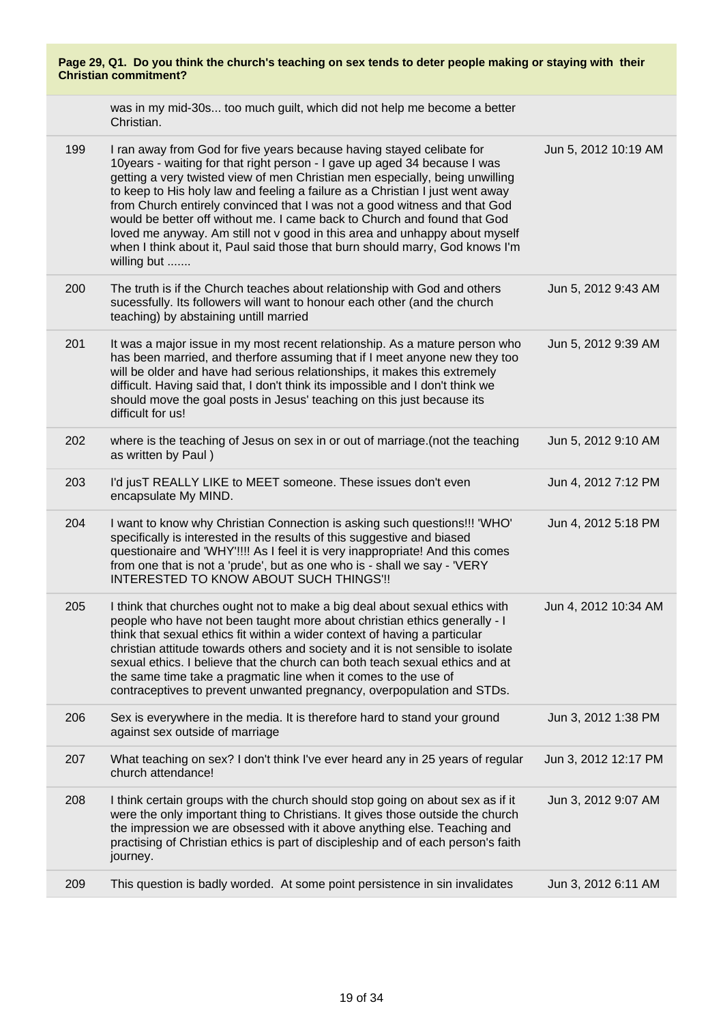| Page 29, Q1. Do you think the church's teaching on sex tends to deter people making or staying with their<br><b>Christian commitment?</b> |                                                                                                                                                                                                                                                                                                                                                                                                                                                                                                                                                                                                                                                           |                      |  |
|-------------------------------------------------------------------------------------------------------------------------------------------|-----------------------------------------------------------------------------------------------------------------------------------------------------------------------------------------------------------------------------------------------------------------------------------------------------------------------------------------------------------------------------------------------------------------------------------------------------------------------------------------------------------------------------------------------------------------------------------------------------------------------------------------------------------|----------------------|--|
|                                                                                                                                           | was in my mid-30s too much guilt, which did not help me become a better<br>Christian.                                                                                                                                                                                                                                                                                                                                                                                                                                                                                                                                                                     |                      |  |
| 199                                                                                                                                       | I ran away from God for five years because having stayed celibate for<br>10years - waiting for that right person - I gave up aged 34 because I was<br>getting a very twisted view of men Christian men especially, being unwilling<br>to keep to His holy law and feeling a failure as a Christian I just went away<br>from Church entirely convinced that I was not a good witness and that God<br>would be better off without me. I came back to Church and found that God<br>loved me anyway. Am still not v good in this area and unhappy about myself<br>when I think about it, Paul said those that burn should marry, God knows I'm<br>willing but | Jun 5, 2012 10:19 AM |  |
| 200                                                                                                                                       | The truth is if the Church teaches about relationship with God and others<br>sucessfully. Its followers will want to honour each other (and the church<br>teaching) by abstaining untill married                                                                                                                                                                                                                                                                                                                                                                                                                                                          | Jun 5, 2012 9:43 AM  |  |
| 201                                                                                                                                       | It was a major issue in my most recent relationship. As a mature person who<br>has been married, and therfore assuming that if I meet anyone new they too<br>will be older and have had serious relationships, it makes this extremely<br>difficult. Having said that, I don't think its impossible and I don't think we<br>should move the goal posts in Jesus' teaching on this just because its<br>difficult for us!                                                                                                                                                                                                                                   | Jun 5, 2012 9:39 AM  |  |
| 202                                                                                                                                       | where is the teaching of Jesus on sex in or out of marriage. (not the teaching<br>as written by Paul)                                                                                                                                                                                                                                                                                                                                                                                                                                                                                                                                                     | Jun 5, 2012 9:10 AM  |  |
| 203                                                                                                                                       | I'd jusT REALLY LIKE to MEET someone. These issues don't even<br>encapsulate My MIND.                                                                                                                                                                                                                                                                                                                                                                                                                                                                                                                                                                     | Jun 4, 2012 7:12 PM  |  |
| 204                                                                                                                                       | I want to know why Christian Connection is asking such questions!!! 'WHO'<br>specifically is interested in the results of this suggestive and biased<br>questionaire and 'WHY'!!!! As I feel it is very inappropriate! And this comes<br>from one that is not a 'prude', but as one who is - shall we say - 'VERY<br>INTERESTED TO KNOW ABOUT SUCH THINGS'!!                                                                                                                                                                                                                                                                                              | Jun 4, 2012 5:18 PM  |  |
| 205                                                                                                                                       | I think that churches ought not to make a big deal about sexual ethics with<br>people who have not been taught more about christian ethics generally - I<br>think that sexual ethics fit within a wider context of having a particular<br>christian attitude towards others and society and it is not sensible to isolate<br>sexual ethics. I believe that the church can both teach sexual ethics and at<br>the same time take a pragmatic line when it comes to the use of<br>contraceptives to prevent unwanted pregnancy, overpopulation and STDs.                                                                                                    | Jun 4, 2012 10:34 AM |  |
| 206                                                                                                                                       | Sex is everywhere in the media. It is therefore hard to stand your ground<br>against sex outside of marriage                                                                                                                                                                                                                                                                                                                                                                                                                                                                                                                                              | Jun 3, 2012 1:38 PM  |  |
| 207                                                                                                                                       | What teaching on sex? I don't think I've ever heard any in 25 years of regular<br>church attendance!                                                                                                                                                                                                                                                                                                                                                                                                                                                                                                                                                      | Jun 3, 2012 12:17 PM |  |
| 208                                                                                                                                       | I think certain groups with the church should stop going on about sex as if it<br>were the only important thing to Christians. It gives those outside the church<br>the impression we are obsessed with it above anything else. Teaching and<br>practising of Christian ethics is part of discipleship and of each person's faith<br>journey.                                                                                                                                                                                                                                                                                                             | Jun 3, 2012 9:07 AM  |  |
| 209                                                                                                                                       | This question is badly worded. At some point persistence in sin invalidates                                                                                                                                                                                                                                                                                                                                                                                                                                                                                                                                                                               | Jun 3, 2012 6:11 AM  |  |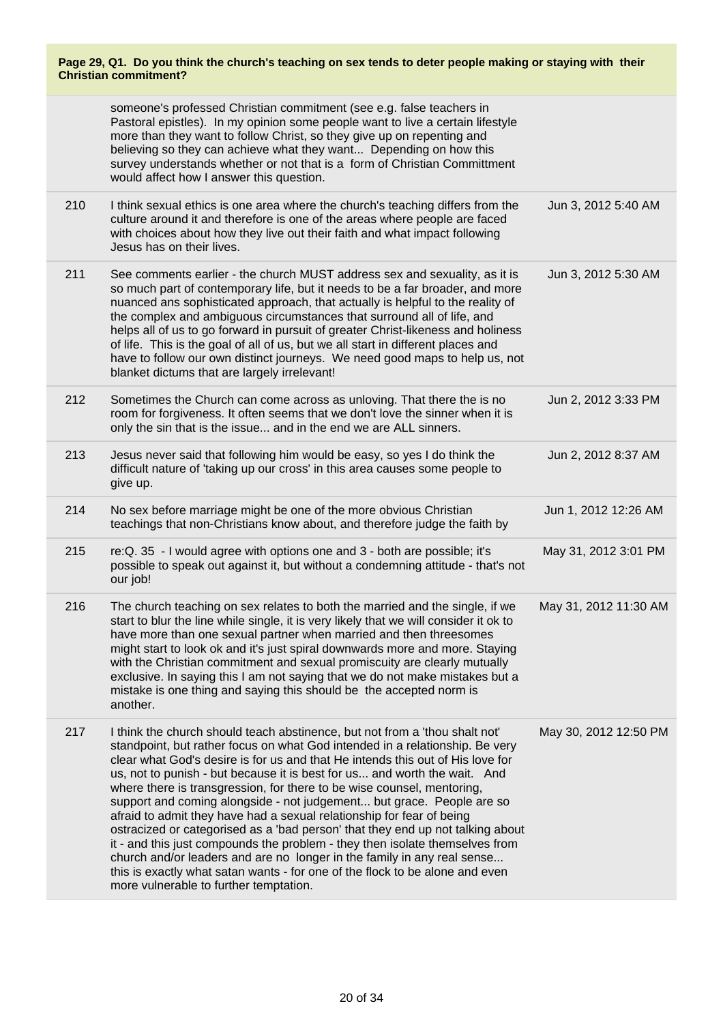|                              | Page 29, Q1. Do you think the church's teaching on sex tends to deter people making or staying with their |  |  |
|------------------------------|-----------------------------------------------------------------------------------------------------------|--|--|
| <b>Christian commitment?</b> |                                                                                                           |  |  |

|     | someone's professed Christian commitment (see e.g. false teachers in<br>Pastoral epistles). In my opinion some people want to live a certain lifestyle<br>more than they want to follow Christ, so they give up on repenting and<br>believing so they can achieve what they want Depending on how this<br>survey understands whether or not that is a form of Christian Committment<br>would affect how I answer this question.                                                                                                                                                                                                                                                                                                                                                                                                                                                                                               |                       |
|-----|-------------------------------------------------------------------------------------------------------------------------------------------------------------------------------------------------------------------------------------------------------------------------------------------------------------------------------------------------------------------------------------------------------------------------------------------------------------------------------------------------------------------------------------------------------------------------------------------------------------------------------------------------------------------------------------------------------------------------------------------------------------------------------------------------------------------------------------------------------------------------------------------------------------------------------|-----------------------|
| 210 | I think sexual ethics is one area where the church's teaching differs from the<br>culture around it and therefore is one of the areas where people are faced<br>with choices about how they live out their faith and what impact following<br>Jesus has on their lives.                                                                                                                                                                                                                                                                                                                                                                                                                                                                                                                                                                                                                                                       | Jun 3, 2012 5:40 AM   |
| 211 | See comments earlier - the church MUST address sex and sexuality, as it is<br>so much part of contemporary life, but it needs to be a far broader, and more<br>nuanced ans sophisticated approach, that actually is helpful to the reality of<br>the complex and ambiguous circumstances that surround all of life, and<br>helps all of us to go forward in pursuit of greater Christ-likeness and holiness<br>of life. This is the goal of all of us, but we all start in different places and<br>have to follow our own distinct journeys. We need good maps to help us, not<br>blanket dictums that are largely irrelevant!                                                                                                                                                                                                                                                                                                | Jun 3, 2012 5:30 AM   |
| 212 | Sometimes the Church can come across as unloving. That there the is no<br>room for forgiveness. It often seems that we don't love the sinner when it is<br>only the sin that is the issue and in the end we are ALL sinners.                                                                                                                                                                                                                                                                                                                                                                                                                                                                                                                                                                                                                                                                                                  | Jun 2, 2012 3:33 PM   |
| 213 | Jesus never said that following him would be easy, so yes I do think the<br>difficult nature of 'taking up our cross' in this area causes some people to<br>give up.                                                                                                                                                                                                                                                                                                                                                                                                                                                                                                                                                                                                                                                                                                                                                          | Jun 2, 2012 8:37 AM   |
| 214 | No sex before marriage might be one of the more obvious Christian<br>teachings that non-Christians know about, and therefore judge the faith by                                                                                                                                                                                                                                                                                                                                                                                                                                                                                                                                                                                                                                                                                                                                                                               | Jun 1, 2012 12:26 AM  |
| 215 | re: Q. 35 - I would agree with options one and 3 - both are possible; it's<br>possible to speak out against it, but without a condemning attitude - that's not<br>our job!                                                                                                                                                                                                                                                                                                                                                                                                                                                                                                                                                                                                                                                                                                                                                    | May 31, 2012 3:01 PM  |
| 216 | The church teaching on sex relates to both the married and the single, if we<br>start to blur the line while single, it is very likely that we will consider it ok to<br>have more than one sexual partner when married and then threesomes<br>might start to look ok and it's just spiral downwards more and more. Staying<br>with the Christian commitment and sexual promiscuity are clearly mutually<br>exclusive. In saying this I am not saying that we do not make mistakes but a<br>mistake is one thing and saying this should be the accepted norm is<br>another.                                                                                                                                                                                                                                                                                                                                                   | May 31, 2012 11:30 AM |
| 217 | I think the church should teach abstinence, but not from a 'thou shalt not'<br>standpoint, but rather focus on what God intended in a relationship. Be very<br>clear what God's desire is for us and that He intends this out of His love for<br>us, not to punish - but because it is best for us and worth the wait. And<br>where there is transgression, for there to be wise counsel, mentoring,<br>support and coming alongside - not judgement but grace. People are so<br>afraid to admit they have had a sexual relationship for fear of being<br>ostracized or categorised as a 'bad person' that they end up not talking about<br>it - and this just compounds the problem - they then isolate themselves from<br>church and/or leaders and are no longer in the family in any real sense<br>this is exactly what satan wants - for one of the flock to be alone and even<br>more vulnerable to further temptation. | May 30, 2012 12:50 PM |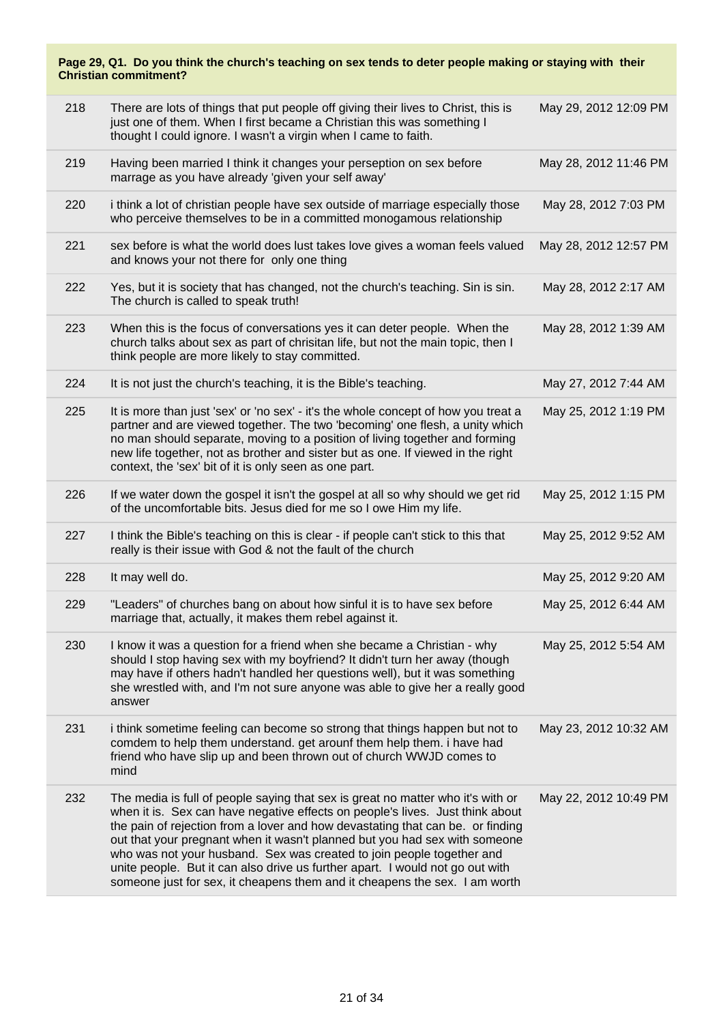| 218 | There are lots of things that put people off giving their lives to Christ, this is<br>just one of them. When I first became a Christian this was something I<br>thought I could ignore. I wasn't a virgin when I came to faith.                                                                                                                                                                                                                                                                                                                                          | May 29, 2012 12:09 PM |
|-----|--------------------------------------------------------------------------------------------------------------------------------------------------------------------------------------------------------------------------------------------------------------------------------------------------------------------------------------------------------------------------------------------------------------------------------------------------------------------------------------------------------------------------------------------------------------------------|-----------------------|
| 219 | Having been married I think it changes your perseption on sex before<br>marrage as you have already 'given your self away'                                                                                                                                                                                                                                                                                                                                                                                                                                               | May 28, 2012 11:46 PM |
| 220 | i think a lot of christian people have sex outside of marriage especially those<br>who perceive themselves to be in a committed monogamous relationship                                                                                                                                                                                                                                                                                                                                                                                                                  | May 28, 2012 7:03 PM  |
| 221 | sex before is what the world does lust takes love gives a woman feels valued<br>and knows your not there for only one thing                                                                                                                                                                                                                                                                                                                                                                                                                                              | May 28, 2012 12:57 PM |
| 222 | Yes, but it is society that has changed, not the church's teaching. Sin is sin.<br>The church is called to speak truth!                                                                                                                                                                                                                                                                                                                                                                                                                                                  | May 28, 2012 2:17 AM  |
| 223 | When this is the focus of conversations yes it can deter people. When the<br>church talks about sex as part of chrisitan life, but not the main topic, then I<br>think people are more likely to stay committed.                                                                                                                                                                                                                                                                                                                                                         | May 28, 2012 1:39 AM  |
| 224 | It is not just the church's teaching, it is the Bible's teaching.                                                                                                                                                                                                                                                                                                                                                                                                                                                                                                        | May 27, 2012 7:44 AM  |
| 225 | It is more than just 'sex' or 'no sex' - it's the whole concept of how you treat a<br>partner and are viewed together. The two 'becoming' one flesh, a unity which<br>no man should separate, moving to a position of living together and forming<br>new life together, not as brother and sister but as one. If viewed in the right<br>context, the 'sex' bit of it is only seen as one part.                                                                                                                                                                           | May 25, 2012 1:19 PM  |
| 226 | If we water down the gospel it isn't the gospel at all so why should we get rid<br>of the uncomfortable bits. Jesus died for me so I owe Him my life.                                                                                                                                                                                                                                                                                                                                                                                                                    | May 25, 2012 1:15 PM  |
| 227 | I think the Bible's teaching on this is clear - if people can't stick to this that<br>really is their issue with God & not the fault of the church                                                                                                                                                                                                                                                                                                                                                                                                                       | May 25, 2012 9:52 AM  |
| 228 | It may well do.                                                                                                                                                                                                                                                                                                                                                                                                                                                                                                                                                          | May 25, 2012 9:20 AM  |
| 229 | "Leaders" of churches bang on about how sinful it is to have sex before<br>marriage that, actually, it makes them rebel against it.                                                                                                                                                                                                                                                                                                                                                                                                                                      | May 25, 2012 6:44 AM  |
| 230 | I know it was a question for a friend when she became a Christian - why<br>should I stop having sex with my boyfriend? It didn't turn her away (though<br>may have if others hadn't handled her questions well), but it was something<br>she wrestled with, and I'm not sure anyone was able to give her a really good<br>answer                                                                                                                                                                                                                                         | May 25, 2012 5:54 AM  |
| 231 | i think sometime feeling can become so strong that things happen but not to<br>comdem to help them understand. get arounf them help them. i have had<br>friend who have slip up and been thrown out of church WWJD comes to<br>mind                                                                                                                                                                                                                                                                                                                                      | May 23, 2012 10:32 AM |
| 232 | The media is full of people saying that sex is great no matter who it's with or<br>when it is. Sex can have negative effects on people's lives. Just think about<br>the pain of rejection from a lover and how devastating that can be. or finding<br>out that your pregnant when it wasn't planned but you had sex with someone<br>who was not your husband. Sex was created to join people together and<br>unite people. But it can also drive us further apart. I would not go out with<br>someone just for sex, it cheapens them and it cheapens the sex. I am worth | May 22, 2012 10:49 PM |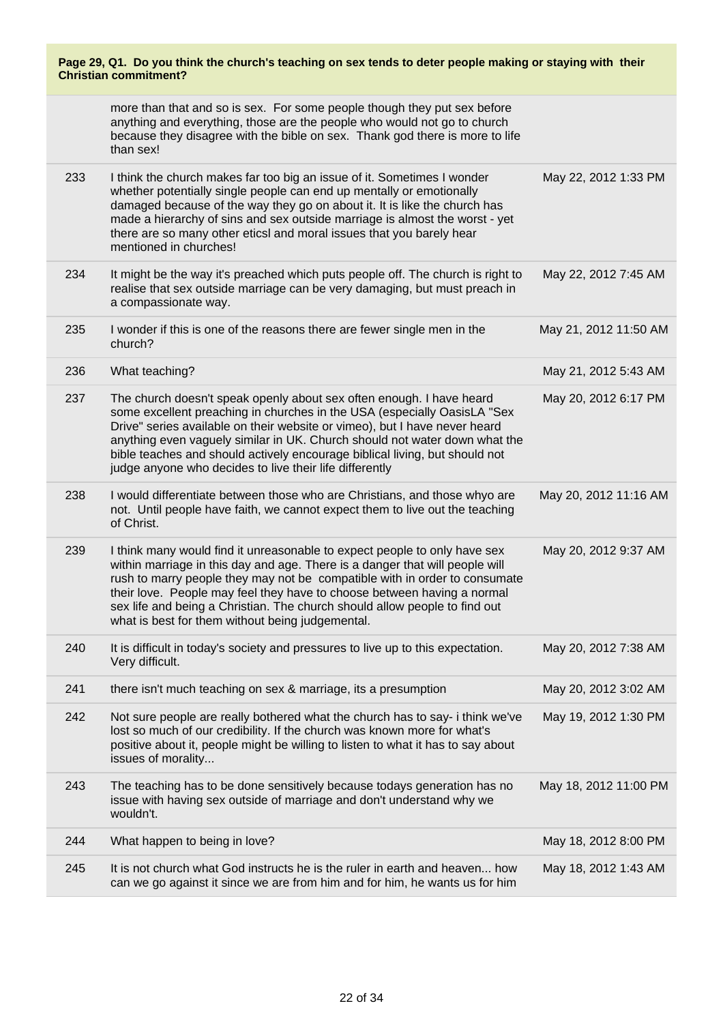| Page 29, Q1. Do you think the church's teaching on sex tends to deter people making or staying with their<br><b>Christian commitment?</b> |                                                                                                                                                                                                                                                                                                                                                                                                                                                        |                       |  |
|-------------------------------------------------------------------------------------------------------------------------------------------|--------------------------------------------------------------------------------------------------------------------------------------------------------------------------------------------------------------------------------------------------------------------------------------------------------------------------------------------------------------------------------------------------------------------------------------------------------|-----------------------|--|
|                                                                                                                                           | more than that and so is sex. For some people though they put sex before<br>anything and everything, those are the people who would not go to church<br>because they disagree with the bible on sex. Thank god there is more to life<br>than sex!                                                                                                                                                                                                      |                       |  |
| 233                                                                                                                                       | I think the church makes far too big an issue of it. Sometimes I wonder<br>whether potentially single people can end up mentally or emotionally<br>damaged because of the way they go on about it. It is like the church has<br>made a hierarchy of sins and sex outside marriage is almost the worst - yet<br>there are so many other eticsl and moral issues that you barely hear<br>mentioned in churches!                                          | May 22, 2012 1:33 PM  |  |
| 234                                                                                                                                       | It might be the way it's preached which puts people off. The church is right to<br>realise that sex outside marriage can be very damaging, but must preach in<br>a compassionate way.                                                                                                                                                                                                                                                                  | May 22, 2012 7:45 AM  |  |
| 235                                                                                                                                       | I wonder if this is one of the reasons there are fewer single men in the<br>church?                                                                                                                                                                                                                                                                                                                                                                    | May 21, 2012 11:50 AM |  |
| 236                                                                                                                                       | What teaching?                                                                                                                                                                                                                                                                                                                                                                                                                                         | May 21, 2012 5:43 AM  |  |
| 237                                                                                                                                       | The church doesn't speak openly about sex often enough. I have heard<br>some excellent preaching in churches in the USA (especially OasisLA "Sex<br>Drive" series available on their website or vimeo), but I have never heard<br>anything even vaguely similar in UK. Church should not water down what the<br>bible teaches and should actively encourage biblical living, but should not<br>judge anyone who decides to live their life differently | May 20, 2012 6:17 PM  |  |
| 238                                                                                                                                       | I would differentiate between those who are Christians, and those whyo are<br>not. Until people have faith, we cannot expect them to live out the teaching<br>of Christ.                                                                                                                                                                                                                                                                               | May 20, 2012 11:16 AM |  |
| 239                                                                                                                                       | I think many would find it unreasonable to expect people to only have sex<br>within marriage in this day and age. There is a danger that will people will<br>rush to marry people they may not be compatible with in order to consumate<br>their love. People may feel they have to choose between having a normal<br>sex life and being a Christian. The church should allow people to find out<br>what is best for them without being judgemental.   | May 20, 2012 9:37 AM  |  |
| 240                                                                                                                                       | It is difficult in today's society and pressures to live up to this expectation.<br>Very difficult.                                                                                                                                                                                                                                                                                                                                                    | May 20, 2012 7:38 AM  |  |
| 241                                                                                                                                       | there isn't much teaching on sex & marriage, its a presumption                                                                                                                                                                                                                                                                                                                                                                                         | May 20, 2012 3:02 AM  |  |
| 242                                                                                                                                       | Not sure people are really bothered what the church has to say- i think we've<br>lost so much of our credibility. If the church was known more for what's<br>positive about it, people might be willing to listen to what it has to say about<br>issues of morality                                                                                                                                                                                    | May 19, 2012 1:30 PM  |  |
| 243                                                                                                                                       | The teaching has to be done sensitively because todays generation has no<br>issue with having sex outside of marriage and don't understand why we<br>wouldn't.                                                                                                                                                                                                                                                                                         | May 18, 2012 11:00 PM |  |
| 244                                                                                                                                       | What happen to being in love?                                                                                                                                                                                                                                                                                                                                                                                                                          | May 18, 2012 8:00 PM  |  |
| 245                                                                                                                                       | It is not church what God instructs he is the ruler in earth and heaven how<br>can we go against it since we are from him and for him, he wants us for him                                                                                                                                                                                                                                                                                             | May 18, 2012 1:43 AM  |  |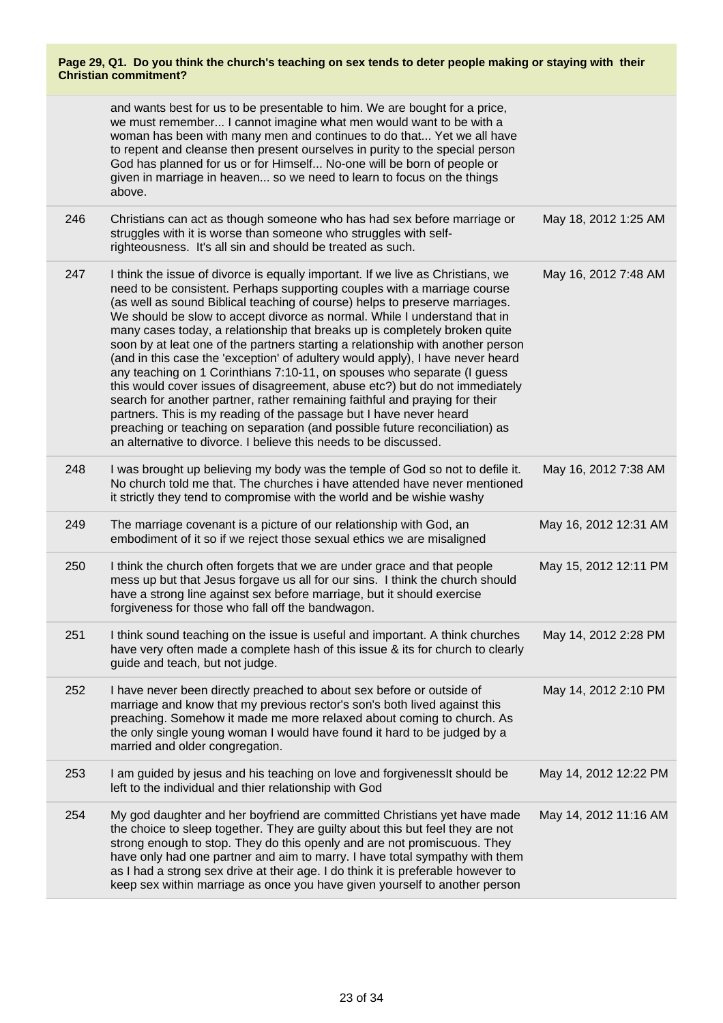|     | and wants best for us to be presentable to him. We are bought for a price,<br>we must remember I cannot imagine what men would want to be with a<br>woman has been with many men and continues to do that Yet we all have<br>to repent and cleanse then present ourselves in purity to the special person<br>God has planned for us or for Himself No-one will be born of people or<br>given in marriage in heaven so we need to learn to focus on the things<br>above.                                                                                                                                                                                                                                                                                                                                                                                                                                                                                                                                                                      |                       |
|-----|----------------------------------------------------------------------------------------------------------------------------------------------------------------------------------------------------------------------------------------------------------------------------------------------------------------------------------------------------------------------------------------------------------------------------------------------------------------------------------------------------------------------------------------------------------------------------------------------------------------------------------------------------------------------------------------------------------------------------------------------------------------------------------------------------------------------------------------------------------------------------------------------------------------------------------------------------------------------------------------------------------------------------------------------|-----------------------|
| 246 | Christians can act as though someone who has had sex before marriage or<br>struggles with it is worse than someone who struggles with self-<br>righteousness. It's all sin and should be treated as such.                                                                                                                                                                                                                                                                                                                                                                                                                                                                                                                                                                                                                                                                                                                                                                                                                                    | May 18, 2012 1:25 AM  |
| 247 | I think the issue of divorce is equally important. If we live as Christians, we<br>need to be consistent. Perhaps supporting couples with a marriage course<br>(as well as sound Biblical teaching of course) helps to preserve marriages.<br>We should be slow to accept divorce as normal. While I understand that in<br>many cases today, a relationship that breaks up is completely broken quite<br>soon by at leat one of the partners starting a relationship with another person<br>(and in this case the 'exception' of adultery would apply), I have never heard<br>any teaching on 1 Corinthians 7:10-11, on spouses who separate (I guess<br>this would cover issues of disagreement, abuse etc?) but do not immediately<br>search for another partner, rather remaining faithful and praying for their<br>partners. This is my reading of the passage but I have never heard<br>preaching or teaching on separation (and possible future reconciliation) as<br>an alternative to divorce. I believe this needs to be discussed. | May 16, 2012 7:48 AM  |
| 248 | I was brought up believing my body was the temple of God so not to defile it.<br>No church told me that. The churches i have attended have never mentioned<br>it strictly they tend to compromise with the world and be wishie washy                                                                                                                                                                                                                                                                                                                                                                                                                                                                                                                                                                                                                                                                                                                                                                                                         | May 16, 2012 7:38 AM  |
| 249 | The marriage covenant is a picture of our relationship with God, an<br>embodiment of it so if we reject those sexual ethics we are misaligned                                                                                                                                                                                                                                                                                                                                                                                                                                                                                                                                                                                                                                                                                                                                                                                                                                                                                                | May 16, 2012 12:31 AM |
| 250 | I think the church often forgets that we are under grace and that people<br>mess up but that Jesus forgave us all for our sins. I think the church should<br>have a strong line against sex before marriage, but it should exercise<br>forgiveness for those who fall off the bandwagon.                                                                                                                                                                                                                                                                                                                                                                                                                                                                                                                                                                                                                                                                                                                                                     | May 15, 2012 12:11 PM |
| 251 | I think sound teaching on the issue is useful and important. A think churches<br>have very often made a complete hash of this issue & its for church to clearly<br>guide and teach, but not judge.                                                                                                                                                                                                                                                                                                                                                                                                                                                                                                                                                                                                                                                                                                                                                                                                                                           | May 14, 2012 2:28 PM  |
| 252 | I have never been directly preached to about sex before or outside of<br>marriage and know that my previous rector's son's both lived against this<br>preaching. Somehow it made me more relaxed about coming to church. As<br>the only single young woman I would have found it hard to be judged by a<br>married and older congregation.                                                                                                                                                                                                                                                                                                                                                                                                                                                                                                                                                                                                                                                                                                   | May 14, 2012 2:10 PM  |
| 253 | I am guided by jesus and his teaching on love and forgivenessIt should be<br>left to the individual and thier relationship with God                                                                                                                                                                                                                                                                                                                                                                                                                                                                                                                                                                                                                                                                                                                                                                                                                                                                                                          | May 14, 2012 12:22 PM |
| 254 | My god daughter and her boyfriend are committed Christians yet have made<br>the choice to sleep together. They are guilty about this but feel they are not<br>strong enough to stop. They do this openly and are not promiscuous. They<br>have only had one partner and aim to marry. I have total sympathy with them<br>as I had a strong sex drive at their age. I do think it is preferable however to<br>keep sex within marriage as once you have given yourself to another person                                                                                                                                                                                                                                                                                                                                                                                                                                                                                                                                                      | May 14, 2012 11:16 AM |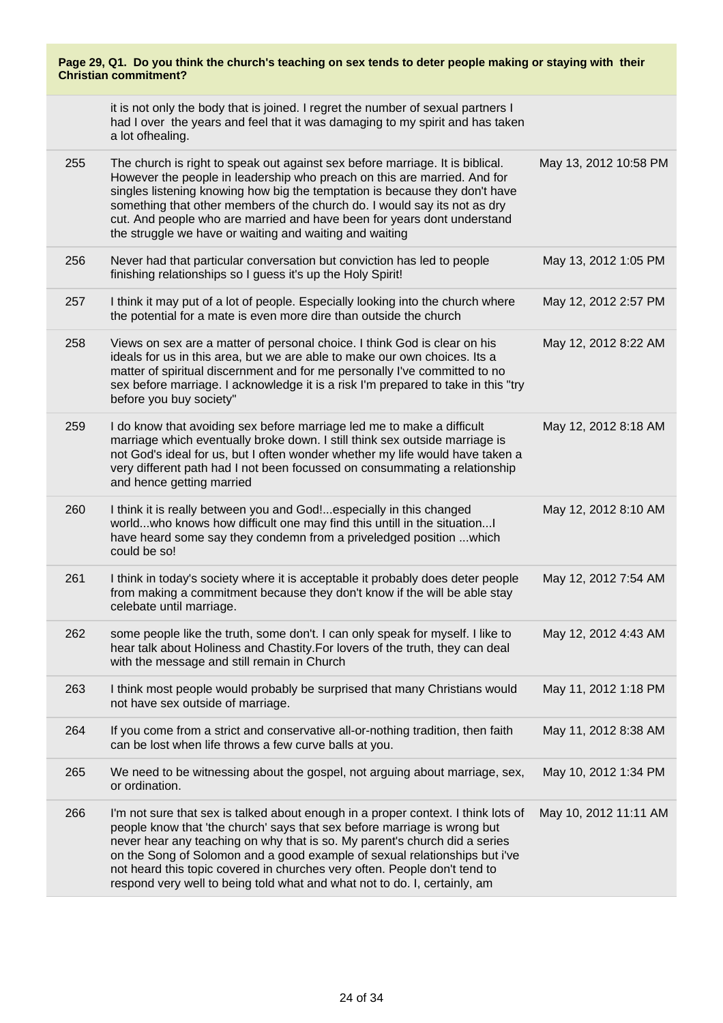|     | Page 29, Q1. Do you think the church's teaching on sex tends to deter people making or staying with their<br><b>Christian commitment?</b>                                                                                                                                                                                                                                                                                                                                           |                       |  |  |
|-----|-------------------------------------------------------------------------------------------------------------------------------------------------------------------------------------------------------------------------------------------------------------------------------------------------------------------------------------------------------------------------------------------------------------------------------------------------------------------------------------|-----------------------|--|--|
|     | it is not only the body that is joined. I regret the number of sexual partners I<br>had I over the years and feel that it was damaging to my spirit and has taken<br>a lot ofhealing.                                                                                                                                                                                                                                                                                               |                       |  |  |
| 255 | The church is right to speak out against sex before marriage. It is biblical.<br>However the people in leadership who preach on this are married. And for<br>singles listening knowing how big the temptation is because they don't have<br>something that other members of the church do. I would say its not as dry<br>cut. And people who are married and have been for years dont understand<br>the struggle we have or waiting and waiting and waiting                         | May 13, 2012 10:58 PM |  |  |
| 256 | Never had that particular conversation but conviction has led to people<br>finishing relationships so I guess it's up the Holy Spirit!                                                                                                                                                                                                                                                                                                                                              | May 13, 2012 1:05 PM  |  |  |
| 257 | I think it may put of a lot of people. Especially looking into the church where<br>the potential for a mate is even more dire than outside the church                                                                                                                                                                                                                                                                                                                               | May 12, 2012 2:57 PM  |  |  |
| 258 | Views on sex are a matter of personal choice. I think God is clear on his<br>ideals for us in this area, but we are able to make our own choices. Its a<br>matter of spiritual discernment and for me personally I've committed to no<br>sex before marriage. I acknowledge it is a risk I'm prepared to take in this "try<br>before you buy society"                                                                                                                               | May 12, 2012 8:22 AM  |  |  |
| 259 | I do know that avoiding sex before marriage led me to make a difficult<br>marriage which eventually broke down. I still think sex outside marriage is<br>not God's ideal for us, but I often wonder whether my life would have taken a<br>very different path had I not been focussed on consummating a relationship<br>and hence getting married                                                                                                                                   | May 12, 2012 8:18 AM  |  |  |
| 260 | I think it is really between you and God!especially in this changed<br>worldwho knows how difficult one may find this untill in the situation!<br>have heard some say they condemn from a priveledged position  which<br>could be so!                                                                                                                                                                                                                                               | May 12, 2012 8:10 AM  |  |  |
| 261 | I think in today's society where it is acceptable it probably does deter people<br>from making a commitment because they don't know if the will be able stay<br>celebate until marriage.                                                                                                                                                                                                                                                                                            | May 12, 2012 7:54 AM  |  |  |
| 262 | some people like the truth, some don't. I can only speak for myself. I like to<br>hear talk about Holiness and Chastity. For lovers of the truth, they can deal<br>with the message and still remain in Church                                                                                                                                                                                                                                                                      | May 12, 2012 4:43 AM  |  |  |
| 263 | I think most people would probably be surprised that many Christians would<br>not have sex outside of marriage.                                                                                                                                                                                                                                                                                                                                                                     | May 11, 2012 1:18 PM  |  |  |
| 264 | If you come from a strict and conservative all-or-nothing tradition, then faith<br>can be lost when life throws a few curve balls at you.                                                                                                                                                                                                                                                                                                                                           | May 11, 2012 8:38 AM  |  |  |
| 265 | We need to be witnessing about the gospel, not arguing about marriage, sex,<br>or ordination.                                                                                                                                                                                                                                                                                                                                                                                       | May 10, 2012 1:34 PM  |  |  |
| 266 | I'm not sure that sex is talked about enough in a proper context. I think lots of<br>people know that 'the church' says that sex before marriage is wrong but<br>never hear any teaching on why that is so. My parent's church did a series<br>on the Song of Solomon and a good example of sexual relationships but i've<br>not heard this topic covered in churches very often. People don't tend to<br>respond very well to being told what and what not to do. I, certainly, am | May 10, 2012 11:11 AM |  |  |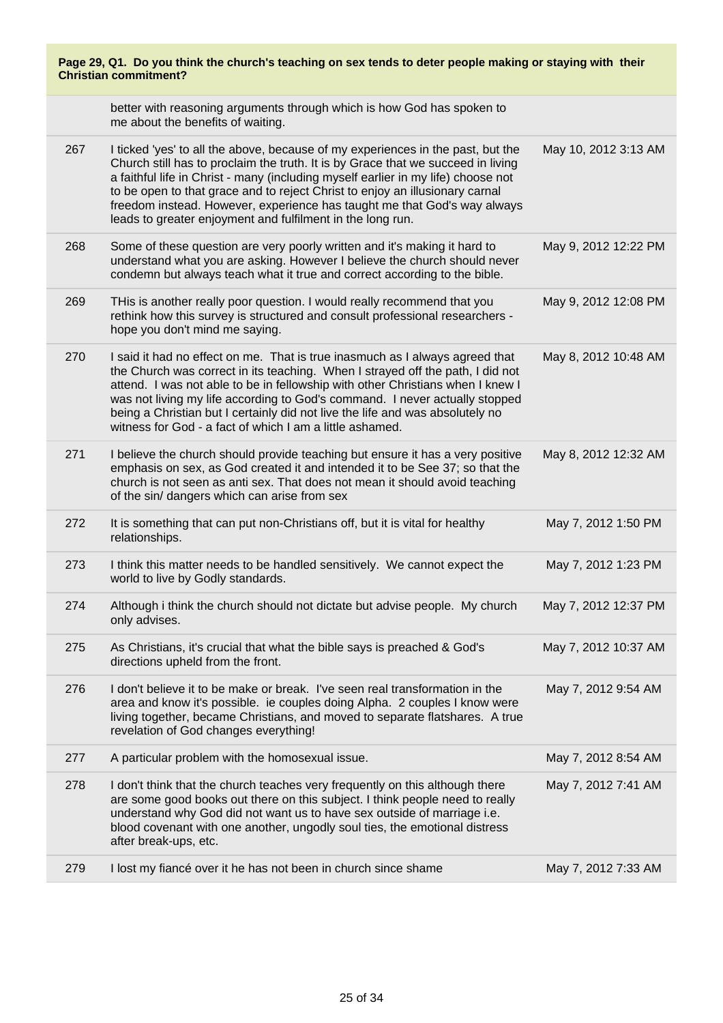| Page 29, Q1. Do you think the church's teaching on sex tends to deter people making or staying with their<br><b>Christian commitment?</b> |                                                                                                                                                                                                                                                                                                                                                                                                                                                                                    |                      |
|-------------------------------------------------------------------------------------------------------------------------------------------|------------------------------------------------------------------------------------------------------------------------------------------------------------------------------------------------------------------------------------------------------------------------------------------------------------------------------------------------------------------------------------------------------------------------------------------------------------------------------------|----------------------|
|                                                                                                                                           | better with reasoning arguments through which is how God has spoken to<br>me about the benefits of waiting.                                                                                                                                                                                                                                                                                                                                                                        |                      |
| 267                                                                                                                                       | I ticked 'yes' to all the above, because of my experiences in the past, but the<br>Church still has to proclaim the truth. It is by Grace that we succeed in living<br>a faithful life in Christ - many (including myself earlier in my life) choose not<br>to be open to that grace and to reject Christ to enjoy an illusionary carnal<br>freedom instead. However, experience has taught me that God's way always<br>leads to greater enjoyment and fulfilment in the long run. | May 10, 2012 3:13 AM |
| 268                                                                                                                                       | Some of these question are very poorly written and it's making it hard to<br>understand what you are asking. However I believe the church should never<br>condemn but always teach what it true and correct according to the bible.                                                                                                                                                                                                                                                | May 9, 2012 12:22 PM |
| 269                                                                                                                                       | THis is another really poor question. I would really recommend that you<br>rethink how this survey is structured and consult professional researchers -<br>hope you don't mind me saying.                                                                                                                                                                                                                                                                                          | May 9, 2012 12:08 PM |
| 270                                                                                                                                       | I said it had no effect on me. That is true inasmuch as I always agreed that<br>the Church was correct in its teaching. When I strayed off the path, I did not<br>attend. I was not able to be in fellowship with other Christians when I knew I<br>was not living my life according to God's command. I never actually stopped<br>being a Christian but I certainly did not live the life and was absolutely no<br>witness for God - a fact of which I am a little ashamed.       | May 8, 2012 10:48 AM |
| 271                                                                                                                                       | I believe the church should provide teaching but ensure it has a very positive<br>emphasis on sex, as God created it and intended it to be See 37; so that the<br>church is not seen as anti sex. That does not mean it should avoid teaching<br>of the sin/ dangers which can arise from sex                                                                                                                                                                                      | May 8, 2012 12:32 AM |
| 272                                                                                                                                       | It is something that can put non-Christians off, but it is vital for healthy<br>relationships.                                                                                                                                                                                                                                                                                                                                                                                     | May 7, 2012 1:50 PM  |
| 273                                                                                                                                       | I think this matter needs to be handled sensitively. We cannot expect the<br>world to live by Godly standards.                                                                                                                                                                                                                                                                                                                                                                     | May 7, 2012 1:23 PM  |
| 274                                                                                                                                       | Although i think the church should not dictate but advise people. My church<br>only advises.                                                                                                                                                                                                                                                                                                                                                                                       | May 7, 2012 12:37 PM |
| 275                                                                                                                                       | As Christians, it's crucial that what the bible says is preached & God's<br>directions upheld from the front.                                                                                                                                                                                                                                                                                                                                                                      | May 7, 2012 10:37 AM |
| 276                                                                                                                                       | I don't believe it to be make or break. I've seen real transformation in the<br>area and know it's possible. ie couples doing Alpha. 2 couples I know were<br>living together, became Christians, and moved to separate flatshares. A true<br>revelation of God changes everything!                                                                                                                                                                                                | May 7, 2012 9:54 AM  |
| 277                                                                                                                                       | A particular problem with the homosexual issue.                                                                                                                                                                                                                                                                                                                                                                                                                                    | May 7, 2012 8:54 AM  |
| 278                                                                                                                                       | I don't think that the church teaches very frequently on this although there<br>are some good books out there on this subject. I think people need to really<br>understand why God did not want us to have sex outside of marriage i.e.<br>blood covenant with one another, ungodly soul ties, the emotional distress<br>after break-ups, etc.                                                                                                                                     | May 7, 2012 7:41 AM  |
| 279                                                                                                                                       | I lost my fiancé over it he has not been in church since shame                                                                                                                                                                                                                                                                                                                                                                                                                     | May 7, 2012 7:33 AM  |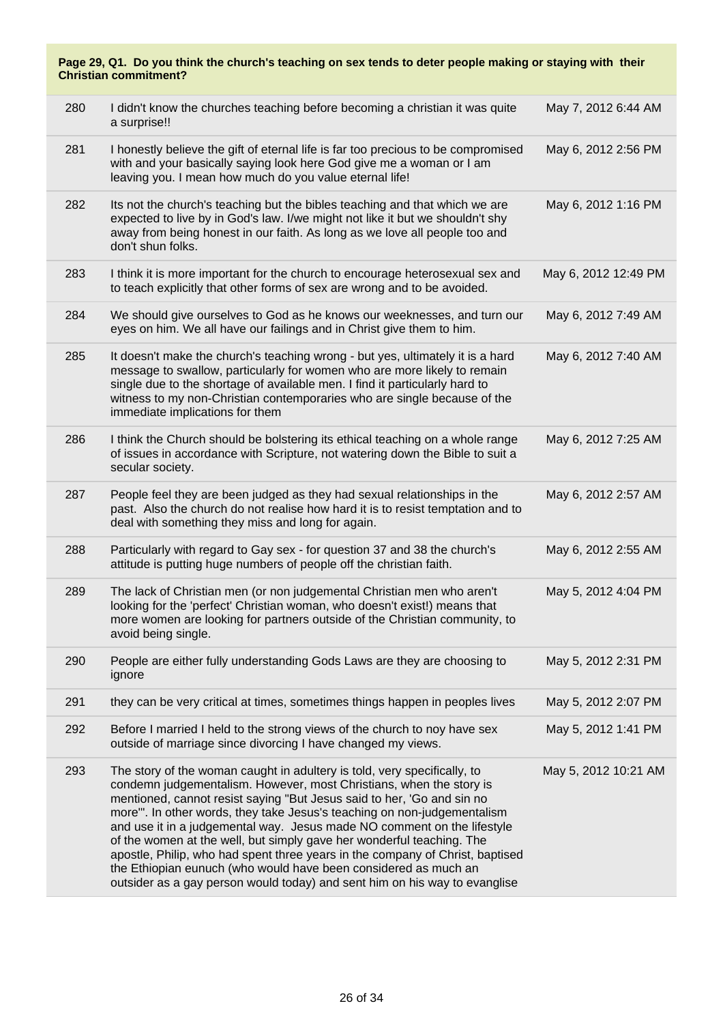| Page 29, Q1. Do you think the church's teaching on sex tends to deter people making or staying with their<br><b>Christian commitment?</b> |                                                                                                                                                                                                                                                                                                                                                                                                                                                                                                                                                                                                                                                                                            |                      |  |
|-------------------------------------------------------------------------------------------------------------------------------------------|--------------------------------------------------------------------------------------------------------------------------------------------------------------------------------------------------------------------------------------------------------------------------------------------------------------------------------------------------------------------------------------------------------------------------------------------------------------------------------------------------------------------------------------------------------------------------------------------------------------------------------------------------------------------------------------------|----------------------|--|
| 280                                                                                                                                       | I didn't know the churches teaching before becoming a christian it was quite<br>a surprise!!                                                                                                                                                                                                                                                                                                                                                                                                                                                                                                                                                                                               | May 7, 2012 6:44 AM  |  |
| 281                                                                                                                                       | I honestly believe the gift of eternal life is far too precious to be compromised<br>with and your basically saying look here God give me a woman or I am<br>leaving you. I mean how much do you value eternal life!                                                                                                                                                                                                                                                                                                                                                                                                                                                                       | May 6, 2012 2:56 PM  |  |
| 282                                                                                                                                       | Its not the church's teaching but the bibles teaching and that which we are<br>expected to live by in God's law. I/we might not like it but we shouldn't shy<br>away from being honest in our faith. As long as we love all people too and<br>don't shun folks.                                                                                                                                                                                                                                                                                                                                                                                                                            | May 6, 2012 1:16 PM  |  |
| 283                                                                                                                                       | I think it is more important for the church to encourage heterosexual sex and<br>to teach explicitly that other forms of sex are wrong and to be avoided.                                                                                                                                                                                                                                                                                                                                                                                                                                                                                                                                  | May 6, 2012 12:49 PM |  |
| 284                                                                                                                                       | We should give ourselves to God as he knows our weeknesses, and turn our<br>eyes on him. We all have our failings and in Christ give them to him.                                                                                                                                                                                                                                                                                                                                                                                                                                                                                                                                          | May 6, 2012 7:49 AM  |  |
| 285                                                                                                                                       | It doesn't make the church's teaching wrong - but yes, ultimately it is a hard<br>message to swallow, particularly for women who are more likely to remain<br>single due to the shortage of available men. I find it particularly hard to<br>witness to my non-Christian contemporaries who are single because of the<br>immediate implications for them                                                                                                                                                                                                                                                                                                                                   | May 6, 2012 7:40 AM  |  |
| 286                                                                                                                                       | I think the Church should be bolstering its ethical teaching on a whole range<br>of issues in accordance with Scripture, not watering down the Bible to suit a<br>secular society.                                                                                                                                                                                                                                                                                                                                                                                                                                                                                                         | May 6, 2012 7:25 AM  |  |
| 287                                                                                                                                       | People feel they are been judged as they had sexual relationships in the<br>past. Also the church do not realise how hard it is to resist temptation and to<br>deal with something they miss and long for again.                                                                                                                                                                                                                                                                                                                                                                                                                                                                           | May 6, 2012 2:57 AM  |  |
| 288                                                                                                                                       | Particularly with regard to Gay sex - for question 37 and 38 the church's<br>attitude is putting huge numbers of people off the christian faith.                                                                                                                                                                                                                                                                                                                                                                                                                                                                                                                                           | May 6, 2012 2:55 AM  |  |
| 289                                                                                                                                       | The lack of Christian men (or non judgemental Christian men who aren't<br>looking for the 'perfect' Christian woman, who doesn't exist!) means that<br>more women are looking for partners outside of the Christian community, to<br>avoid being single.                                                                                                                                                                                                                                                                                                                                                                                                                                   | May 5, 2012 4:04 PM  |  |
| 290                                                                                                                                       | People are either fully understanding Gods Laws are they are choosing to<br>ignore                                                                                                                                                                                                                                                                                                                                                                                                                                                                                                                                                                                                         | May 5, 2012 2:31 PM  |  |
| 291                                                                                                                                       | they can be very critical at times, sometimes things happen in peoples lives                                                                                                                                                                                                                                                                                                                                                                                                                                                                                                                                                                                                               | May 5, 2012 2:07 PM  |  |
| 292                                                                                                                                       | Before I married I held to the strong views of the church to noy have sex<br>outside of marriage since divorcing I have changed my views.                                                                                                                                                                                                                                                                                                                                                                                                                                                                                                                                                  | May 5, 2012 1:41 PM  |  |
| 293                                                                                                                                       | The story of the woman caught in adultery is told, very specifically, to<br>condemn judgementalism. However, most Christians, when the story is<br>mentioned, cannot resist saying "But Jesus said to her, 'Go and sin no<br>more". In other words, they take Jesus's teaching on non-judgementalism<br>and use it in a judgemental way. Jesus made NO comment on the lifestyle<br>of the women at the well, but simply gave her wonderful teaching. The<br>apostle, Philip, who had spent three years in the company of Christ, baptised<br>the Ethiopian eunuch (who would have been considered as much an<br>outsider as a gay person would today) and sent him on his way to evanglise | May 5, 2012 10:21 AM |  |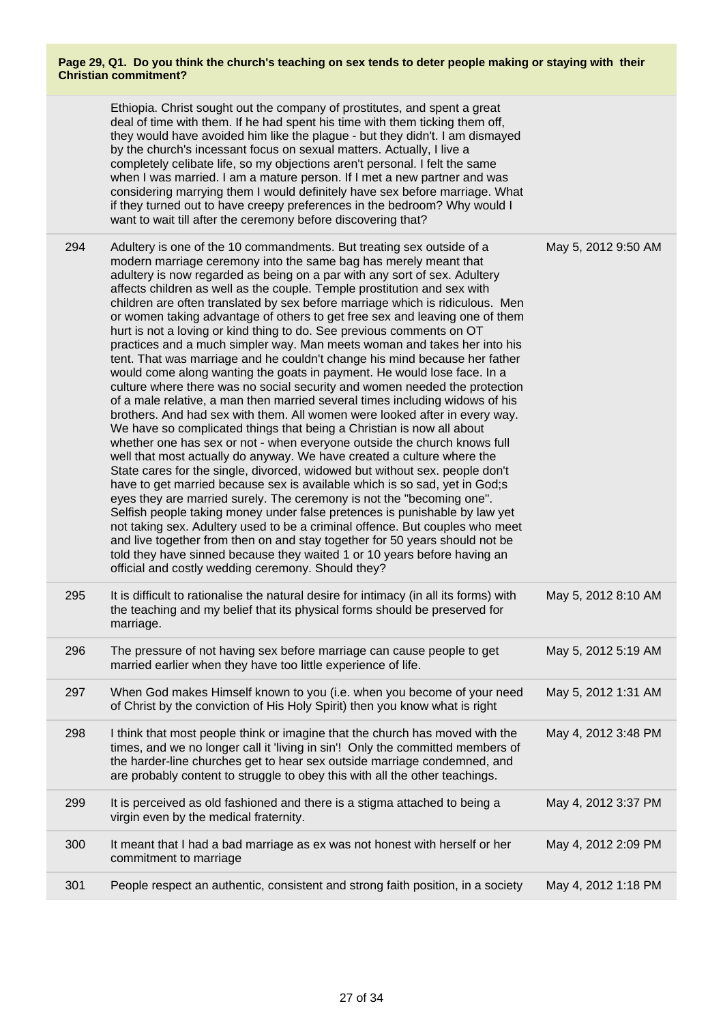|     | Ethiopia. Christ sought out the company of prostitutes, and spent a great<br>deal of time with them. If he had spent his time with them ticking them off,<br>they would have avoided him like the plague - but they didn't. I am dismayed<br>by the church's incessant focus on sexual matters. Actually, I live a<br>completely celibate life, so my objections aren't personal. I felt the same<br>when I was married. I am a mature person. If I met a new partner and was<br>considering marrying them I would definitely have sex before marriage. What<br>if they turned out to have creepy preferences in the bedroom? Why would I<br>want to wait till after the ceremony before discovering that?                                                                                                                                                                                                                                                                                                                                                                                                                                                                                                                                                                                                                                                                                                                                                                                                                                                                                                                                                                                                                                                                                                                                                                       |                     |
|-----|----------------------------------------------------------------------------------------------------------------------------------------------------------------------------------------------------------------------------------------------------------------------------------------------------------------------------------------------------------------------------------------------------------------------------------------------------------------------------------------------------------------------------------------------------------------------------------------------------------------------------------------------------------------------------------------------------------------------------------------------------------------------------------------------------------------------------------------------------------------------------------------------------------------------------------------------------------------------------------------------------------------------------------------------------------------------------------------------------------------------------------------------------------------------------------------------------------------------------------------------------------------------------------------------------------------------------------------------------------------------------------------------------------------------------------------------------------------------------------------------------------------------------------------------------------------------------------------------------------------------------------------------------------------------------------------------------------------------------------------------------------------------------------------------------------------------------------------------------------------------------------|---------------------|
| 294 | Adultery is one of the 10 commandments. But treating sex outside of a<br>modern marriage ceremony into the same bag has merely meant that<br>adultery is now regarded as being on a par with any sort of sex. Adultery<br>affects children as well as the couple. Temple prostitution and sex with<br>children are often translated by sex before marriage which is ridiculous. Men<br>or women taking advantage of others to get free sex and leaving one of them<br>hurt is not a loving or kind thing to do. See previous comments on OT<br>practices and a much simpler way. Man meets woman and takes her into his<br>tent. That was marriage and he couldn't change his mind because her father<br>would come along wanting the goats in payment. He would lose face. In a<br>culture where there was no social security and women needed the protection<br>of a male relative, a man then married several times including widows of his<br>brothers. And had sex with them. All women were looked after in every way.<br>We have so complicated things that being a Christian is now all about<br>whether one has sex or not - when everyone outside the church knows full<br>well that most actually do anyway. We have created a culture where the<br>State cares for the single, divorced, widowed but without sex. people don't<br>have to get married because sex is available which is so sad, yet in God;s<br>eyes they are married surely. The ceremony is not the "becoming one".<br>Selfish people taking money under false pretences is punishable by law yet<br>not taking sex. Adultery used to be a criminal offence. But couples who meet<br>and live together from then on and stay together for 50 years should not be<br>told they have sinned because they waited 1 or 10 years before having an<br>official and costly wedding ceremony. Should they? | May 5, 2012 9:50 AM |
| 295 | It is difficult to rationalise the natural desire for intimacy (in all its forms) with<br>the teaching and my belief that its physical forms should be preserved for<br>marriage.                                                                                                                                                                                                                                                                                                                                                                                                                                                                                                                                                                                                                                                                                                                                                                                                                                                                                                                                                                                                                                                                                                                                                                                                                                                                                                                                                                                                                                                                                                                                                                                                                                                                                                | May 5, 2012 8:10 AM |
| 296 | The pressure of not having sex before marriage can cause people to get<br>married earlier when they have too little experience of life.                                                                                                                                                                                                                                                                                                                                                                                                                                                                                                                                                                                                                                                                                                                                                                                                                                                                                                                                                                                                                                                                                                                                                                                                                                                                                                                                                                                                                                                                                                                                                                                                                                                                                                                                          | May 5, 2012 5:19 AM |
| 297 | When God makes Himself known to you (i.e. when you become of your need<br>of Christ by the conviction of His Holy Spirit) then you know what is right                                                                                                                                                                                                                                                                                                                                                                                                                                                                                                                                                                                                                                                                                                                                                                                                                                                                                                                                                                                                                                                                                                                                                                                                                                                                                                                                                                                                                                                                                                                                                                                                                                                                                                                            | May 5, 2012 1:31 AM |
| 298 | I think that most people think or imagine that the church has moved with the<br>times, and we no longer call it 'living in sin'! Only the committed members of<br>the harder-line churches get to hear sex outside marriage condemned, and<br>are probably content to struggle to obey this with all the other teachings.                                                                                                                                                                                                                                                                                                                                                                                                                                                                                                                                                                                                                                                                                                                                                                                                                                                                                                                                                                                                                                                                                                                                                                                                                                                                                                                                                                                                                                                                                                                                                        | May 4, 2012 3:48 PM |
| 299 | It is perceived as old fashioned and there is a stigma attached to being a<br>virgin even by the medical fraternity.                                                                                                                                                                                                                                                                                                                                                                                                                                                                                                                                                                                                                                                                                                                                                                                                                                                                                                                                                                                                                                                                                                                                                                                                                                                                                                                                                                                                                                                                                                                                                                                                                                                                                                                                                             | May 4, 2012 3:37 PM |
| 300 | It meant that I had a bad marriage as ex was not honest with herself or her<br>commitment to marriage                                                                                                                                                                                                                                                                                                                                                                                                                                                                                                                                                                                                                                                                                                                                                                                                                                                                                                                                                                                                                                                                                                                                                                                                                                                                                                                                                                                                                                                                                                                                                                                                                                                                                                                                                                            | May 4, 2012 2:09 PM |
| 301 | People respect an authentic, consistent and strong faith position, in a society                                                                                                                                                                                                                                                                                                                                                                                                                                                                                                                                                                                                                                                                                                                                                                                                                                                                                                                                                                                                                                                                                                                                                                                                                                                                                                                                                                                                                                                                                                                                                                                                                                                                                                                                                                                                  | May 4, 2012 1:18 PM |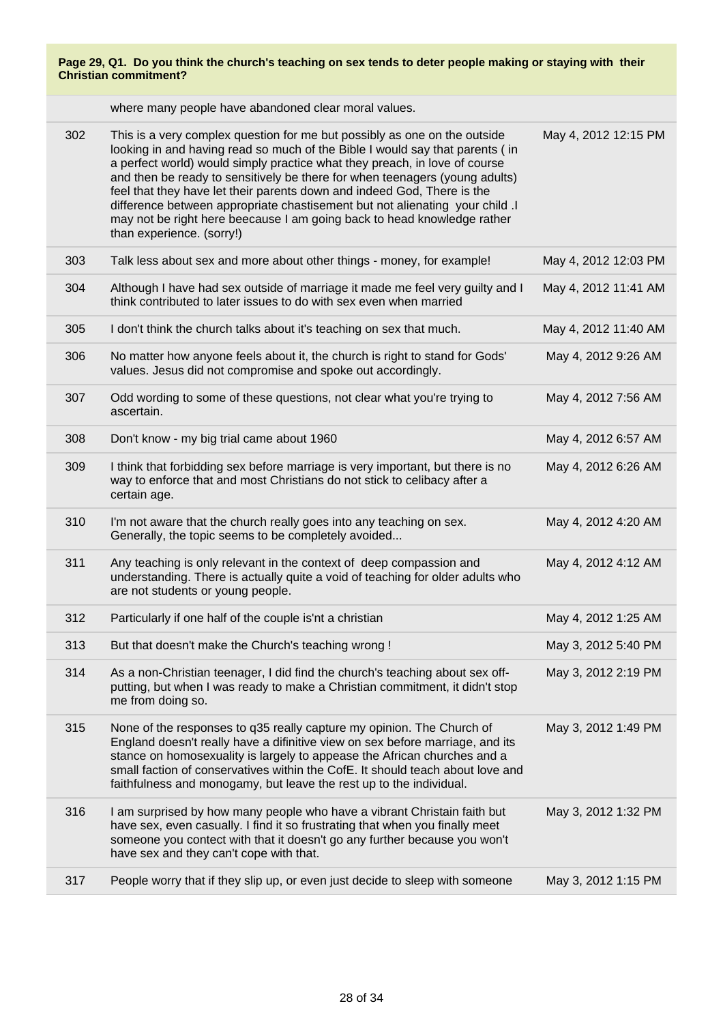| Page 29, Q1. Do you think the church's teaching on sex tends to deter people making or staying with their<br><b>Christian commitment?</b> |                                                                           |                      |
|-------------------------------------------------------------------------------------------------------------------------------------------|---------------------------------------------------------------------------|----------------------|
|                                                                                                                                           | where many people have abandoned clear moral values.                      |                      |
| 302                                                                                                                                       | This is a very complex question for me but possibly as one on the outside | May 4, 2012 12:15 PM |

|     | looking in and having read so much of the Bible I would say that parents (in<br>a perfect world) would simply practice what they preach, in love of course<br>and then be ready to sensitively be there for when teenagers (young adults)<br>feel that they have let their parents down and indeed God, There is the<br>difference between appropriate chastisement but not alienating your child .I<br>may not be right here beecause I am going back to head knowledge rather<br>than experience. (sorry!) |                      |
|-----|--------------------------------------------------------------------------------------------------------------------------------------------------------------------------------------------------------------------------------------------------------------------------------------------------------------------------------------------------------------------------------------------------------------------------------------------------------------------------------------------------------------|----------------------|
| 303 | Talk less about sex and more about other things - money, for example!                                                                                                                                                                                                                                                                                                                                                                                                                                        | May 4, 2012 12:03 PM |
| 304 | Although I have had sex outside of marriage it made me feel very guilty and I<br>think contributed to later issues to do with sex even when married                                                                                                                                                                                                                                                                                                                                                          | May 4, 2012 11:41 AM |
| 305 | I don't think the church talks about it's teaching on sex that much.                                                                                                                                                                                                                                                                                                                                                                                                                                         | May 4, 2012 11:40 AM |
| 306 | No matter how anyone feels about it, the church is right to stand for Gods'<br>values. Jesus did not compromise and spoke out accordingly.                                                                                                                                                                                                                                                                                                                                                                   | May 4, 2012 9:26 AM  |
| 307 | Odd wording to some of these questions, not clear what you're trying to<br>ascertain.                                                                                                                                                                                                                                                                                                                                                                                                                        | May 4, 2012 7:56 AM  |
| 308 | Don't know - my big trial came about 1960                                                                                                                                                                                                                                                                                                                                                                                                                                                                    | May 4, 2012 6:57 AM  |
| 309 | I think that forbidding sex before marriage is very important, but there is no<br>way to enforce that and most Christians do not stick to celibacy after a<br>certain age.                                                                                                                                                                                                                                                                                                                                   | May 4, 2012 6:26 AM  |
| 310 | I'm not aware that the church really goes into any teaching on sex.<br>Generally, the topic seems to be completely avoided                                                                                                                                                                                                                                                                                                                                                                                   | May 4, 2012 4:20 AM  |
| 311 | Any teaching is only relevant in the context of deep compassion and<br>understanding. There is actually quite a void of teaching for older adults who<br>are not students or young people.                                                                                                                                                                                                                                                                                                                   | May 4, 2012 4:12 AM  |
| 312 | Particularly if one half of the couple is'nt a christian                                                                                                                                                                                                                                                                                                                                                                                                                                                     | May 4, 2012 1:25 AM  |
| 313 | But that doesn't make the Church's teaching wrong !                                                                                                                                                                                                                                                                                                                                                                                                                                                          | May 3, 2012 5:40 PM  |
| 314 | As a non-Christian teenager, I did find the church's teaching about sex off-<br>putting, but when I was ready to make a Christian commitment, it didn't stop<br>me from doing so.                                                                                                                                                                                                                                                                                                                            | May 3, 2012 2:19 PM  |
| 315 | None of the responses to q35 really capture my opinion. The Church of<br>England doesn't really have a difinitive view on sex before marriage, and its<br>stance on homosexuality is largely to appease the African churches and a<br>small faction of conservatives within the CofE. It should teach about love and<br>faithfulness and monogamy, but leave the rest up to the individual.                                                                                                                  | May 3, 2012 1:49 PM  |
| 316 | I am surprised by how many people who have a vibrant Christain faith but<br>have sex, even casually. I find it so frustrating that when you finally meet<br>someone you contect with that it doesn't go any further because you won't<br>have sex and they can't cope with that.                                                                                                                                                                                                                             | May 3, 2012 1:32 PM  |
| 317 | People worry that if they slip up, or even just decide to sleep with someone                                                                                                                                                                                                                                                                                                                                                                                                                                 | May 3, 2012 1:15 PM  |
|     |                                                                                                                                                                                                                                                                                                                                                                                                                                                                                                              |                      |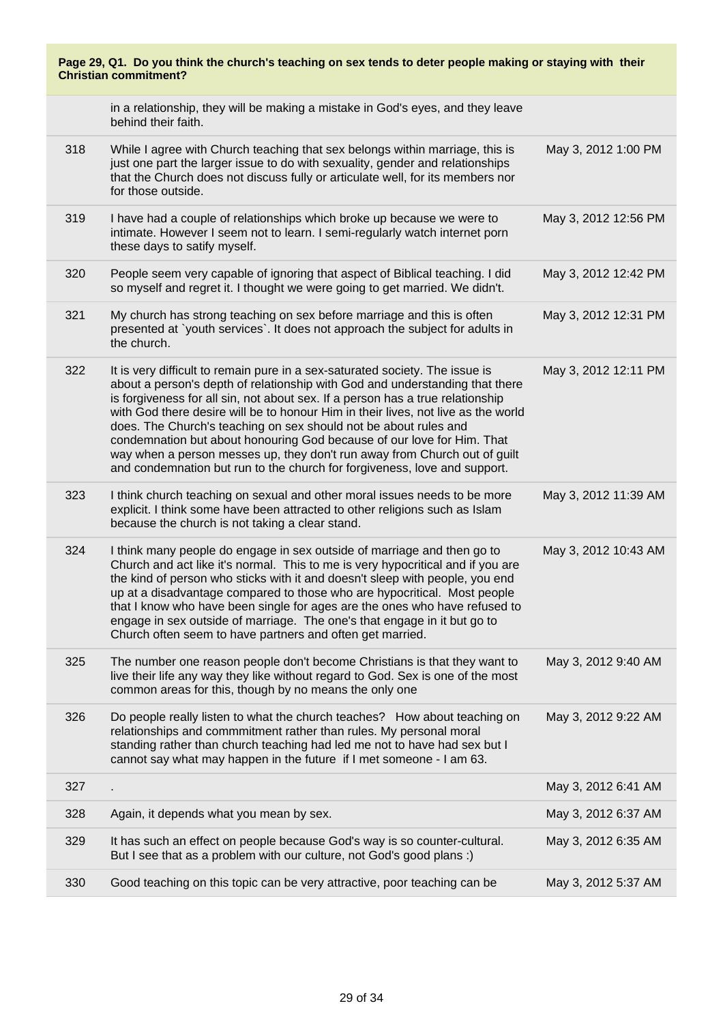| Page 29, Q1. Do you think the church's teaching on sex tends to deter people making or staying with their<br><b>Christian commitment?</b> |                                                                                                                                                                                                                                                                                                                                                                                                                                                                                                                                                                                                                                             |                      |
|-------------------------------------------------------------------------------------------------------------------------------------------|---------------------------------------------------------------------------------------------------------------------------------------------------------------------------------------------------------------------------------------------------------------------------------------------------------------------------------------------------------------------------------------------------------------------------------------------------------------------------------------------------------------------------------------------------------------------------------------------------------------------------------------------|----------------------|
|                                                                                                                                           | in a relationship, they will be making a mistake in God's eyes, and they leave<br>behind their faith.                                                                                                                                                                                                                                                                                                                                                                                                                                                                                                                                       |                      |
| 318                                                                                                                                       | While I agree with Church teaching that sex belongs within marriage, this is<br>just one part the larger issue to do with sexuality, gender and relationships<br>that the Church does not discuss fully or articulate well, for its members nor<br>for those outside.                                                                                                                                                                                                                                                                                                                                                                       | May 3, 2012 1:00 PM  |
| 319                                                                                                                                       | I have had a couple of relationships which broke up because we were to<br>intimate. However I seem not to learn. I semi-regularly watch internet porn<br>these days to satify myself.                                                                                                                                                                                                                                                                                                                                                                                                                                                       | May 3, 2012 12:56 PM |
| 320                                                                                                                                       | People seem very capable of ignoring that aspect of Biblical teaching. I did<br>so myself and regret it. I thought we were going to get married. We didn't.                                                                                                                                                                                                                                                                                                                                                                                                                                                                                 | May 3, 2012 12:42 PM |
| 321                                                                                                                                       | My church has strong teaching on sex before marriage and this is often<br>presented at `youth services`. It does not approach the subject for adults in<br>the church.                                                                                                                                                                                                                                                                                                                                                                                                                                                                      | May 3, 2012 12:31 PM |
| 322                                                                                                                                       | It is very difficult to remain pure in a sex-saturated society. The issue is<br>about a person's depth of relationship with God and understanding that there<br>is forgiveness for all sin, not about sex. If a person has a true relationship<br>with God there desire will be to honour Him in their lives, not live as the world<br>does. The Church's teaching on sex should not be about rules and<br>condemnation but about honouring God because of our love for Him. That<br>way when a person messes up, they don't run away from Church out of guilt<br>and condemnation but run to the church for forgiveness, love and support. | May 3, 2012 12:11 PM |
| 323                                                                                                                                       | I think church teaching on sexual and other moral issues needs to be more<br>explicit. I think some have been attracted to other religions such as Islam<br>because the church is not taking a clear stand.                                                                                                                                                                                                                                                                                                                                                                                                                                 | May 3, 2012 11:39 AM |
| 324                                                                                                                                       | I think many people do engage in sex outside of marriage and then go to<br>Church and act like it's normal. This to me is very hypocritical and if you are<br>the kind of person who sticks with it and doesn't sleep with people, you end<br>up at a disadvantage compared to those who are hypocritical. Most people<br>that I know who have been single for ages are the ones who have refused to<br>engage in sex outside of marriage. The one's that engage in it but go to<br>Church often seem to have partners and often get married.                                                                                               | May 3, 2012 10:43 AM |
| 325                                                                                                                                       | The number one reason people don't become Christians is that they want to<br>live their life any way they like without regard to God. Sex is one of the most<br>common areas for this, though by no means the only one                                                                                                                                                                                                                                                                                                                                                                                                                      | May 3, 2012 9:40 AM  |
| 326                                                                                                                                       | Do people really listen to what the church teaches? How about teaching on<br>relationships and commmitment rather than rules. My personal moral<br>standing rather than church teaching had led me not to have had sex but I<br>cannot say what may happen in the future if I met someone - I am 63.                                                                                                                                                                                                                                                                                                                                        | May 3, 2012 9:22 AM  |
| 327                                                                                                                                       |                                                                                                                                                                                                                                                                                                                                                                                                                                                                                                                                                                                                                                             | May 3, 2012 6:41 AM  |
| 328                                                                                                                                       | Again, it depends what you mean by sex.                                                                                                                                                                                                                                                                                                                                                                                                                                                                                                                                                                                                     | May 3, 2012 6:37 AM  |
| 329                                                                                                                                       | It has such an effect on people because God's way is so counter-cultural.<br>But I see that as a problem with our culture, not God's good plans :)                                                                                                                                                                                                                                                                                                                                                                                                                                                                                          | May 3, 2012 6:35 AM  |
| 330                                                                                                                                       | Good teaching on this topic can be very attractive, poor teaching can be                                                                                                                                                                                                                                                                                                                                                                                                                                                                                                                                                                    | May 3, 2012 5:37 AM  |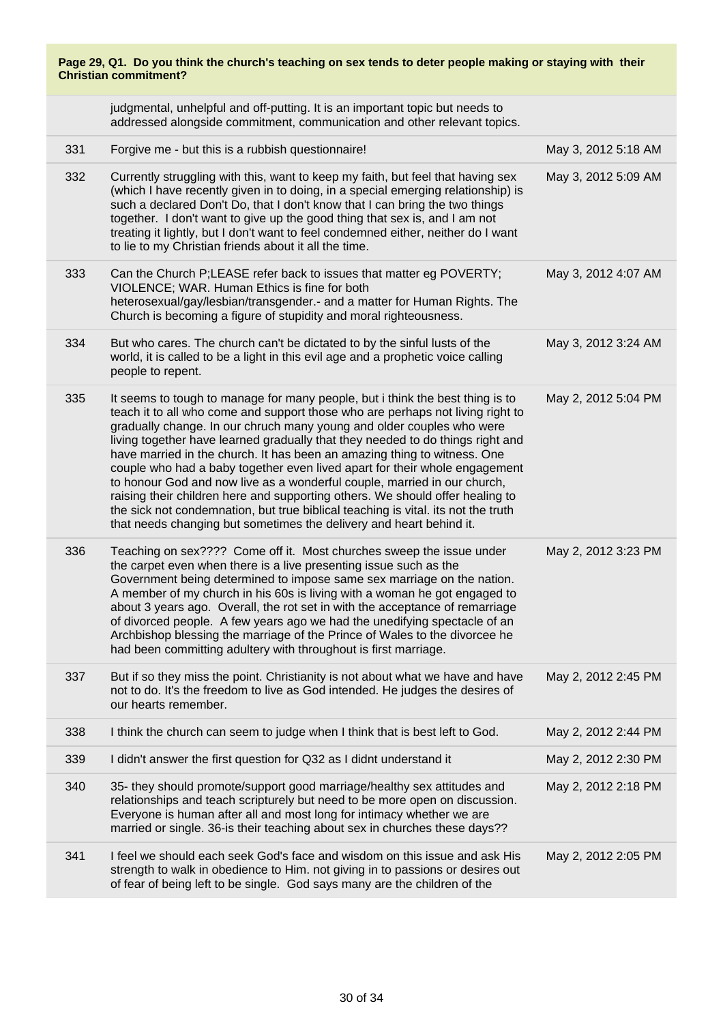| Page 29, Q1. Do you think the church's teaching on sex tends to deter people making or staying with their<br><b>Christian commitment?</b> |                                                                                                                                                                                                                                                                                                                                                                                                                                                                                                                                                                                                                                                                                                                                                                                                               |                     |
|-------------------------------------------------------------------------------------------------------------------------------------------|---------------------------------------------------------------------------------------------------------------------------------------------------------------------------------------------------------------------------------------------------------------------------------------------------------------------------------------------------------------------------------------------------------------------------------------------------------------------------------------------------------------------------------------------------------------------------------------------------------------------------------------------------------------------------------------------------------------------------------------------------------------------------------------------------------------|---------------------|
|                                                                                                                                           | judgmental, unhelpful and off-putting. It is an important topic but needs to<br>addressed alongside commitment, communication and other relevant topics.                                                                                                                                                                                                                                                                                                                                                                                                                                                                                                                                                                                                                                                      |                     |
| 331                                                                                                                                       | Forgive me - but this is a rubbish questionnaire!                                                                                                                                                                                                                                                                                                                                                                                                                                                                                                                                                                                                                                                                                                                                                             | May 3, 2012 5:18 AM |
| 332                                                                                                                                       | Currently struggling with this, want to keep my faith, but feel that having sex<br>(which I have recently given in to doing, in a special emerging relationship) is<br>such a declared Don't Do, that I don't know that I can bring the two things<br>together. I don't want to give up the good thing that sex is, and I am not<br>treating it lightly, but I don't want to feel condemned either, neither do I want<br>to lie to my Christian friends about it all the time.                                                                                                                                                                                                                                                                                                                                | May 3, 2012 5:09 AM |
| 333                                                                                                                                       | Can the Church P;LEASE refer back to issues that matter eg POVERTY;<br>VIOLENCE; WAR. Human Ethics is fine for both<br>heterosexual/gay/lesbian/transgender.- and a matter for Human Rights. The<br>Church is becoming a figure of stupidity and moral righteousness.                                                                                                                                                                                                                                                                                                                                                                                                                                                                                                                                         | May 3, 2012 4:07 AM |
| 334                                                                                                                                       | But who cares. The church can't be dictated to by the sinful lusts of the<br>world, it is called to be a light in this evil age and a prophetic voice calling<br>people to repent.                                                                                                                                                                                                                                                                                                                                                                                                                                                                                                                                                                                                                            | May 3, 2012 3:24 AM |
| 335                                                                                                                                       | It seems to tough to manage for many people, but i think the best thing is to<br>teach it to all who come and support those who are perhaps not living right to<br>gradually change. In our chruch many young and older couples who were<br>living together have learned gradually that they needed to do things right and<br>have married in the church. It has been an amazing thing to witness. One<br>couple who had a baby together even lived apart for their whole engagement<br>to honour God and now live as a wonderful couple, married in our church,<br>raising their children here and supporting others. We should offer healing to<br>the sick not condemnation, but true biblical teaching is vital. its not the truth<br>that needs changing but sometimes the delivery and heart behind it. | May 2, 2012 5:04 PM |
| 336                                                                                                                                       | Teaching on sex???? Come off it. Most churches sweep the issue under<br>the carpet even when there is a live presenting issue such as the<br>Government being determined to impose same sex marriage on the nation.<br>A member of my church in his 60s is living with a woman he got engaged to<br>about 3 years ago. Overall, the rot set in with the acceptance of remarriage<br>of divorced people. A few years ago we had the unedifying spectacle of an<br>Archbishop blessing the marriage of the Prince of Wales to the divorcee he<br>had been committing adultery with throughout is first marriage.                                                                                                                                                                                                | May 2, 2012 3:23 PM |
| 337                                                                                                                                       | But if so they miss the point. Christianity is not about what we have and have<br>not to do. It's the freedom to live as God intended. He judges the desires of<br>our hearts remember.                                                                                                                                                                                                                                                                                                                                                                                                                                                                                                                                                                                                                       | May 2, 2012 2:45 PM |
| 338                                                                                                                                       | I think the church can seem to judge when I think that is best left to God.                                                                                                                                                                                                                                                                                                                                                                                                                                                                                                                                                                                                                                                                                                                                   | May 2, 2012 2:44 PM |
| 339                                                                                                                                       | I didn't answer the first question for Q32 as I didnt understand it                                                                                                                                                                                                                                                                                                                                                                                                                                                                                                                                                                                                                                                                                                                                           | May 2, 2012 2:30 PM |
| 340                                                                                                                                       | 35- they should promote/support good marriage/healthy sex attitudes and<br>relationships and teach scripturely but need to be more open on discussion.<br>Everyone is human after all and most long for intimacy whether we are<br>married or single. 36-is their teaching about sex in churches these days??                                                                                                                                                                                                                                                                                                                                                                                                                                                                                                 | May 2, 2012 2:18 PM |
| 341                                                                                                                                       | I feel we should each seek God's face and wisdom on this issue and ask His<br>strength to walk in obedience to Him. not giving in to passions or desires out<br>of fear of being left to be single. God says many are the children of the                                                                                                                                                                                                                                                                                                                                                                                                                                                                                                                                                                     | May 2, 2012 2:05 PM |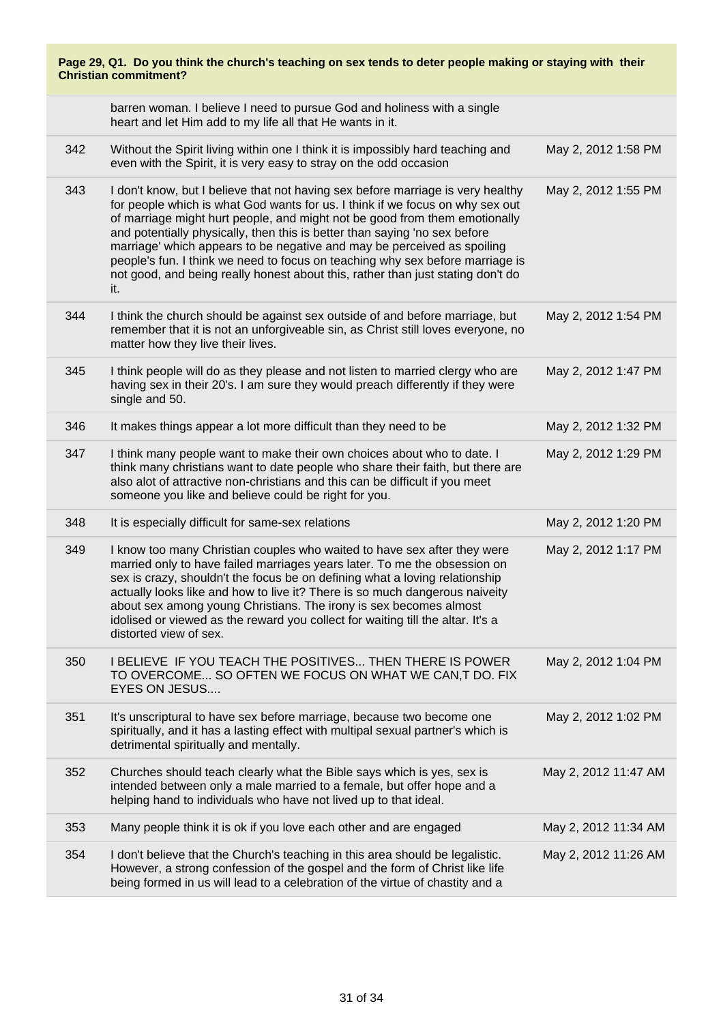| Page 29, Q1. Do you think the church's teaching on sex tends to deter people making or staying with their<br><b>Christian commitment?</b> |                                                                                                                                                                                                                                                                                                                                                                                                                                                                                                                                                                                    |                      |
|-------------------------------------------------------------------------------------------------------------------------------------------|------------------------------------------------------------------------------------------------------------------------------------------------------------------------------------------------------------------------------------------------------------------------------------------------------------------------------------------------------------------------------------------------------------------------------------------------------------------------------------------------------------------------------------------------------------------------------------|----------------------|
|                                                                                                                                           | barren woman. I believe I need to pursue God and holiness with a single<br>heart and let Him add to my life all that He wants in it.                                                                                                                                                                                                                                                                                                                                                                                                                                               |                      |
| 342                                                                                                                                       | Without the Spirit living within one I think it is impossibly hard teaching and<br>even with the Spirit, it is very easy to stray on the odd occasion                                                                                                                                                                                                                                                                                                                                                                                                                              | May 2, 2012 1:58 PM  |
| 343                                                                                                                                       | I don't know, but I believe that not having sex before marriage is very healthy<br>for people which is what God wants for us. I think if we focus on why sex out<br>of marriage might hurt people, and might not be good from them emotionally<br>and potentially physically, then this is better than saying 'no sex before<br>marriage' which appears to be negative and may be perceived as spoiling<br>people's fun. I think we need to focus on teaching why sex before marriage is<br>not good, and being really honest about this, rather than just stating don't do<br>it. | May 2, 2012 1:55 PM  |
| 344                                                                                                                                       | I think the church should be against sex outside of and before marriage, but<br>remember that it is not an unforgiveable sin, as Christ still loves everyone, no<br>matter how they live their lives.                                                                                                                                                                                                                                                                                                                                                                              | May 2, 2012 1:54 PM  |
| 345                                                                                                                                       | I think people will do as they please and not listen to married clergy who are<br>having sex in their 20's. I am sure they would preach differently if they were<br>single and 50.                                                                                                                                                                                                                                                                                                                                                                                                 | May 2, 2012 1:47 PM  |
| 346                                                                                                                                       | It makes things appear a lot more difficult than they need to be                                                                                                                                                                                                                                                                                                                                                                                                                                                                                                                   | May 2, 2012 1:32 PM  |
| 347                                                                                                                                       | I think many people want to make their own choices about who to date. I<br>think many christians want to date people who share their faith, but there are<br>also alot of attractive non-christians and this can be difficult if you meet<br>someone you like and believe could be right for you.                                                                                                                                                                                                                                                                                  | May 2, 2012 1:29 PM  |
| 348                                                                                                                                       | It is especially difficult for same-sex relations                                                                                                                                                                                                                                                                                                                                                                                                                                                                                                                                  | May 2, 2012 1:20 PM  |
| 349                                                                                                                                       | I know too many Christian couples who waited to have sex after they were<br>married only to have failed marriages years later. To me the obsession on<br>sex is crazy, shouldn't the focus be on defining what a loving relationship<br>actually looks like and how to live it? There is so much dangerous naiveity<br>about sex among young Christians. The irony is sex becomes almost<br>idolised or viewed as the reward you collect for waiting till the altar. It's a<br>distorted view of sex.                                                                              | May 2, 2012 1:17 PM  |
| 350                                                                                                                                       | I BELIEVE IF YOU TEACH THE POSITIVES THEN THERE IS POWER<br>TO OVERCOME SO OFTEN WE FOCUS ON WHAT WE CAN, T DO. FIX<br><b>EYES ON JESUS</b>                                                                                                                                                                                                                                                                                                                                                                                                                                        | May 2, 2012 1:04 PM  |
| 351                                                                                                                                       | It's unscriptural to have sex before marriage, because two become one<br>spiritually, and it has a lasting effect with multipal sexual partner's which is<br>detrimental spiritually and mentally.                                                                                                                                                                                                                                                                                                                                                                                 | May 2, 2012 1:02 PM  |
| 352                                                                                                                                       | Churches should teach clearly what the Bible says which is yes, sex is<br>intended between only a male married to a female, but offer hope and a<br>helping hand to individuals who have not lived up to that ideal.                                                                                                                                                                                                                                                                                                                                                               | May 2, 2012 11:47 AM |
| 353                                                                                                                                       | Many people think it is ok if you love each other and are engaged                                                                                                                                                                                                                                                                                                                                                                                                                                                                                                                  | May 2, 2012 11:34 AM |
| 354                                                                                                                                       | I don't believe that the Church's teaching in this area should be legalistic.<br>However, a strong confession of the gospel and the form of Christ like life<br>being formed in us will lead to a celebration of the virtue of chastity and a                                                                                                                                                                                                                                                                                                                                      | May 2, 2012 11:26 AM |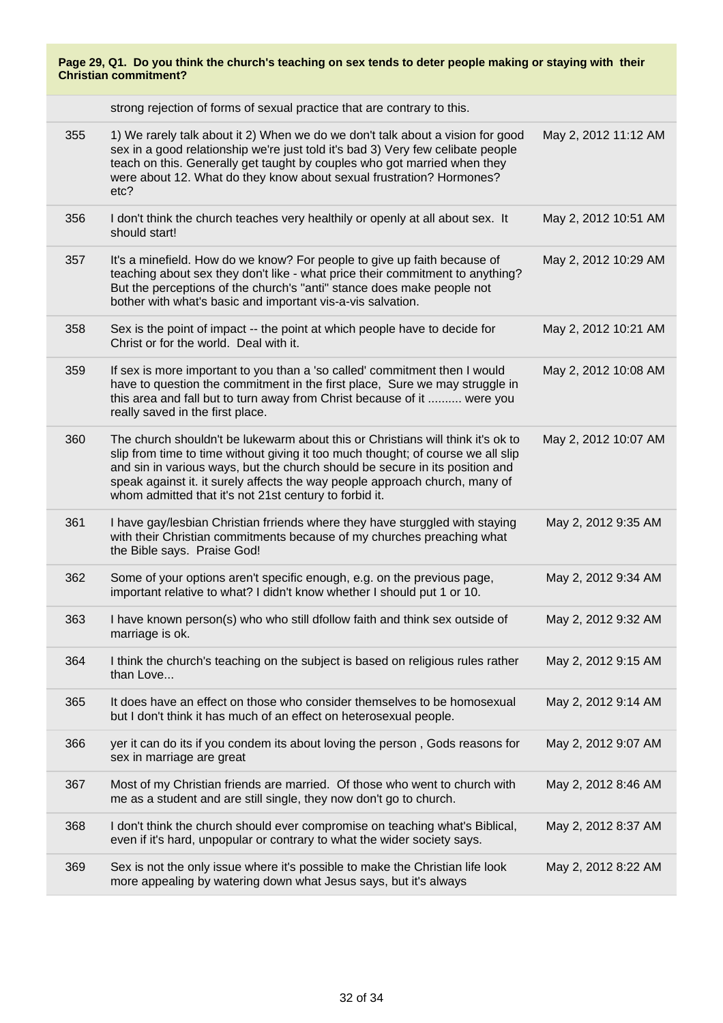strong rejection of forms of sexual practice that are contrary to this.

| 355 | 1) We rarely talk about it 2) When we do we don't talk about a vision for good<br>sex in a good relationship we're just told it's bad 3) Very few celibate people<br>teach on this. Generally get taught by couples who got married when they<br>were about 12. What do they know about sexual frustration? Hormones?<br>etc?                                                                | May 2, 2012 11:12 AM |
|-----|----------------------------------------------------------------------------------------------------------------------------------------------------------------------------------------------------------------------------------------------------------------------------------------------------------------------------------------------------------------------------------------------|----------------------|
| 356 | I don't think the church teaches very healthily or openly at all about sex. It<br>should start!                                                                                                                                                                                                                                                                                              | May 2, 2012 10:51 AM |
| 357 | It's a minefield. How do we know? For people to give up faith because of<br>teaching about sex they don't like - what price their commitment to anything?<br>But the perceptions of the church's "anti" stance does make people not<br>bother with what's basic and important vis-a-vis salvation.                                                                                           | May 2, 2012 10:29 AM |
| 358 | Sex is the point of impact -- the point at which people have to decide for<br>Christ or for the world. Deal with it.                                                                                                                                                                                                                                                                         | May 2, 2012 10:21 AM |
| 359 | If sex is more important to you than a 'so called' commitment then I would<br>have to question the commitment in the first place, Sure we may struggle in<br>this area and fall but to turn away from Christ because of it  were you<br>really saved in the first place.                                                                                                                     | May 2, 2012 10:08 AM |
| 360 | The church shouldn't be lukewarm about this or Christians will think it's ok to<br>slip from time to time without giving it too much thought; of course we all slip<br>and sin in various ways, but the church should be secure in its position and<br>speak against it. it surely affects the way people approach church, many of<br>whom admitted that it's not 21st century to forbid it. | May 2, 2012 10:07 AM |
| 361 | I have gay/lesbian Christian frriends where they have sturggled with staying<br>with their Christian commitments because of my churches preaching what<br>the Bible says. Praise God!                                                                                                                                                                                                        | May 2, 2012 9:35 AM  |
| 362 | Some of your options aren't specific enough, e.g. on the previous page,<br>important relative to what? I didn't know whether I should put 1 or 10.                                                                                                                                                                                                                                           | May 2, 2012 9:34 AM  |
| 363 | I have known person(s) who who still dfollow faith and think sex outside of<br>marriage is ok.                                                                                                                                                                                                                                                                                               | May 2, 2012 9:32 AM  |
| 364 | I think the church's teaching on the subject is based on religious rules rather<br>than Love                                                                                                                                                                                                                                                                                                 | May 2, 2012 9:15 AM  |
| 365 | It does have an effect on those who consider themselves to be homosexual<br>but I don't think it has much of an effect on heterosexual people.                                                                                                                                                                                                                                               | May 2, 2012 9:14 AM  |
| 366 | yer it can do its if you condem its about loving the person, Gods reasons for<br>sex in marriage are great                                                                                                                                                                                                                                                                                   | May 2, 2012 9:07 AM  |
| 367 | Most of my Christian friends are married. Of those who went to church with<br>me as a student and are still single, they now don't go to church.                                                                                                                                                                                                                                             | May 2, 2012 8:46 AM  |
| 368 | I don't think the church should ever compromise on teaching what's Biblical,<br>even if it's hard, unpopular or contrary to what the wider society says.                                                                                                                                                                                                                                     | May 2, 2012 8:37 AM  |
| 369 | Sex is not the only issue where it's possible to make the Christian life look<br>more appealing by watering down what Jesus says, but it's always                                                                                                                                                                                                                                            | May 2, 2012 8:22 AM  |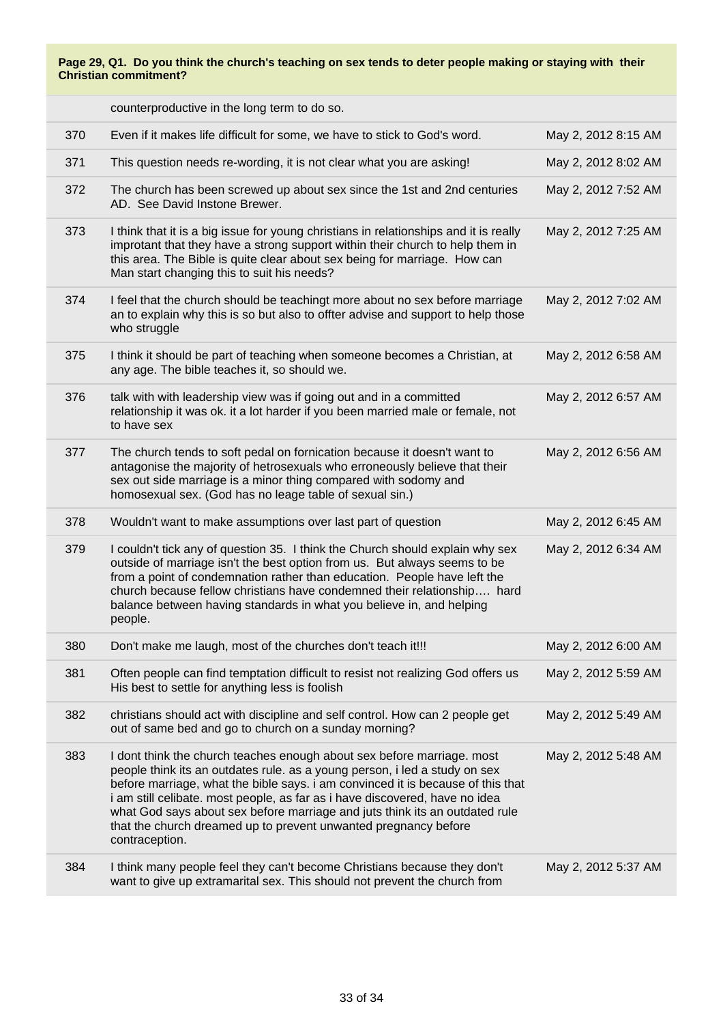counterproductive in the long term to do so.

|     | 370 | Even if it makes life difficult for some, we have to stick to God's word.                                                                                                                                                                                                                                                                                                                                                                                                                  | May 2, 2012 8:15 AM |
|-----|-----|--------------------------------------------------------------------------------------------------------------------------------------------------------------------------------------------------------------------------------------------------------------------------------------------------------------------------------------------------------------------------------------------------------------------------------------------------------------------------------------------|---------------------|
| 371 |     | This question needs re-wording, it is not clear what you are asking!                                                                                                                                                                                                                                                                                                                                                                                                                       | May 2, 2012 8:02 AM |
|     | 372 | The church has been screwed up about sex since the 1st and 2nd centuries<br>AD. See David Instone Brewer.                                                                                                                                                                                                                                                                                                                                                                                  | May 2, 2012 7:52 AM |
|     | 373 | I think that it is a big issue for young christians in relationships and it is really<br>improtant that they have a strong support within their church to help them in<br>this area. The Bible is quite clear about sex being for marriage. How can<br>Man start changing this to suit his needs?                                                                                                                                                                                          | May 2, 2012 7:25 AM |
|     | 374 | I feel that the church should be teachingt more about no sex before marriage<br>an to explain why this is so but also to offter advise and support to help those<br>who struggle                                                                                                                                                                                                                                                                                                           | May 2, 2012 7:02 AM |
|     | 375 | I think it should be part of teaching when someone becomes a Christian, at<br>any age. The bible teaches it, so should we.                                                                                                                                                                                                                                                                                                                                                                 | May 2, 2012 6:58 AM |
|     | 376 | talk with with leadership view was if going out and in a committed<br>relationship it was ok. it a lot harder if you been married male or female, not<br>to have sex                                                                                                                                                                                                                                                                                                                       | May 2, 2012 6:57 AM |
|     | 377 | The church tends to soft pedal on fornication because it doesn't want to<br>antagonise the majority of hetrosexuals who erroneously believe that their<br>sex out side marriage is a minor thing compared with sodomy and<br>homosexual sex. (God has no leage table of sexual sin.)                                                                                                                                                                                                       | May 2, 2012 6:56 AM |
|     | 378 | Wouldn't want to make assumptions over last part of question                                                                                                                                                                                                                                                                                                                                                                                                                               | May 2, 2012 6:45 AM |
|     | 379 | I couldn't tick any of question 35. I think the Church should explain why sex<br>outside of marriage isn't the best option from us. But always seems to be<br>from a point of condemnation rather than education. People have left the<br>church because fellow christians have condemned their relationship hard<br>balance between having standards in what you believe in, and helping<br>people.                                                                                       | May 2, 2012 6:34 AM |
|     | 380 | Don't make me laugh, most of the churches don't teach it!!!                                                                                                                                                                                                                                                                                                                                                                                                                                | May 2, 2012 6:00 AM |
| 381 |     | Often people can find temptation difficult to resist not realizing God offers us<br>His best to settle for anything less is foolish                                                                                                                                                                                                                                                                                                                                                        | May 2, 2012 5:59 AM |
|     | 382 | christians should act with discipline and self control. How can 2 people get<br>out of same bed and go to church on a sunday morning?                                                                                                                                                                                                                                                                                                                                                      | May 2, 2012 5:49 AM |
|     | 383 | I dont think the church teaches enough about sex before marriage. most<br>people think its an outdates rule. as a young person, i led a study on sex<br>before marriage, what the bible says. i am convinced it is because of this that<br>i am still celibate. most people, as far as i have discovered, have no idea<br>what God says about sex before marriage and juts think its an outdated rule<br>that the church dreamed up to prevent unwanted pregnancy before<br>contraception. | May 2, 2012 5:48 AM |
|     | 384 | I think many people feel they can't become Christians because they don't<br>want to give up extramarital sex. This should not prevent the church from                                                                                                                                                                                                                                                                                                                                      | May 2, 2012 5:37 AM |